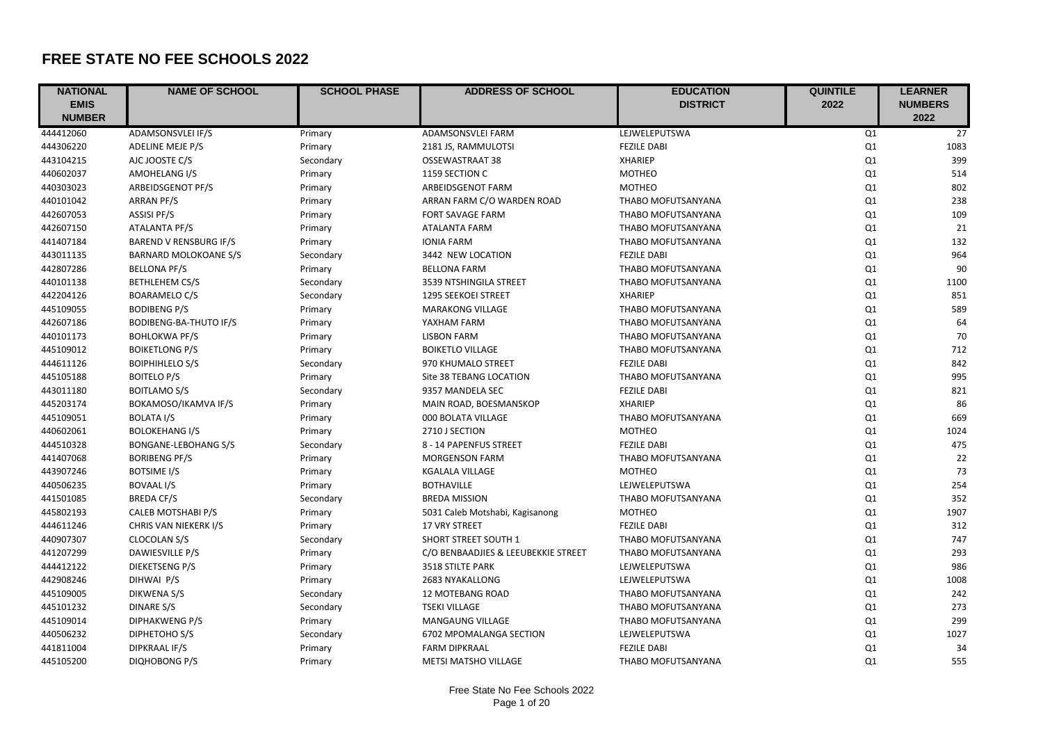## **FREE STATE NO FEE SCHOOLS 2022**

| <b>NATIONAL</b> | <b>NAME OF SCHOOL</b>         | <b>SCHOOL PHASE</b> | <b>ADDRESS OF SCHOOL</b>            | <b>EDUCATION</b>   | <b>QUINTILE</b> | <b>LEARNER</b>  |
|-----------------|-------------------------------|---------------------|-------------------------------------|--------------------|-----------------|-----------------|
| <b>EMIS</b>     |                               |                     |                                     | <b>DISTRICT</b>    | 2022            | <b>NUMBERS</b>  |
| <b>NUMBER</b>   |                               |                     |                                     |                    |                 | 2022            |
| 444412060       | ADAMSONSVLEI IF/S             | Primary             | ADAMSONSVLEI FARM                   | LEJWELEPUTSWA      | Q <sub>1</sub>  | $\overline{27}$ |
| 444306220       | ADELINE MEJE P/S              | Primary             | 2181 JS, RAMMULOTSI                 | <b>FEZILE DABI</b> | Q1              | 1083            |
| 443104215       | AJC JOOSTE C/S                | Secondary           | OSSEWASTRAAT 38                     | <b>XHARIEP</b>     | Q1              | 399             |
| 440602037       | AMOHELANG I/S                 | Primary             | 1159 SECTION C                      | <b>MOTHEO</b>      | Q <sub>1</sub>  | 514             |
| 440303023       | ARBEIDSGENOT PF/S             | Primary             | ARBEIDSGENOT FARM                   | <b>MOTHEO</b>      | Q1              | 802             |
| 440101042       | ARRAN PF/S                    | Primary             | ARRAN FARM C/O WARDEN ROAD          | THABO MOFUTSANYANA | Q <sub>1</sub>  | 238             |
| 442607053       | <b>ASSISI PF/S</b>            | Primary             | <b>FORT SAVAGE FARM</b>             | THABO MOFUTSANYANA | Q1              | 109             |
| 442607150       | ATALANTA PF/S                 | Primary             | <b>ATALANTA FARM</b>                | THABO MOFUTSANYANA | Q1              | 21              |
| 441407184       | <b>BAREND V RENSBURG IF/S</b> | Primary             | <b>IONIA FARM</b>                   | THABO MOFUTSANYANA | Q1              | 132             |
| 443011135       | <b>BARNARD MOLOKOANE S/S</b>  | Secondary           | 3442 NEW LOCATION                   | <b>FEZILE DABI</b> | Q1              | 964             |
| 442807286       | <b>BELLONA PF/S</b>           | Primary             | <b>BELLONA FARM</b>                 | THABO MOFUTSANYANA | Q1              | 90              |
| 440101138       | <b>BETHLEHEM CS/S</b>         | Secondary           | 3539 NTSHINGILA STREET              | THABO MOFUTSANYANA | Q1              | 1100            |
| 442204126       | <b>BOARAMELO C/S</b>          | Secondary           | 1295 SEEKOEI STREET                 | <b>XHARIEP</b>     | Q <sub>1</sub>  | 851             |
| 445109055       | <b>BODIBENG P/S</b>           | Primary             | <b>MARAKONG VILLAGE</b>             | THABO MOFUTSANYANA | Q1              | 589             |
| 442607186       | <b>BODIBENG-BA-THUTO IF/S</b> | Primary             | YAXHAM FARM                         | THABO MOFUTSANYANA | Q <sub>1</sub>  | 64              |
| 440101173       | <b>BOHLOKWA PF/S</b>          | Primary             | <b>LISBON FARM</b>                  | THABO MOFUTSANYANA | Q1              | 70              |
| 445109012       | <b>BOIKETLONG P/S</b>         | Primary             | <b>BOIKETLO VILLAGE</b>             | THABO MOFUTSANYANA | Q <sub>1</sub>  | 712             |
| 444611126       | <b>BOIPHIHLELO S/S</b>        | Secondary           | 970 KHUMALO STREET                  | <b>FEZILE DABI</b> | Q1              | 842             |
| 445105188       | <b>BOITELO P/S</b>            | Primary             | Site 38 TEBANG LOCATION             | THABO MOFUTSANYANA | Q1              | 995             |
| 443011180       | <b>BOITLAMO S/S</b>           | Secondary           | 9357 MANDELA SEC                    | <b>FEZILE DABI</b> | Q1              | 821             |
| 445203174       | BOKAMOSO/IKAMVA IF/S          | Primary             | MAIN ROAD, BOESMANSKOP              | <b>XHARIEP</b>     | Q1              | 86              |
| 445109051       | <b>BOLATA I/S</b>             | Primary             | 000 BOLATA VILLAGE                  | THABO MOFUTSANYANA | Q1              | 669             |
| 440602061       | <b>BOLOKEHANG I/S</b>         | Primary             | 2710 J SECTION                      | <b>MOTHEO</b>      | Q1              | 1024            |
| 444510328       | <b>BONGANE-LEBOHANG S/S</b>   | Secondary           | 8 - 14 PAPENFUS STREET              | <b>FEZILE DABI</b> | Q1              | 475             |
| 441407068       | <b>BORIBENG PF/S</b>          | Primary             | <b>MORGENSON FARM</b>               | THABO MOFUTSANYANA | Q1              | 22              |
| 443907246       | <b>BOTSIME I/S</b>            | Primary             | <b>KGALALA VILLAGE</b>              | <b>MOTHEO</b>      | Q1              | 73              |
| 440506235       | <b>BOVAAL I/S</b>             | Primary             | <b>BOTHAVILLE</b>                   | LEJWELEPUTSWA      | Q1              | 254             |
| 441501085       | <b>BREDA CF/S</b>             | Secondary           | <b>BREDA MISSION</b>                | THABO MOFUTSANYANA | Q <sub>1</sub>  | 352             |
| 445802193       | CALEB MOTSHABI P/S            | Primary             | 5031 Caleb Motshabi, Kagisanong     | <b>MOTHEO</b>      | Q1              | 1907            |
| 444611246       | CHRIS VAN NIEKERK I/S         | Primary             | <b>17 VRY STREET</b>                | <b>FEZILE DABI</b> | Q1              | 312             |
| 440907307       | CLOCOLAN S/S                  | Secondary           | <b>SHORT STREET SOUTH 1</b>         | THABO MOFUTSANYANA | Q1              | 747             |
| 441207299       | DAWIESVILLE P/S               | Primary             | C/O BENBAADJIES & LEEUBEKKIE STREET | THABO MOFUTSANYANA | Q1              | 293             |
| 444412122       | DIEKETSENG P/S                | Primary             | 3518 STILTE PARK                    | LEJWELEPUTSWA      | Q1              | 986             |
| 442908246       | DIHWAI P/S                    | Primary             | 2683 NYAKALLONG                     | LEJWELEPUTSWA      | Q1              | 1008            |
| 445109005       | DIKWENA S/S                   | Secondary           | 12 MOTEBANG ROAD                    | THABO MOFUTSANYANA | Q1              | 242             |
| 445101232       | DINARE S/S                    | Secondary           | <b>TSEKI VILLAGE</b>                | THABO MOFUTSANYANA | Q1              | 273             |
| 445109014       | <b>DIPHAKWENG P/S</b>         | Primary             | MANGAUNG VILLAGE                    | THABO MOFUTSANYANA | Q1              | 299             |
| 440506232       | DIPHETOHO S/S                 | Secondary           | 6702 MPOMALANGA SECTION             | LEJWELEPUTSWA      | Q1              | 1027            |
| 441811004       | DIPKRAAL IF/S                 | Primary             | <b>FARM DIPKRAAL</b>                | <b>FEZILE DABI</b> | Q <sub>1</sub>  | 34              |
| 445105200       | <b>DIQHOBONG P/S</b>          | Primary             | <b>METSI MATSHO VILLAGE</b>         | THABO MOFUTSANYANA | Q1              | 555             |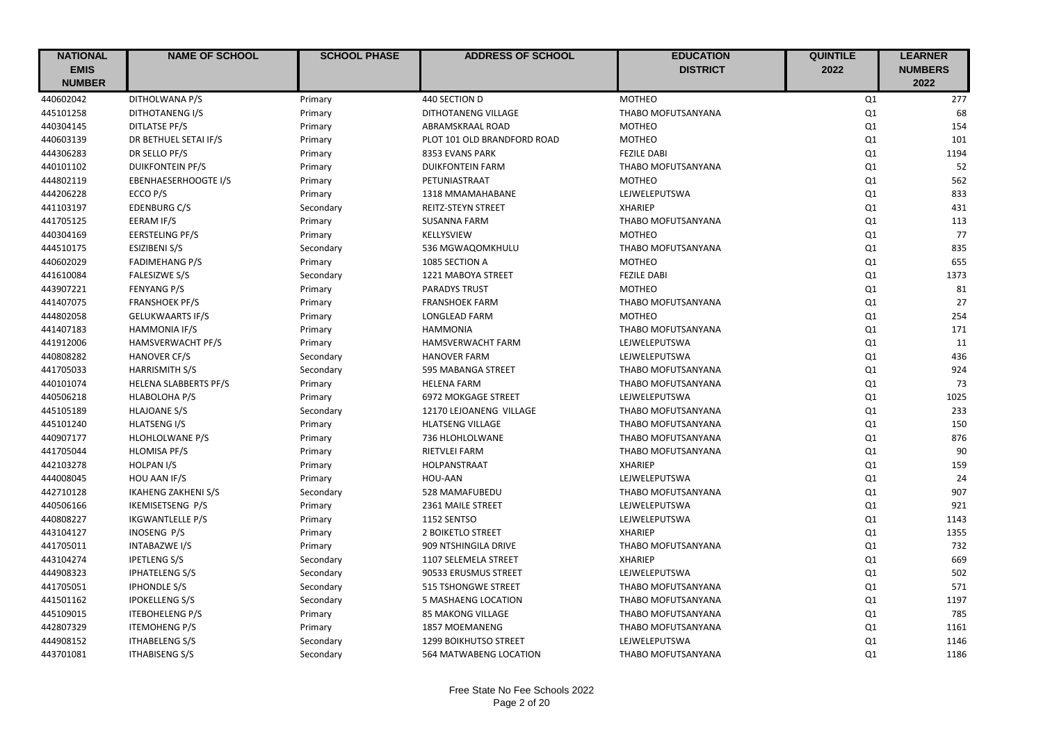| <b>NATIONAL</b> | <b>NAME OF SCHOOL</b>        | <b>SCHOOL PHASE</b> | <b>ADDRESS OF SCHOOL</b>     | <b>EDUCATION</b>   | <b>QUINTILE</b> | <b>LEARNER</b> |
|-----------------|------------------------------|---------------------|------------------------------|--------------------|-----------------|----------------|
| <b>EMIS</b>     |                              |                     |                              | <b>DISTRICT</b>    | 2022            | <b>NUMBERS</b> |
| <b>NUMBER</b>   |                              |                     |                              |                    |                 | 2022           |
| 440602042       | DITHOLWANA P/S               | Primary             | 440 SECTION D                | <b>MOTHEO</b>      | Q1              | 277            |
| 445101258       | DITHOTANENG I/S              | Primary             | DITHOTANENG VILLAGE          | THABO MOFUTSANYANA | Q1              | 68             |
| 440304145       | DITLATSE PF/S                | Primary             | ABRAMSKRAAL ROAD             | <b>MOTHEO</b>      | Q1              | 154            |
| 440603139       | DR BETHUEL SETAI IF/S        | Primary             | PLOT 101 OLD BRANDFORD ROAD  | <b>MOTHEO</b>      | Q1              | 101            |
| 444306283       | DR SELLO PF/S                | Primary             | 8353 EVANS PARK              | <b>FEZILE DABI</b> | Q1              | 1194           |
| 440101102       | <b>DUIKFONTEIN PF/S</b>      | Primary             | <b>DUIKFONTEIN FARM</b>      | THABO MOFUTSANYANA | Q1              | 52             |
| 444802119       | <b>EBENHAESERHOOGTE I/S</b>  | Primary             | PETUNIASTRAAT                | <b>MOTHEO</b>      | Q1              | 562            |
| 444206228       | ECCO P/S                     | Primary             | 1318 MMAMAHABANE             | LEJWELEPUTSWA      | Q1              | 833            |
| 441103197       | <b>EDENBURG C/S</b>          | Secondary           | REITZ-STEYN STREET           | <b>XHARIEP</b>     | Q1              | 431            |
| 441705125       | EERAM IF/S                   | Primary             | <b>SUSANNA FARM</b>          | THABO MOFUTSANYANA | Q1              | 113            |
| 440304169       | <b>EERSTELING PF/S</b>       | Primary             | KELLYSVIEW                   | <b>MOTHEO</b>      | Q1              | 77             |
| 444510175       | <b>ESIZIBENI S/S</b>         | Secondary           | 536 MGWAQOMKHULU             | THABO MOFUTSANYANA | Q1              | 835            |
| 440602029       | <b>FADIMEHANG P/S</b>        | Primary             | 1085 SECTION A               | <b>MOTHEO</b>      | Q1              | 655            |
| 441610084       | <b>FALESIZWE S/S</b>         | Secondary           | 1221 MABOYA STREET           | <b>FEZILE DABI</b> | Q1              | 1373           |
| 443907221       | <b>FENYANG P/S</b>           | Primary             | <b>PARADYS TRUST</b>         | <b>MOTHEO</b>      | Q1              | 81             |
| 441407075       | <b>FRANSHOEK PF/S</b>        | Primary             | <b>FRANSHOEK FARM</b>        | THABO MOFUTSANYANA | Q1              | 27             |
| 444802058       | <b>GELUKWAARTS IF/S</b>      | Primary             | LONGLEAD FARM                | <b>MOTHEO</b>      | Q1              | 254            |
| 441407183       | <b>HAMMONIA IF/S</b>         | Primary             | <b>HAMMONIA</b>              | THABO MOFUTSANYANA | Q1              | 171            |
| 441912006       | HAMSVERWACHT PF/S            | Primary             | <b>HAMSVERWACHT FARM</b>     | LEJWELEPUTSWA      | Q1              | 11             |
| 440808282       | <b>HANOVER CF/S</b>          | Secondary           | <b>HANOVER FARM</b>          | LEJWELEPUTSWA      | Q1              | 436            |
| 441705033       | <b>HARRISMITH S/S</b>        | Secondary           | 595 MABANGA STREET           | THABO MOFUTSANYANA | Q1              | 924            |
| 440101074       | <b>HELENA SLABBERTS PF/S</b> | Primary             | <b>HELENA FARM</b>           | THABO MOFUTSANYANA | Q1              | 73             |
| 440506218       | HLABOLOHA P/S                | Primary             | 6972 MOKGAGE STREET          | LEJWELEPUTSWA      | Q1              | 1025           |
| 445105189       | <b>HLAJOANE S/S</b>          | Secondary           | 12170 LEJOANENG VILLAGE      | THABO MOFUTSANYANA | Q1              | 233            |
| 445101240       | <b>HLATSENG I/S</b>          | Primary             | <b>HLATSENG VILLAGE</b>      | THABO MOFUTSANYANA | Q1              | 150            |
| 440907177       | HLOHLOLWANE P/S              | Primary             | 736 HLOHLOLWANE              | THABO MOFUTSANYANA | Q1              | 876            |
| 441705044       | <b>HLOMISA PF/S</b>          | Primary             | <b>RIETVLEI FARM</b>         | THABO MOFUTSANYANA | Q1              | 90             |
| 442103278       | <b>HOLPAN I/S</b>            | Primary             | HOLPANSTRAAT                 | <b>XHARIEP</b>     | Q1              | 159            |
| 444008045       | HOU AAN IF/S                 | Primary             | <b>HOU-AAN</b>               | LEJWELEPUTSWA      | Q1              | 24             |
| 442710128       | <b>IKAHENG ZAKHENI S/S</b>   | Secondary           | 528 MAMAFUBEDU               | THABO MOFUTSANYANA | Q1              | 907            |
| 440506166       | IKEMISETSENG P/S             | Primary             | 2361 MAILE STREET            | LEJWELEPUTSWA      | Q1              | 921            |
| 440808227       | <b>IKGWANTLELLE P/S</b>      | Primary             | 1152 SENTSO                  | LEJWELEPUTSWA      | Q1              | 1143           |
| 443104127       | INOSENG P/S                  | Primary             | 2 BOIKETLO STREET            | <b>XHARIEP</b>     | Q1              | 1355           |
| 441705011       | <b>INTABAZWE I/S</b>         | Primary             | 909 NTSHINGILA DRIVE         | THABO MOFUTSANYANA | Q1              | 732            |
| 443104274       | <b>IPETLENG S/S</b>          | Secondary           | 1107 SELEMELA STREET         | <b>XHARIEP</b>     | Q1              | 669            |
| 444908323       | <b>IPHATELENG S/S</b>        | Secondary           | 90533 ERUSMUS STREET         | LEJWELEPUTSWA      | Q1              | 502            |
| 441705051       | <b>IPHONDLE S/S</b>          | Secondary           | <b>515 TSHONGWE STREET</b>   | THABO MOFUTSANYANA | Q1              | 571            |
| 441501162       | <b>IPOKELLENG S/S</b>        | Secondary           | 5 MASHAENG LOCATION          | THABO MOFUTSANYANA | Q1              | 1197           |
| 445109015       | <b>ITEBOHELENG P/S</b>       | Primary             | <b>85 MAKONG VILLAGE</b>     | THABO MOFUTSANYANA | Q1              | 785            |
| 442807329       | <b>ITEMOHENG P/S</b>         | Primary             | 1857 MOEMANENG               | THABO MOFUTSANYANA | Q1              | 1161           |
| 444908152       | <b>ITHABELENG S/S</b>        | Secondary           | <b>1299 BOIKHUTSO STREET</b> | LEJWELEPUTSWA      | Q1              | 1146           |
| 443701081       | <b>ITHABISENG S/S</b>        | Secondary           | 564 MATWABENG LOCATION       | THABO MOFUTSANYANA | Q1              | 1186           |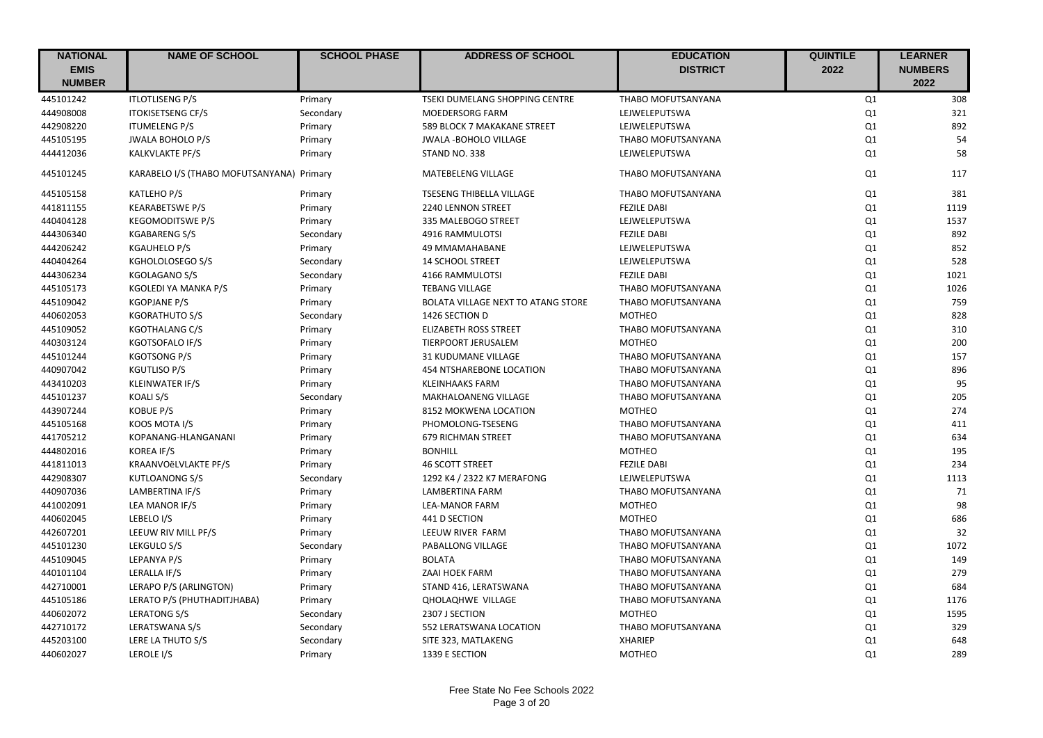| <b>NATIONAL</b> | <b>NAME OF SCHOOL</b>                     | <b>SCHOOL PHASE</b> | <b>ADDRESS OF SCHOOL</b>                  | <b>EDUCATION</b>          | <b>QUINTILE</b> | <b>LEARNER</b> |
|-----------------|-------------------------------------------|---------------------|-------------------------------------------|---------------------------|-----------------|----------------|
| <b>EMIS</b>     |                                           |                     |                                           | <b>DISTRICT</b>           | 2022            | <b>NUMBERS</b> |
| <b>NUMBER</b>   |                                           |                     |                                           |                           |                 | 2022           |
| 445101242       | <b>ITLOTLISENG P/S</b>                    | Primary             | TSEKI DUMELANG SHOPPING CENTRE            | THABO MOFUTSANYANA        | Q1              | 308            |
| 444908008       | <b>ITOKISETSENG CF/S</b>                  | Secondary           | MOEDERSORG FARM                           | LEJWELEPUTSWA             | Q1              | 321            |
| 442908220       | <b>ITUMELENG P/S</b>                      | Primary             | 589 BLOCK 7 MAKAKANE STREET               | LEJWELEPUTSWA             | Q1              | 892            |
| 445105195       | <b>JWALA BOHOLO P/S</b>                   | Primary             | <b>JWALA -BOHOLO VILLAGE</b>              | THABO MOFUTSANYANA        | Q1              | 54             |
| 444412036       | <b>KALKVLAKTE PF/S</b>                    | Primary             | STAND NO. 338                             | LEJWELEPUTSWA             | Q1              | 58             |
| 445101245       | KARABELO I/S (THABO MOFUTSANYANA) Primary |                     | MATEBELENG VILLAGE                        | <b>THABO MOFUTSANYANA</b> | Q1              | 117            |
| 445105158       | KATLEHO P/S                               | Primary             | TSESENG THIBELLA VILLAGE                  | THABO MOFUTSANYANA        | Q1              | 381            |
| 441811155       | <b>KEARABETSWE P/S</b>                    | Primary             | 2240 LENNON STREET                        | <b>FEZILE DABI</b>        | Q1              | 1119           |
| 440404128       | <b>KEGOMODITSWE P/S</b>                   | Primary             | 335 MALEBOGO STREET                       | LEJWELEPUTSWA             | Q1              | 1537           |
| 444306340       | <b>KGABARENG S/S</b>                      | Secondary           | 4916 RAMMULOTSI                           | <b>FEZILE DABI</b>        | Q1              | 892            |
| 444206242       | <b>KGAUHELO P/S</b>                       | Primary             | 49 MMAMAHABANE                            | LEJWELEPUTSWA             | Q1              | 852            |
| 440404264       | KGHOLOLOSEGO S/S                          | Secondary           | <b>14 SCHOOL STREET</b>                   | LEJWELEPUTSWA             | Q1              | 528            |
| 444306234       | KGOLAGANO S/S                             | Secondary           | 4166 RAMMULOTSI                           | <b>FEZILE DABI</b>        | Q1              | 1021           |
| 445105173       | KGOLEDI YA MANKA P/S                      | Primary             | <b>TEBANG VILLAGE</b>                     | THABO MOFUTSANYANA        | Q1              | 1026           |
| 445109042       | <b>KGOPJANE P/S</b>                       | Primary             | <b>BOLATA VILLAGE NEXT TO ATANG STORE</b> | THABO MOFUTSANYANA        | Q1              | 759            |
| 440602053       | <b>KGORATHUTO S/S</b>                     | Secondary           | 1426 SECTION D                            | <b>MOTHEO</b>             | Q1              | 828            |
| 445109052       | <b>KGOTHALANG C/S</b>                     | Primary             | <b>ELIZABETH ROSS STREET</b>              | THABO MOFUTSANYANA        | Q1              | 310            |
| 440303124       | <b>KGOTSOFALO IF/S</b>                    | Primary             | TIERPOORT JERUSALEM                       | <b>MOTHEO</b>             | Q1              | 200            |
| 445101244       | <b>KGOTSONG P/S</b>                       | Primary             | 31 KUDUMANE VILLAGE                       | THABO MOFUTSANYANA        | Q1              | 157            |
| 440907042       | <b>KGUTLISO P/S</b>                       | Primary             | 454 NTSHAREBONE LOCATION                  | THABO MOFUTSANYANA        | Q1              | 896            |
| 443410203       | <b>KLEINWATER IF/S</b>                    | Primary             | <b>KLEINHAAKS FARM</b>                    | THABO MOFUTSANYANA        | Q1              | 95             |
| 445101237       | KOALI S/S                                 | Secondary           | MAKHALOANENG VILLAGE                      | THABO MOFUTSANYANA        | Q1              | 205            |
| 443907244       | <b>KOBUE P/S</b>                          | Primary             | 8152 MOKWENA LOCATION                     | <b>MOTHEO</b>             | Q1              | 274            |
| 445105168       | KOOS MOTA I/S                             | Primary             | PHOMOLONG-TSESENG                         | THABO MOFUTSANYANA        | Q1              | 411            |
| 441705212       | KOPANANG-HLANGANANI                       | Primary             | <b>679 RICHMAN STREET</b>                 | THABO MOFUTSANYANA        | Q1              | 634            |
| 444802016       | <b>KOREA IF/S</b>                         | Primary             | <b>BONHILL</b>                            | <b>MOTHEO</b>             | Q1              | 195            |
| 441811013       | KRAANVOëLVLAKTE PF/S                      | Primary             | <b>46 SCOTT STREET</b>                    | <b>FEZILE DABI</b>        | Q1              | 234            |
| 442908307       | <b>KUTLOANONG S/S</b>                     | Secondary           | 1292 K4 / 2322 K7 MERAFONG                | LEJWELEPUTSWA             | Q1              | 1113           |
| 440907036       | LAMBERTINA IF/S                           | Primary             | <b>LAMBERTINA FARM</b>                    | THABO MOFUTSANYANA        | Q1              | 71             |
| 441002091       | LEA MANOR IF/S                            | Primary             | <b>LEA-MANOR FARM</b>                     | <b>MOTHEO</b>             | Q1              | 98             |
| 440602045       | LEBELO I/S                                | Primary             | 441 D SECTION                             | <b>MOTHEO</b>             | Q1              | 686            |
| 442607201       | LEEUW RIV MILL PF/S                       | Primary             | LEEUW RIVER FARM                          | THABO MOFUTSANYANA        | Q1              | 32             |
| 445101230       | LEKGULO S/S                               | Secondary           | PABALLONG VILLAGE                         | THABO MOFUTSANYANA        | Q1              | 1072           |
| 445109045       | LEPANYA P/S                               | Primary             | <b>BOLATA</b>                             | THABO MOFUTSANYANA        | Q1              | 149            |
| 440101104       | LERALLA IF/S                              | Primary             | ZAAI HOEK FARM                            | THABO MOFUTSANYANA        | Q1              | 279            |
| 442710001       | LERAPO P/S (ARLINGTON)                    | Primary             | STAND 416, LERATSWANA                     | THABO MOFUTSANYANA        | Q1              | 684            |
| 445105186       | LERATO P/S (PHUTHADITJHABA)               | Primary             | <b>QHOLAQHWE VILLAGE</b>                  | THABO MOFUTSANYANA        | Q1              | 1176           |
| 440602072       | LERATONG S/S                              | Secondary           | 2307 J SECTION                            | <b>MOTHEO</b>             | Q1              | 1595           |
| 442710172       | LERATSWANA S/S                            | Secondary           | 552 LERATSWANA LOCATION                   | THABO MOFUTSANYANA        | Q1              | 329            |
| 445203100       | LERE LA THUTO S/S                         | Secondary           | SITE 323, MATLAKENG                       | <b>XHARIEP</b>            | Q1              | 648            |
| 440602027       | LEROLE <sub>I/S</sub>                     |                     | 1339 E SECTION                            | <b>MOTHEO</b>             | Q1              | 289            |
|                 |                                           | Primary             |                                           |                           |                 |                |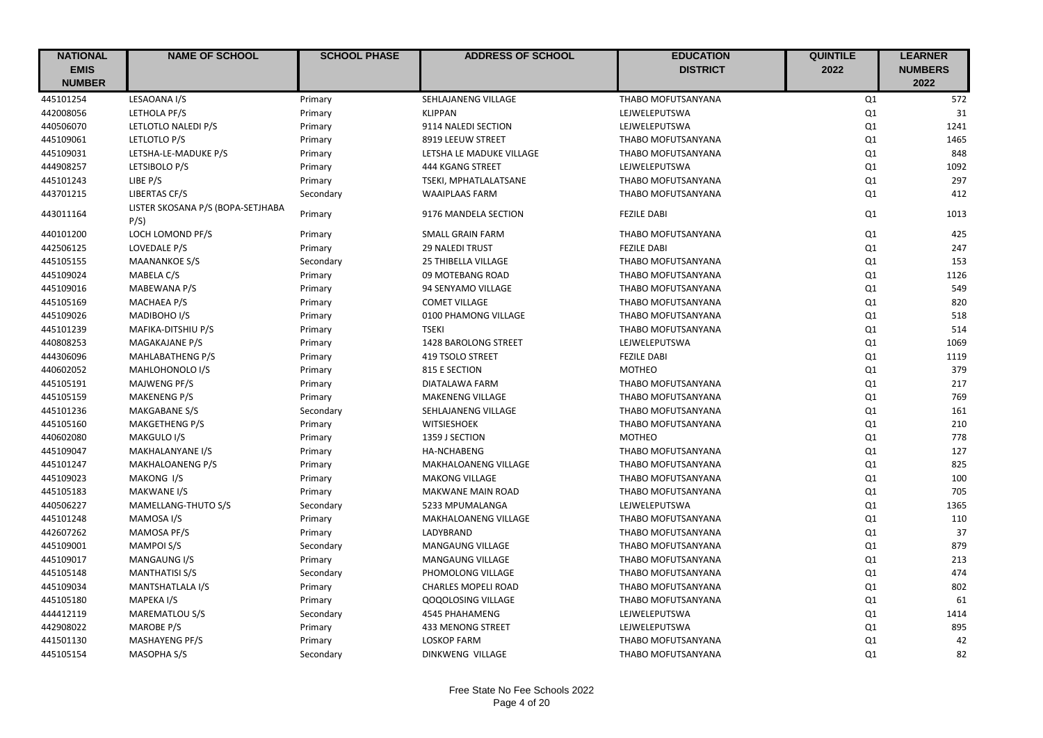| <b>NATIONAL</b> | <b>NAME OF SCHOOL</b>                    | <b>SCHOOL PHASE</b> | <b>ADDRESS OF SCHOOL</b>   | <b>EDUCATION</b>          | <b>QUINTILE</b> | <b>LEARNER</b> |
|-----------------|------------------------------------------|---------------------|----------------------------|---------------------------|-----------------|----------------|
| <b>EMIS</b>     |                                          |                     |                            | <b>DISTRICT</b>           | 2022            | <b>NUMBERS</b> |
| <b>NUMBER</b>   |                                          |                     |                            |                           |                 | 2022           |
| 445101254       | LESAOANA I/S                             | Primary             | SEHLAJANENG VILLAGE        | THABO MOFUTSANYANA        | Q1              | 572            |
| 442008056       | LETHOLA PF/S                             | Primary             | <b>KLIPPAN</b>             | LEJWELEPUTSWA             | Q1              | 31             |
| 440506070       | LETLOTLO NALEDI P/S                      | Primary             | 9114 NALEDI SECTION        | LEJWELEPUTSWA             | Q1              | 1241           |
| 445109061       | LETLOTLO P/S                             | Primary             | 8919 LEEUW STREET          | THABO MOFUTSANYANA        | Q1              | 1465           |
| 445109031       | LETSHA-LE-MADUKE P/S                     | Primary             | LETSHA LE MADUKE VILLAGE   | <b>THABO MOFUTSANYANA</b> | Q1              | 848            |
| 444908257       | LETSIBOLO P/S                            | Primary             | 444 KGANG STREET           | LEJWELEPUTSWA             | Q1              | 1092           |
| 445101243       | LIBE P/S                                 | Primary             | TSEKI, MPHATLALATSANE      | THABO MOFUTSANYANA        | Q1              | 297            |
| 443701215       | LIBERTAS CF/S                            | Secondary           | <b>WAAIPLAAS FARM</b>      | THABO MOFUTSANYANA        | Q1              | 412            |
| 443011164       | LISTER SKOSANA P/S (BOPA-SETJHABA<br>P/S | Primary             | 9176 MANDELA SECTION       | <b>FEZILE DABI</b>        | Q1              | 1013           |
| 440101200       | LOCH LOMOND PF/S                         | Primary             | SMALL GRAIN FARM           | THABO MOFUTSANYANA        | Q1              | 425            |
| 442506125       | LOVEDALE P/S                             | Primary             | <b>29 NALEDI TRUST</b>     | <b>FEZILE DABI</b>        | Q1              | 247            |
| 445105155       | <b>MAANANKOE S/S</b>                     | Secondary           | 25 THIBELLA VILLAGE        | THABO MOFUTSANYANA        | Q1              | 153            |
| 445109024       | MABELA C/S                               | Primary             | 09 MOTEBANG ROAD           | THABO MOFUTSANYANA        | Q1              | 1126           |
| 445109016       | MABEWANA P/S                             | Primary             | 94 SENYAMO VILLAGE         | THABO MOFUTSANYANA        | Q1              | 549            |
| 445105169       | <b>MACHAEA P/S</b>                       | Primary             | <b>COMET VILLAGE</b>       | THABO MOFUTSANYANA        | Q1              | 820            |
| 445109026       | MADIBOHO I/S                             | Primary             | 0100 PHAMONG VILLAGE       | THABO MOFUTSANYANA        | Q1              | 518            |
| 445101239       | MAFIKA-DITSHIU P/S                       | Primary             | <b>TSEKI</b>               | THABO MOFUTSANYANA        | Q1              | 514            |
| 440808253       | MAGAKAJANE P/S                           | Primary             | 1428 BAROLONG STREET       | LEJWELEPUTSWA             | Q1              | 1069           |
| 444306096       | <b>MAHLABATHENG P/S</b>                  | Primary             | 419 TSOLO STREET           | <b>FEZILE DABI</b>        | Q1              | 1119           |
| 440602052       | MAHLOHONOLO I/S                          | Primary             | 815 E SECTION              | <b>MOTHEO</b>             | Q1              | 379            |
| 445105191       | MAJWENG PF/S                             | Primary             | DIATALAWA FARM             | THABO MOFUTSANYANA        | Q1              | 217            |
| 445105159       | <b>MAKENENG P/S</b>                      | Primary             | <b>MAKENENG VILLAGE</b>    | THABO MOFUTSANYANA        | Q1              | 769            |
| 445101236       | MAKGABANE S/S                            | Secondary           | SEHLAJANENG VILLAGE        | THABO MOFUTSANYANA        | Q1              | 161            |
| 445105160       | <b>MAKGETHENG P/S</b>                    | Primary             | WITSIESHOEK                | THABO MOFUTSANYANA        | Q1              | 210            |
| 440602080       | MAKGULO I/S                              | Primary             | 1359 J SECTION             | <b>MOTHEO</b>             | Q1              | 778            |
| 445109047       | MAKHALANYANE I/S                         | Primary             | <b>HA-NCHABENG</b>         | THABO MOFUTSANYANA        | Q1              | 127            |
| 445101247       | MAKHALOANENG P/S                         | Primary             | MAKHALOANENG VILLAGE       | THABO MOFUTSANYANA        | Q1              | 825            |
| 445109023       | MAKONG I/S                               | Primary             | <b>MAKONG VILLAGE</b>      | <b>THABO MOFUTSANYANA</b> | Q1              | 100            |
| 445105183       | <b>MAKWANE I/S</b>                       | Primary             | <b>MAKWANE MAIN ROAD</b>   | THABO MOFUTSANYANA        | Q1              | 705            |
| 440506227       | MAMELLANG-THUTO S/S                      | Secondary           | 5233 MPUMALANGA            | LEJWELEPUTSWA             | Q1              | 1365           |
| 445101248       | MAMOSA I/S                               | Primary             | MAKHALOANENG VILLAGE       | THABO MOFUTSANYANA        | Q1              | 110            |
| 442607262       | MAMOSA PF/S                              | Primary             | LADYBRAND                  | THABO MOFUTSANYANA        | Q1              | 37             |
| 445109001       | <b>MAMPOI S/S</b>                        | Secondary           | MANGAUNG VILLAGE           | THABO MOFUTSANYANA        | Q1              | 879            |
| 445109017       | <b>MANGAUNG I/S</b>                      | Primary             | MANGAUNG VILLAGE           | THABO MOFUTSANYANA        | Q1              | 213            |
| 445105148       | <b>MANTHATISI S/S</b>                    | Secondary           | PHOMOLONG VILLAGE          | THABO MOFUTSANYANA        | Q1              | 474            |
| 445109034       | MANTSHATLALA I/S                         | Primary             | <b>CHARLES MOPELI ROAD</b> | THABO MOFUTSANYANA        | Q1              | 802            |
| 445105180       | MAPEKA I/S                               | Primary             | <b>QOQOLOSING VILLAGE</b>  | THABO MOFUTSANYANA        | Q1              | 61             |
| 444412119       | <b>MAREMATLOU S/S</b>                    | Secondary           | <b>4545 PHAHAMENG</b>      | LEJWELEPUTSWA             | Q1              | 1414           |
| 442908022       | <b>MAROBE P/S</b>                        | Primary             | 433 MENONG STREET          | LEJWELEPUTSWA             | Q1              | 895            |
| 441501130       | <b>MASHAYENG PF/S</b>                    | Primary             | <b>LOSKOP FARM</b>         | THABO MOFUTSANYANA        | Q1              | 42             |
| 445105154       | MASOPHA S/S                              | Secondary           | DINKWENG VILLAGE           | THABO MOFUTSANYANA        | Q1              | 82             |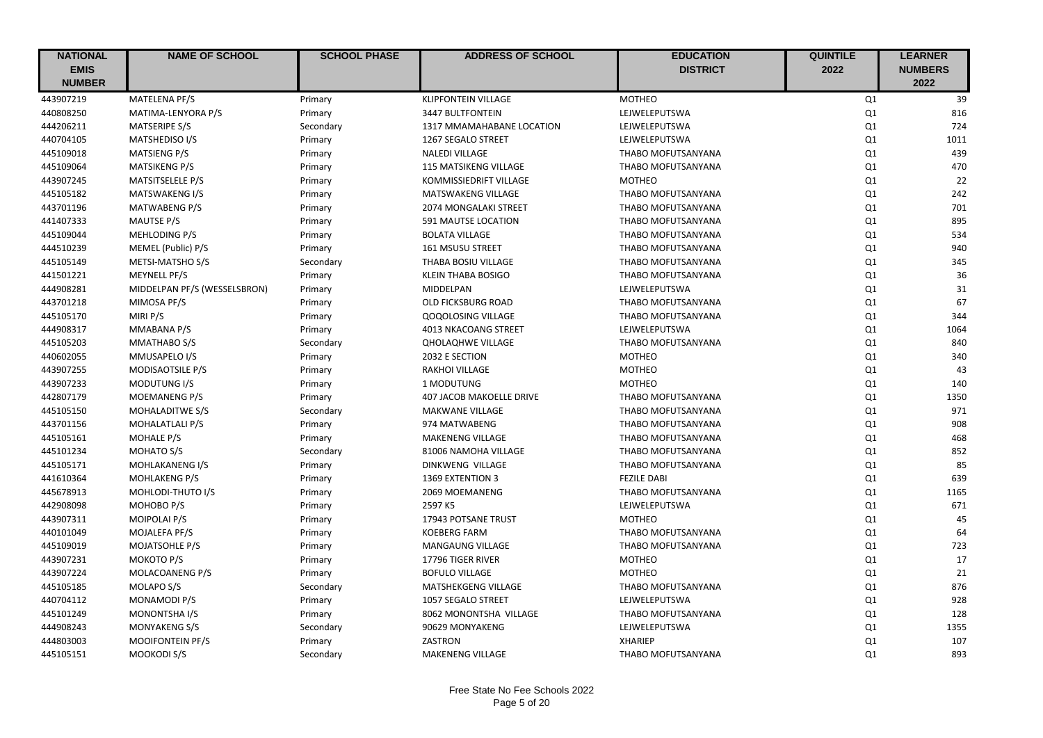| <b>NATIONAL</b> | <b>NAME OF SCHOOL</b>        | <b>SCHOOL PHASE</b> | <b>ADDRESS OF SCHOOL</b>        | <b>EDUCATION</b>          | <b>QUINTILE</b> | <b>LEARNER</b> |
|-----------------|------------------------------|---------------------|---------------------------------|---------------------------|-----------------|----------------|
| <b>EMIS</b>     |                              |                     |                                 | <b>DISTRICT</b>           | 2022            | <b>NUMBERS</b> |
| <b>NUMBER</b>   |                              |                     |                                 |                           |                 | 2022           |
| 443907219       | MATELENA PF/S                | Primary             | <b>KLIPFONTEIN VILLAGE</b>      | <b>MOTHEO</b>             | Q1              | 39             |
| 440808250       | MATIMA-LENYORA P/S           | Primary             | 3447 BULTFONTEIN                | LEJWELEPUTSWA             | Q1              | 816            |
| 444206211       | <b>MATSERIPE S/S</b>         | Secondary           | 1317 MMAMAHABANE LOCATION       | LEJWELEPUTSWA             | Q1              | 724            |
| 440704105       | MATSHEDISO I/S               | Primary             | 1267 SEGALO STREET              | LEJWELEPUTSWA             | Q1              | 1011           |
| 445109018       | MATSIENG P/S                 | Primary             | <b>NALEDI VILLAGE</b>           | THABO MOFUTSANYANA        | Q1              | 439            |
| 445109064       | <b>MATSIKENG P/S</b>         | Primary             | 115 MATSIKENG VILLAGE           | THABO MOFUTSANYANA        | Q1              | 470            |
| 443907245       | MATSITSELELE P/S             | Primary             | KOMMISSIEDRIFT VILLAGE          | <b>MOTHEO</b>             | Q1              | 22             |
| 445105182       | MATSWAKENG I/S               | Primary             | <b>MATSWAKENG VILLAGE</b>       | THABO MOFUTSANYANA        | Q1              | 242            |
| 443701196       | <b>MATWABENG P/S</b>         | Primary             | 2074 MONGALAKI STREET           | THABO MOFUTSANYANA        | Q1              | 701            |
| 441407333       | MAUTSE P/S                   | Primary             | 591 MAUTSE LOCATION             | THABO MOFUTSANYANA        | Q1              | 895            |
| 445109044       | MEHLODING P/S                | Primary             | <b>BOLATA VILLAGE</b>           | THABO MOFUTSANYANA        | Q1              | 534            |
| 444510239       | MEMEL (Public) P/S           | Primary             | 161 MSUSU STREET                | THABO MOFUTSANYANA        | Q1              | 940            |
| 445105149       | METSI-MATSHO S/S             | Secondary           | THABA BOSIU VILLAGE             | THABO MOFUTSANYANA        | Q1              | 345            |
| 441501221       | MEYNELL PF/S                 | Primary             | <b>KLEIN THABA BOSIGO</b>       | THABO MOFUTSANYANA        | Q1              | 36             |
| 444908281       | MIDDELPAN PF/S (WESSELSBRON) | Primary             | MIDDELPAN                       | LEJWELEPUTSWA             | Q1              | 31             |
| 443701218       | MIMOSA PF/S                  | Primary             | OLD FICKSBURG ROAD              | THABO MOFUTSANYANA        | Q1              | 67             |
| 445105170       | MIRI P/S                     | Primary             | <b>QOQOLOSING VILLAGE</b>       | THABO MOFUTSANYANA        | Q1              | 344            |
| 444908317       | MMABANA P/S                  | Primary             | 4013 NKACOANG STREET            | LEJWELEPUTSWA             | Q1              | 1064           |
| 445105203       | MMATHABO S/S                 | Secondary           | <b>QHOLAQHWE VILLAGE</b>        | THABO MOFUTSANYANA        | Q1              | 840            |
| 440602055       | MMUSAPELO I/S                | Primary             | 2032 E SECTION                  | <b>MOTHEO</b>             | Q1              | 340            |
| 443907255       | MODISAOTSILE P/S             | Primary             | <b>RAKHOI VILLAGE</b>           | <b>MOTHEO</b>             | Q1              | 43             |
| 443907233       | MODUTUNG I/S                 | Primary             | 1 MODUTUNG                      | <b>MOTHEO</b>             | Q1              | 140            |
| 442807179       | <b>MOEMANENG P/S</b>         | Primary             | <b>407 JACOB MAKOELLE DRIVE</b> | <b>THABO MOFUTSANYANA</b> | Q1              | 1350           |
| 445105150       | <b>MOHALADITWE S/S</b>       | Secondary           | <b>MAKWANE VILLAGE</b>          | THABO MOFUTSANYANA        | Q1              | 971            |
| 443701156       | MOHALATLALI P/S              | Primary             | 974 MATWABENG                   | THABO MOFUTSANYANA        | Q1              | 908            |
| 445105161       | <b>MOHALE P/S</b>            | Primary             | <b>MAKENENG VILLAGE</b>         | THABO MOFUTSANYANA        | Q1              | 468            |
| 445101234       | MOHATO S/S                   | Secondary           | 81006 NAMOHA VILLAGE            | THABO MOFUTSANYANA        | Q1              | 852            |
| 445105171       | MOHLAKANENG I/S              | Primary             | DINKWENG VILLAGE                | THABO MOFUTSANYANA        | Q1              | 85             |
| 441610364       | <b>MOHLAKENG P/S</b>         | Primary             | 1369 EXTENTION 3                | <b>FEZILE DABI</b>        | Q1              | 639            |
| 445678913       | MOHLODI-THUTO I/S            | Primary             | 2069 MOEMANENG                  | THABO MOFUTSANYANA        | Q1              | 1165           |
| 442908098       | MOHOBO P/S                   | Primary             | 2597 K5                         | LEJWELEPUTSWA             | Q1              | 671            |
| 443907311       | MOIPOLAI P/S                 | Primary             | 17943 POTSANE TRUST             | <b>MOTHEO</b>             | Q1              | 45             |
| 440101049       | MOJALEFA PF/S                | Primary             | <b>KOEBERG FARM</b>             | THABO MOFUTSANYANA        | Q1              | 64             |
| 445109019       | <b>MOJATSOHLE P/S</b>        | Primary             | MANGAUNG VILLAGE                | THABO MOFUTSANYANA        | Q1              | 723            |
| 443907231       | MOKOTO P/S                   | Primary             | 17796 TIGER RIVER               | <b>MOTHEO</b>             | Q1              | 17             |
| 443907224       | MOLACOANENG P/S              | Primary             | <b>BOFULO VILLAGE</b>           | <b>MOTHEO</b>             | Q1              | 21             |
| 445105185       | MOLAPO S/S                   | Secondary           | MATSHEKGENG VILLAGE             | THABO MOFUTSANYANA        | Q1              | 876            |
| 440704112       | MONAMODI P/S                 | Primary             | 1057 SEGALO STREET              | LEJWELEPUTSWA             | Q1              | 928            |
| 445101249       | <b>MONONTSHA I/S</b>         | Primary             | 8062 MONONTSHA VILLAGE          | THABO MOFUTSANYANA        | Q1              | 128            |
| 444908243       | MONYAKENG S/S                | Secondary           | 90629 MONYAKENG                 | LEJWELEPUTSWA             | Q1              | 1355           |
| 444803003       | MOOIFONTEIN PF/S             | Primary             | ZASTRON                         | <b>XHARIEP</b>            | Q1              | 107            |
| 445105151       | MOOKODI S/S                  | Secondary           | <b>MAKENENG VILLAGE</b>         | THABO MOFUTSANYANA        | Q1              | 893            |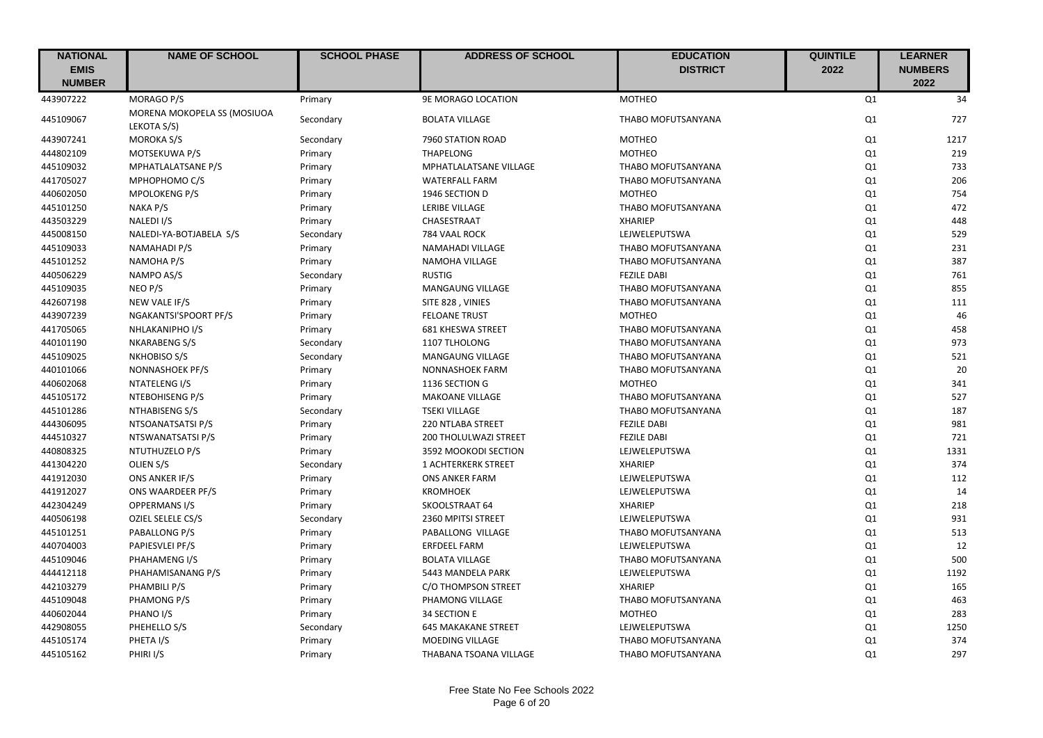| <b>NATIONAL</b>              | <b>NAME OF SCHOOL</b>                      | <b>SCHOOL PHASE</b> | <b>ADDRESS OF SCHOOL</b>     | <b>EDUCATION</b>   | <b>QUINTILE</b> | <b>LEARNER</b>         |
|------------------------------|--------------------------------------------|---------------------|------------------------------|--------------------|-----------------|------------------------|
| <b>EMIS</b><br><b>NUMBER</b> |                                            |                     |                              | <b>DISTRICT</b>    | 2022            | <b>NUMBERS</b><br>2022 |
| 443907222                    | <b>MORAGO P/S</b>                          | Primary             | 9E MORAGO LOCATION           | <b>MOTHEO</b>      | Q1              | 34                     |
| 445109067                    | MORENA MOKOPELA SS (MOSIUOA<br>LEKOTA S/S) | Secondary           | <b>BOLATA VILLAGE</b>        | THABO MOFUTSANYANA | Q1              | 727                    |
| 443907241                    | <b>MOROKA S/S</b>                          | Secondary           | 7960 STATION ROAD            | <b>MOTHEO</b>      | Q1              | 1217                   |
| 444802109                    | MOTSEKUWA P/S                              | Primary             | THAPELONG                    | <b>MOTHEO</b>      | Q <sub>1</sub>  | 219                    |
| 445109032                    | MPHATLALATSANE P/S                         | Primary             | MPHATLALATSANE VILLAGE       | THABO MOFUTSANYANA | Q <sub>1</sub>  | 733                    |
| 441705027                    | MPHOPHOMO C/S                              | Primary             | <b>WATERFALL FARM</b>        | THABO MOFUTSANYANA | Q <sub>1</sub>  | 206                    |
| 440602050                    | <b>MPOLOKENG P/S</b>                       | Primary             | 1946 SECTION D               | <b>MOTHEO</b>      | Q1              | 754                    |
| 445101250                    | NAKA P/S                                   | Primary             | LERIBE VILLAGE               | THABO MOFUTSANYANA | Q1              | 472                    |
| 443503229                    | NALEDI I/S                                 | Primary             | CHASESTRAAT                  | <b>XHARIEP</b>     | Q1              | 448                    |
| 445008150                    | NALEDI-YA-BOTJABELA S/S                    | Secondary           | 784 VAAL ROCK                | LEJWELEPUTSWA      | Q1              | 529                    |
| 445109033                    | NAMAHADI P/S                               | Primary             | NAMAHADI VILLAGE             | THABO MOFUTSANYANA | Q <sub>1</sub>  | 231                    |
| 445101252                    | NAMOHA P/S                                 | Primary             | NAMOHA VILLAGE               | THABO MOFUTSANYANA | Q1              | 387                    |
| 440506229                    | NAMPO AS/S                                 | Secondary           | <b>RUSTIG</b>                | <b>FEZILE DABI</b> | Q1              | 761                    |
| 445109035                    | NEO P/S                                    | Primary             | MANGAUNG VILLAGE             | THABO MOFUTSANYANA | Q1              | 855                    |
| 442607198                    | NEW VALE IF/S                              | Primary             | SITE 828, VINIES             | THABO MOFUTSANYANA | Q1              | 111                    |
| 443907239                    | NGAKANTSI'SPOORT PF/S                      | Primary             | <b>FELOANE TRUST</b>         | <b>MOTHEO</b>      | Q1              | 46                     |
| 441705065                    | NHLAKANIPHO I/S                            | Primary             | <b>681 KHESWA STREET</b>     | THABO MOFUTSANYANA | Q1              | 458                    |
| 440101190                    | NKARABENG S/S                              | Secondary           | 1107 TLHOLONG                | THABO MOFUTSANYANA | Q1              | 973                    |
| 445109025                    | NKHOBISO S/S                               | Secondary           | MANGAUNG VILLAGE             | THABO MOFUTSANYANA | Q1              | 521                    |
| 440101066                    | NONNASHOEK PF/S                            | Primary             | <b>NONNASHOEK FARM</b>       | THABO MOFUTSANYANA | Q1              | 20                     |
| 440602068                    | NTATELENG I/S                              | Primary             | 1136 SECTION G               | <b>MOTHEO</b>      | Q1              | 341                    |
| 445105172                    | NTEBOHISENG P/S                            | Primary             | <b>MAKOANE VILLAGE</b>       | THABO MOFUTSANYANA | Q1              | 527                    |
| 445101286                    | NTHABISENG S/S                             | Secondary           | <b>TSEKI VILLAGE</b>         | THABO MOFUTSANYANA | Q1              | 187                    |
| 444306095                    | NTSOANATSATSI P/S                          | Primary             | 220 NTLABA STREET            | <b>FEZILE DABI</b> | Q1              | 981                    |
| 444510327                    | NTSWANATSATSI P/S                          | Primary             | <b>200 THOLULWAZI STREET</b> | <b>FEZILE DABI</b> | Q1              | 721                    |
| 440808325                    | NTUTHUZELO P/S                             | Primary             | 3592 MOOKODI SECTION         | LEJWELEPUTSWA      | Q1              | 1331                   |
| 441304220                    | OLIEN S/S                                  | Secondary           | <b>1 ACHTERKERK STREET</b>   | <b>XHARIEP</b>     | Q1              | 374                    |
| 441912030                    | ONS ANKER IF/S                             | Primary             | <b>ONS ANKER FARM</b>        | LEJWELEPUTSWA      | Q1              | 112                    |
| 441912027                    | ONS WAARDEER PF/S                          | Primary             | <b>KROMHOEK</b>              | LEJWELEPUTSWA      | Q1              | 14                     |
| 442304249                    | OPPERMANS I/S                              | Primary             | SKOOLSTRAAT 64               | <b>XHARIEP</b>     | Q1              | 218                    |
| 440506198                    | <b>OZIEL SELELE CS/S</b>                   | Secondary           | 2360 MPITSI STREET           | LEJWELEPUTSWA      | Q1              | 931                    |
| 445101251                    | PABALLONG P/S                              | Primary             | PABALLONG VILLAGE            | THABO MOFUTSANYANA | Q1              | 513                    |
| 440704003                    | PAPIESVLEI PF/S                            | Primary             | <b>ERFDEEL FARM</b>          | LEJWELEPUTSWA      | Q1              | 12                     |
| 445109046                    | PHAHAMENG I/S                              | Primary             | <b>BOLATA VILLAGE</b>        | THABO MOFUTSANYANA | Q1              | 500                    |
| 444412118                    | PHAHAMISANANG P/S                          | Primary             | 5443 MANDELA PARK            | LEJWELEPUTSWA      | Q1              | 1192                   |
| 442103279                    | PHAMBILI P/S                               | Primary             | C/O THOMPSON STREET          | <b>XHARIEP</b>     | Q1              | 165                    |
| 445109048                    | PHAMONG P/S                                | Primary             | PHAMONG VILLAGE              | THABO MOFUTSANYANA | Q1              | 463                    |
| 440602044                    | PHANO I/S                                  | Primary             | 34 SECTION E                 | <b>MOTHEO</b>      | Q1              | 283                    |
| 442908055                    | PHEHELLO S/S                               | Secondary           | <b>645 MAKAKANE STREET</b>   | LEJWELEPUTSWA      | Q1              | 1250                   |
| 445105174                    | PHETA I/S                                  | Primary             | MOEDING VILLAGE              | THABO MOFUTSANYANA | Q1              | 374                    |
| 445105162                    | PHIRI I/S                                  | Primary             | THABANA TSOANA VILLAGE       | THABO MOFUTSANYANA | Q1              | 297                    |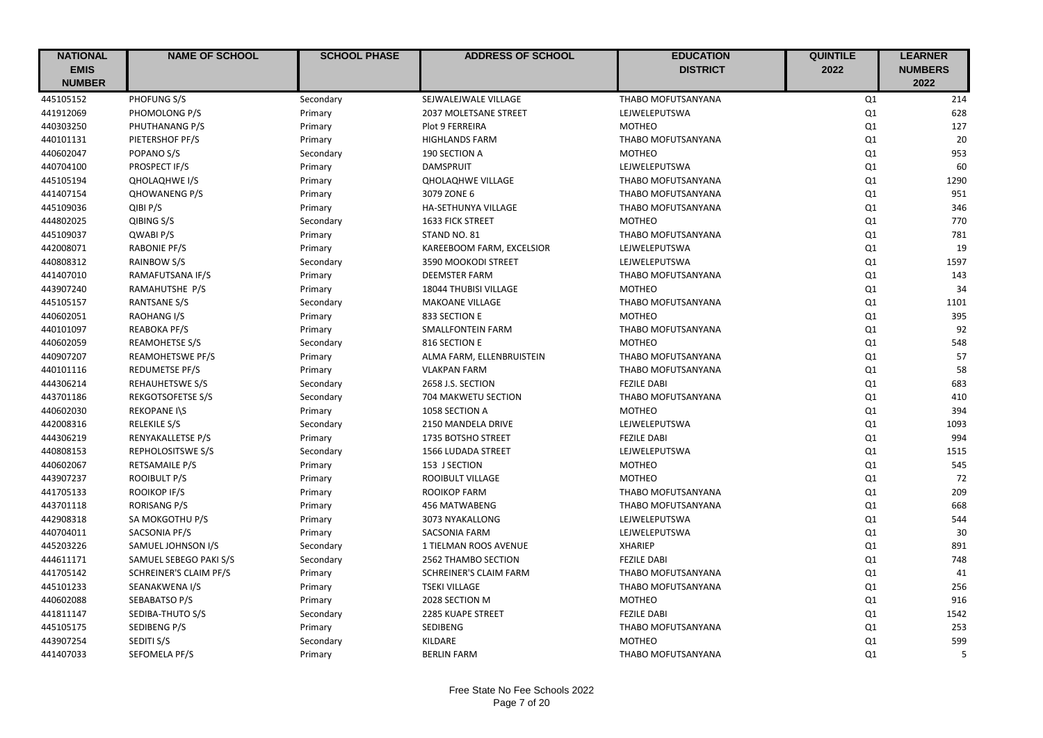| <b>NATIONAL</b> | <b>NAME OF SCHOOL</b>         | <b>SCHOOL PHASE</b> | <b>ADDRESS OF SCHOOL</b>  | <b>EDUCATION</b>          | <b>QUINTILE</b> | <b>LEARNER</b> |
|-----------------|-------------------------------|---------------------|---------------------------|---------------------------|-----------------|----------------|
| <b>EMIS</b>     |                               |                     |                           | <b>DISTRICT</b>           | 2022            | <b>NUMBERS</b> |
| <b>NUMBER</b>   |                               |                     |                           |                           |                 | 2022           |
| 445105152       | PHOFUNG S/S                   | Secondary           | SEJWALEJWALE VILLAGE      | THABO MOFUTSANYANA        | Q1              | 214            |
| 441912069       | PHOMOLONG P/S                 | Primary             | 2037 MOLETSANE STREET     | LEJWELEPUTSWA             | Q1              | 628            |
| 440303250       | PHUTHANANG P/S                | Primary             | <b>Plot 9 FERREIRA</b>    | <b>MOTHEO</b>             | Q1              | 127            |
| 440101131       | PIETERSHOF PF/S               | Primary             | <b>HIGHLANDS FARM</b>     | THABO MOFUTSANYANA        | Q1              | 20             |
| 440602047       | POPANO S/S                    | Secondary           | 190 SECTION A             | <b>MOTHEO</b>             | Q1              | 953            |
| 440704100       | PROSPECT IF/S                 | Primary             | <b>DAMSPRUIT</b>          | LEJWELEPUTSWA             | Q1              | 60             |
| 445105194       | QHOLAQHWE I/S                 | Primary             | <b>QHOLAQHWE VILLAGE</b>  | THABO MOFUTSANYANA        | Q1              | 1290           |
| 441407154       | <b>QHOWANENG P/S</b>          | Primary             | 3079 ZONE 6               | THABO MOFUTSANYANA        | Q1              | 951            |
| 445109036       | QIBI P/S                      | Primary             | HA-SETHUNYA VILLAGE       | THABO MOFUTSANYANA        | Q1              | 346            |
| 444802025       | QIBING S/S                    | Secondary           | 1633 FICK STREET          | <b>MOTHEO</b>             | Q1              | 770            |
| 445109037       | QWABI P/S                     | Primary             | STAND NO. 81              | THABO MOFUTSANYANA        | Q1              | 781            |
| 442008071       | <b>RABONIE PF/S</b>           | Primary             | KAREEBOOM FARM, EXCELSIOR | LEJWELEPUTSWA             | Q1              | 19             |
| 440808312       | RAINBOW S/S                   | Secondary           | 3590 MOOKODI STREET       | LEJWELEPUTSWA             | Q1              | 1597           |
| 441407010       | RAMAFUTSANA IF/S              | Primary             | <b>DEEMSTER FARM</b>      | THABO MOFUTSANYANA        | Q1              | 143            |
| 443907240       | RAMAHUTSHE P/S                | Primary             | 18044 THUBISI VILLAGE     | <b>MOTHEO</b>             | Q1              | 34             |
| 445105157       | <b>RANTSANE S/S</b>           | Secondary           | <b>MAKOANE VILLAGE</b>    | THABO MOFUTSANYANA        | Q1              | 1101           |
| 440602051       | <b>RAOHANG I/S</b>            | Primary             | 833 SECTION E             | <b>MOTHEO</b>             | Q1              | 395            |
| 440101097       | <b>REABOKA PF/S</b>           | Primary             | SMALLFONTEIN FARM         | THABO MOFUTSANYANA        | Q1              | 92             |
| 440602059       | <b>REAMOHETSE S/S</b>         | Secondary           | 816 SECTION E             | <b>MOTHEO</b>             | Q1              | 548            |
| 440907207       | <b>REAMOHETSWE PF/S</b>       | Primary             | ALMA FARM, ELLENBRUISTEIN | THABO MOFUTSANYANA        | Q1              | 57             |
| 440101116       | <b>REDUMETSE PF/S</b>         | Primary             | <b>VLAKPAN FARM</b>       | THABO MOFUTSANYANA        | Q1              | 58             |
| 444306214       | REHAUHETSWE S/S               | Secondary           | 2658 J.S. SECTION         | <b>FEZILE DABI</b>        | Q1              | 683            |
| 443701186       | <b>REKGOTSOFETSE S/S</b>      | Secondary           | 704 MAKWETU SECTION       | THABO MOFUTSANYANA        | Q1              | 410            |
| 440602030       | <b>REKOPANE I\S</b>           | Primary             | 1058 SECTION A            | <b>MOTHEO</b>             | Q1              | 394            |
| 442008316       | RELEKILE S/S                  | Secondary           | 2150 MANDELA DRIVE        | LEJWELEPUTSWA             | Q1              | 1093           |
| 444306219       | RENYAKALLETSE P/S             | Primary             | 1735 BOTSHO STREET        | <b>FEZILE DABI</b>        | Q1              | 994            |
| 440808153       | REPHOLOSITSWE S/S             | Secondary           | 1566 LUDADA STREET        | LEJWELEPUTSWA             | Q1              | 1515           |
| 440602067       | <b>RETSAMAILE P/S</b>         | Primary             | 153 J SECTION             | <b>MOTHEO</b>             | Q1              | 545            |
| 443907237       | <b>ROOIBULT P/S</b>           | Primary             | <b>ROOIBULT VILLAGE</b>   | <b>MOTHEO</b>             | Q1              | 72             |
| 441705133       | <b>ROOIKOP IF/S</b>           | Primary             | ROOIKOP FARM              | THABO MOFUTSANYANA        | Q1              | 209            |
| 443701118       | <b>RORISANG P/S</b>           | Primary             | <b>456 MATWABENG</b>      | <b>THABO MOFUTSANYANA</b> | Q1              | 668            |
| 442908318       | SA MOKGOTHU P/S               | Primary             | 3073 NYAKALLONG           | LEJWELEPUTSWA             | Q1              | 544            |
| 440704011       | SACSONIA PF/S                 | Primary             | <b>SACSONIA FARM</b>      | LEJWELEPUTSWA             | Q1              | 30             |
| 445203226       | SAMUEL JOHNSON I/S            | Secondary           | 1 TIELMAN ROOS AVENUE     | <b>XHARIEP</b>            | Q1              | 891            |
| 444611171       | SAMUEL SEBEGO PAKI S/S        | Secondary           | 2562 THAMBO SECTION       | <b>FEZILE DABI</b>        | Q1              | 748            |
| 441705142       | <b>SCHREINER'S CLAIM PF/S</b> | Primary             | SCHREINER'S CLAIM FARM    | THABO MOFUTSANYANA        | Q1              | 41             |
| 445101233       | SEANAKWENA I/S                | Primary             | <b>TSEKI VILLAGE</b>      | THABO MOFUTSANYANA        | Q1              | 256            |
| 440602088       | SEBABATSO P/S                 | Primary             | 2028 SECTION M            | <b>MOTHEO</b>             | Q1              | 916            |
| 441811147       | SEDIBA-THUTO S/S              | Secondary           | 2285 KUAPE STREET         | <b>FEZILE DABI</b>        | Q1              | 1542           |
| 445105175       | SEDIBENG P/S                  | Primary             | SEDIBENG                  | THABO MOFUTSANYANA        | Q1              | 253            |
| 443907254       | SEDITI S/S                    | Secondary           | KILDARE                   | <b>MOTHEO</b>             | Q1              | 599            |
| 441407033       | SEFOMELA PF/S                 | Primary             | <b>BERLIN FARM</b>        | THABO MOFUTSANYANA        | Q1              | 5              |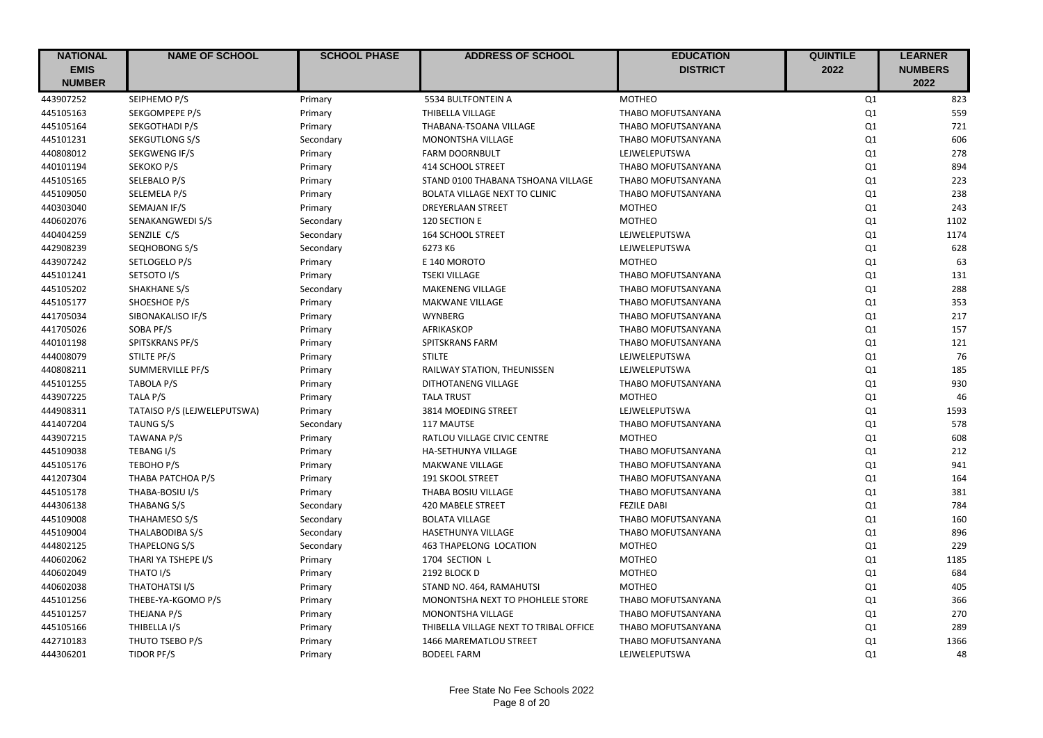| <b>NATIONAL</b> | <b>NAME OF SCHOOL</b>       | <b>SCHOOL PHASE</b> | <b>ADDRESS OF SCHOOL</b>               | <b>EDUCATION</b>          | <b>QUINTILE</b> | <b>LEARNER</b> |
|-----------------|-----------------------------|---------------------|----------------------------------------|---------------------------|-----------------|----------------|
| <b>EMIS</b>     |                             |                     |                                        | <b>DISTRICT</b>           | 2022            | <b>NUMBERS</b> |
| <b>NUMBER</b>   |                             |                     |                                        |                           |                 | 2022           |
| 443907252       | SEIPHEMO P/S                | Primary             | 5534 BULTFONTEIN A                     | <b>MOTHEO</b>             | Q1              | 823            |
| 445105163       | SEKGOMPEPE P/S              | Primary             | THIBELLA VILLAGE                       | THABO MOFUTSANYANA        | Q1              | 559            |
| 445105164       | SEKGOTHADI P/S              | Primary             | THABANA-TSOANA VILLAGE                 | THABO MOFUTSANYANA        | Q1              | 721            |
| 445101231       | SEKGUTLONG S/S              | Secondary           | MONONTSHA VILLAGE                      | THABO MOFUTSANYANA        | Q1              | 606            |
| 440808012       | SEKGWENG IF/S               | Primary             | <b>FARM DOORNBULT</b>                  | LEJWELEPUTSWA             | Q1              | 278            |
| 440101194       | SEKOKO P/S                  | Primary             | 414 SCHOOL STREET                      | THABO MOFUTSANYANA        | Q1              | 894            |
| 445105165       | SELEBALO P/S                | Primary             | STAND 0100 THABANA TSHOANA VILLAGE     | THABO MOFUTSANYANA        | Q1              | 223            |
| 445109050       | SELEMELA P/S                | Primary             | <b>BOLATA VILLAGE NEXT TO CLINIC</b>   | THABO MOFUTSANYANA        | Q1              | 238            |
| 440303040       | SEMAJAN IF/S                | Primary             | DREYERLAAN STREET                      | <b>MOTHEO</b>             | Q1              | 243            |
| 440602076       | SENAKANGWEDI S/S            | Secondary           | 120 SECTION E                          | <b>MOTHEO</b>             | Q1              | 1102           |
| 440404259       | SENZILE C/S                 | Secondary           | <b>164 SCHOOL STREET</b>               | LEJWELEPUTSWA             | Q1              | 1174           |
| 442908239       | SEQHOBONG S/S               | Secondary           | 6273 K6                                | LEJWELEPUTSWA             | Q1              | 628            |
| 443907242       | SETLOGELO P/S               | Primary             | E 140 MOROTO                           | <b>MOTHEO</b>             | Q1              | 63             |
| 445101241       | SETSOTO I/S                 | Primary             | <b>TSEKI VILLAGE</b>                   | THABO MOFUTSANYANA        | Q1              | 131            |
| 445105202       | SHAKHANE S/S                | Secondary           | <b>MAKENENG VILLAGE</b>                | THABO MOFUTSANYANA        | Q1              | 288            |
| 445105177       | SHOESHOE P/S                | Primary             | <b>MAKWANE VILLAGE</b>                 | THABO MOFUTSANYANA        | Q1              | 353            |
| 441705034       | SIBONAKALISO IF/S           | Primary             | <b>WYNBERG</b>                         | THABO MOFUTSANYANA        | Q1              | 217            |
| 441705026       | SOBA PF/S                   | Primary             | AFRIKASKOP                             | THABO MOFUTSANYANA        | Q1              | 157            |
| 440101198       | SPITSKRANS PF/S             | Primary             | SPITSKRANS FARM                        | THABO MOFUTSANYANA        | Q1              | 121            |
| 444008079       | STILTE PF/S                 | Primary             | <b>STILTE</b>                          | LEJWELEPUTSWA             | Q1              | 76             |
| 440808211       | <b>SUMMERVILLE PF/S</b>     | Primary             | RAILWAY STATION, THEUNISSEN            | LEJWELEPUTSWA             | Q1              | 185            |
| 445101255       | TABOLA P/S                  | Primary             | DITHOTANENG VILLAGE                    | THABO MOFUTSANYANA        | Q1              | 930            |
| 443907225       | TALA P/S                    | Primary             | <b>TALA TRUST</b>                      | <b>MOTHEO</b>             | Q1              | 46             |
| 444908311       | TATAISO P/S (LEJWELEPUTSWA) | Primary             | 3814 MOEDING STREET                    | LEJWELEPUTSWA             | Q1              | 1593           |
| 441407204       | <b>TAUNG S/S</b>            | Secondary           | 117 MAUTSE                             | THABO MOFUTSANYANA        | Q1              | 578            |
| 443907215       | TAWANA P/S                  | Primary             | RATLOU VILLAGE CIVIC CENTRE            | <b>MOTHEO</b>             | Q1              | 608            |
| 445109038       | <b>TEBANG I/S</b>           | Primary             | <b>HA-SETHUNYA VILLAGE</b>             | THABO MOFUTSANYANA        | Q1              | 212            |
| 445105176       | TEBOHO P/S                  | Primary             | <b>MAKWANE VILLAGE</b>                 | THABO MOFUTSANYANA        | Q1              | 941            |
| 441207304       | THABA PATCHOA P/S           | Primary             | <b>191 SKOOL STREET</b>                | <b>THABO MOFUTSANYANA</b> | Q1              | 164            |
| 445105178       | THABA-BOSIU I/S             | Primary             | THABA BOSIU VILLAGE                    | THABO MOFUTSANYANA        | Q1              | 381            |
| 444306138       | THABANG S/S                 | Secondary           | <b>420 MABELE STREET</b>               | <b>FEZILE DABI</b>        | Q1              | 784            |
| 445109008       | THAHAMESO S/S               | Secondary           | <b>BOLATA VILLAGE</b>                  | <b>THABO MOFUTSANYANA</b> | Q1              | 160            |
| 445109004       | THALABODIBA S/S             | Secondary           | HASETHUNYA VILLAGE                     | THABO MOFUTSANYANA        | Q1              | 896            |
| 444802125       | THAPELONG S/S               | Secondary           | 463 THAPELONG LOCATION                 | <b>MOTHEO</b>             | Q1              | 229            |
| 440602062       | THARI YA TSHEPE I/S         | Primary             | 1704 SECTION L                         | <b>MOTHEO</b>             | Q1              | 1185           |
| 440602049       | THATO I/S                   | Primary             | 2192 BLOCK D                           | <b>MOTHEO</b>             | Q1              | 684            |
| 440602038       | THATOHATSI I/S              | Primary             | STAND NO. 464, RAMAHUTSI               | <b>MOTHEO</b>             | Q1              | 405            |
| 445101256       | THEBE-YA-KGOMO P/S          | Primary             | MONONTSHA NEXT TO PHOHLELE STORE       | THABO MOFUTSANYANA        | Q1              | 366            |
| 445101257       | THEJANA P/S                 | Primary             | MONONTSHA VILLAGE                      | THABO MOFUTSANYANA        | Q1              | 270            |
| 445105166       | THIBELLA I/S                | Primary             | THIBELLA VILLAGE NEXT TO TRIBAL OFFICE | THABO MOFUTSANYANA        | Q1              | 289            |
| 442710183       | THUTO TSEBO P/S             | Primary             | 1466 MAREMATLOU STREET                 | THABO MOFUTSANYANA        | Q1              | 1366           |
| 444306201       | TIDOR PF/S                  | Primary             | <b>BODEEL FARM</b>                     | LEJWELEPUTSWA             | Q1              | 48             |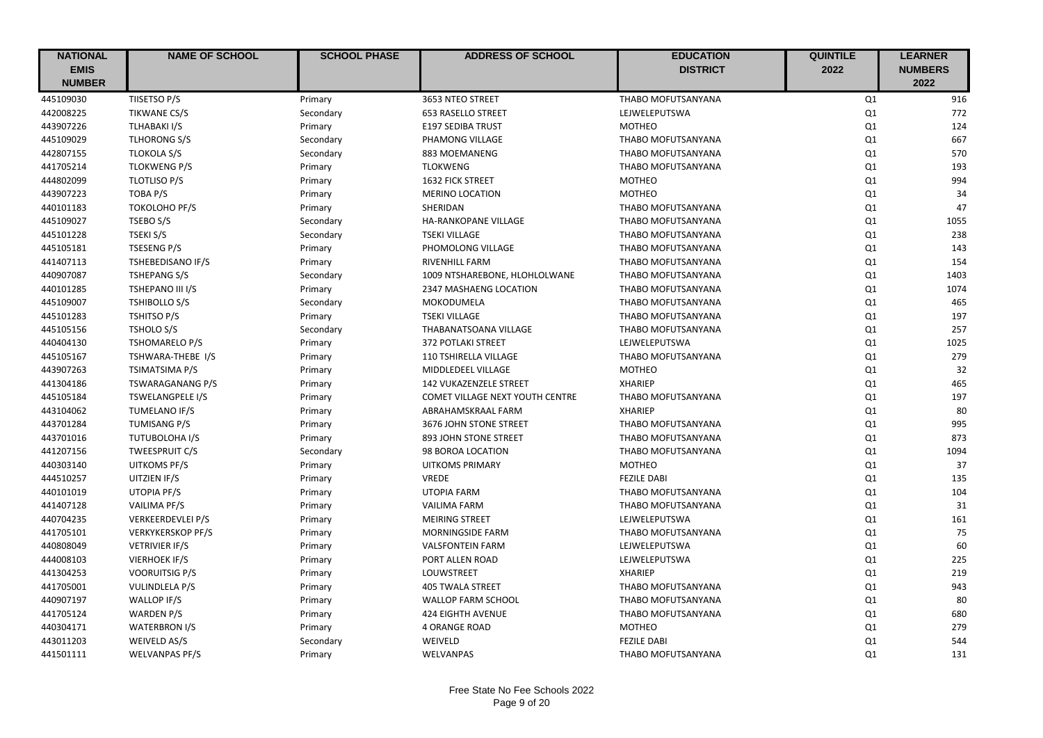| <b>NATIONAL</b> | <b>NAME OF SCHOOL</b>    | <b>SCHOOL PHASE</b> | <b>ADDRESS OF SCHOOL</b>        | <b>EDUCATION</b>          | <b>QUINTILE</b> | <b>LEARNER</b> |
|-----------------|--------------------------|---------------------|---------------------------------|---------------------------|-----------------|----------------|
| <b>EMIS</b>     |                          |                     |                                 | <b>DISTRICT</b>           | 2022            | <b>NUMBERS</b> |
| <b>NUMBER</b>   |                          |                     |                                 |                           |                 | 2022           |
| 445109030       | TIISETSO P/S             | Primary             | 3653 NTEO STREET                | THABO MOFUTSANYANA        | Q1              | 916            |
| 442008225       | <b>TIKWANE CS/S</b>      | Secondary           | <b>653 RASELLO STREET</b>       | LEJWELEPUTSWA             | Q1              | 772            |
| 443907226       | TLHABAKI I/S             | Primary             | <b>E197 SEDIBA TRUST</b>        | <b>MOTHEO</b>             | Q1              | 124            |
| 445109029       | <b>TLHORONG S/S</b>      | Secondary           | PHAMONG VILLAGE                 | THABO MOFUTSANYANA        | Q1              | 667            |
| 442807155       | <b>TLOKOLA S/S</b>       | Secondary           | 883 MOEMANENG                   | THABO MOFUTSANYANA        | Q1              | 570            |
| 441705214       | <b>TLOKWENG P/S</b>      | Primary             | <b>TLOKWENG</b>                 | THABO MOFUTSANYANA        | Q1              | 193            |
| 444802099       | <b>TLOTLISO P/S</b>      | Primary             | <b>1632 FICK STREET</b>         | <b>MOTHEO</b>             | Q1              | 994            |
| 443907223       | TOBA P/S                 | Primary             | <b>MERINO LOCATION</b>          | <b>MOTHEO</b>             | Q1              | 34             |
| 440101183       | <b>TOKOLOHO PF/S</b>     | Primary             | SHERIDAN                        | THABO MOFUTSANYANA        | Q1              | 47             |
| 445109027       | TSEBO S/S                | Secondary           | HA-RANKOPANE VILLAGE            | THABO MOFUTSANYANA        | Q1              | 1055           |
| 445101228       | TSEKI S/S                | Secondary           | <b>TSEKI VILLAGE</b>            | THABO MOFUTSANYANA        | Q1              | 238            |
| 445105181       | <b>TSESENG P/S</b>       | Primary             | PHOMOLONG VILLAGE               | THABO MOFUTSANYANA        | Q1              | 143            |
| 441407113       | TSHEBEDISANO IF/S        | Primary             | <b>RIVENHILL FARM</b>           | THABO MOFUTSANYANA        | Q1              | 154            |
| 440907087       | <b>TSHEPANG S/S</b>      | Secondary           | 1009 NTSHAREBONE, HLOHLOLWANE   | THABO MOFUTSANYANA        | Q1              | 1403           |
| 440101285       | TSHEPANO III I/S         | Primary             | 2347 MASHAENG LOCATION          | THABO MOFUTSANYANA        | Q1              | 1074           |
| 445109007       | <b>TSHIBOLLO S/S</b>     | Secondary           | <b>MOKODUMELA</b>               | THABO MOFUTSANYANA        | Q1              | 465            |
| 445101283       | TSHITSO P/S              | Primary             | <b>TSEKI VILLAGE</b>            | THABO MOFUTSANYANA        | Q1              | 197            |
| 445105156       | <b>TSHOLO S/S</b>        | Secondary           | THABANATSOANA VILLAGE           | THABO MOFUTSANYANA        | Q1              | 257            |
| 440404130       | <b>TSHOMARELO P/S</b>    | Primary             | <b>372 POTLAKI STREET</b>       | LEJWELEPUTSWA             | Q1              | 1025           |
| 445105167       | TSHWARA-THEBE I/S        | Primary             | 110 TSHIRELLA VILLAGE           | THABO MOFUTSANYANA        | Q1              | 279            |
| 443907263       | <b>TSIMATSIMA P/S</b>    | Primary             | MIDDLEDEEL VILLAGE              | <b>MOTHEO</b>             | Q1              | 32             |
| 441304186       | TSWARAGANANG P/S         | Primary             | <b>142 VUKAZENZELE STREET</b>   | <b>XHARIEP</b>            | Q1              | 465            |
| 445105184       | <b>TSWELANGPELE I/S</b>  | Primary             | COMET VILLAGE NEXT YOUTH CENTRE | THABO MOFUTSANYANA        | Q1              | 197            |
| 443104062       | TUMELANO IF/S            | Primary             | ABRAHAMSKRAAL FARM              | <b>XHARIEP</b>            | Q1              | 80             |
| 443701284       | <b>TUMISANG P/S</b>      | Primary             | 3676 JOHN STONE STREET          | THABO MOFUTSANYANA        | Q1              | 995            |
| 443701016       | <b>TUTUBOLOHA I/S</b>    | Primary             | 893 JOHN STONE STREET           | <b>THABO MOFUTSANYANA</b> | Q1              | 873            |
| 441207156       | <b>TWEESPRUIT C/S</b>    | Secondary           | 98 BOROA LOCATION               | THABO MOFUTSANYANA        | Q1              | 1094           |
| 440303140       | <b>UITKOMS PF/S</b>      | Primary             | <b>UITKOMS PRIMARY</b>          | <b>MOTHEO</b>             | Q1              | 37             |
| 444510257       | UITZIEN IF/S             | Primary             | <b>VREDE</b>                    | <b>FEZILE DABI</b>        | Q1              | 135            |
| 440101019       | UTOPIA PF/S              | Primary             | <b>UTOPIA FARM</b>              | THABO MOFUTSANYANA        | Q1              | 104            |
| 441407128       | <b>VAILIMA PF/S</b>      | Primary             | <b>VAILIMA FARM</b>             | THABO MOFUTSANYANA        | Q1              | 31             |
| 440704235       | <b>VERKEERDEVLEI P/S</b> | Primary             | <b>MEIRING STREET</b>           | LEJWELEPUTSWA             | Q1              | 161            |
| 441705101       | <b>VERKYKERSKOP PF/S</b> | Primary             | MORNINGSIDE FARM                | THABO MOFUTSANYANA        | Q1              | 75             |
| 440808049       | <b>VETRIVIER IF/S</b>    | Primary             | <b>VALSFONTEIN FARM</b>         | LEJWELEPUTSWA             | Q1              | 60             |
| 444008103       | <b>VIERHOEK IF/S</b>     | Primary             | PORT ALLEN ROAD                 | LEJWELEPUTSWA             | Q1              | 225            |
| 441304253       | <b>VOORUITSIG P/S</b>    | Primary             | LOUWSTREET                      | <b>XHARIEP</b>            | Q1              | 219            |
| 441705001       | VULINDLELA P/S           | Primary             | <b>405 TWALA STREET</b>         | THABO MOFUTSANYANA        | Q1              | 943            |
| 440907197       | WALLOP IF/S              | Primary             | WALLOP FARM SCHOOL              | THABO MOFUTSANYANA        | Q1              | 80             |
| 441705124       | <b>WARDEN P/S</b>        | Primary             | <b>424 EIGHTH AVENUE</b>        | THABO MOFUTSANYANA        | Q1              | 680            |
| 440304171       | <b>WATERBRON I/S</b>     | Primary             | <b>4 ORANGE ROAD</b>            | <b>MOTHEO</b>             | Q1              | 279            |
| 443011203       | WEIVELD AS/S             | Secondary           | WEIVELD                         | <b>FEZILE DABI</b>        | Q1              | 544            |
| 441501111       | <b>WELVANPAS PF/S</b>    | Primary             | WELVANPAS                       | THABO MOFUTSANYANA        | Q1              | 131            |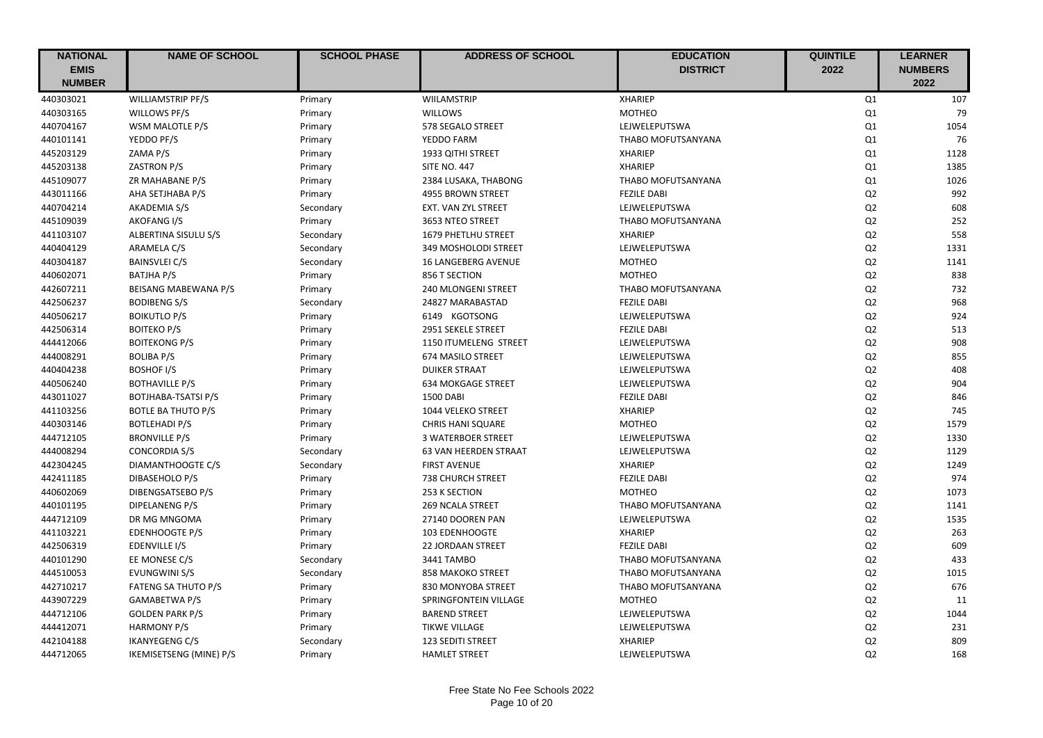| <b>NATIONAL</b> | <b>NAME OF SCHOOL</b>      | <b>SCHOOL PHASE</b> | <b>ADDRESS OF SCHOOL</b>   | <b>EDUCATION</b>   | <b>QUINTILE</b> | <b>LEARNER</b> |
|-----------------|----------------------------|---------------------|----------------------------|--------------------|-----------------|----------------|
| <b>EMIS</b>     |                            |                     |                            | <b>DISTRICT</b>    | 2022            | <b>NUMBERS</b> |
| <b>NUMBER</b>   |                            |                     |                            |                    |                 | 2022           |
| 440303021       | <b>WILLIAMSTRIP PF/S</b>   | Primary             | WIILAMSTRIP                | <b>XHARIEP</b>     | Q1              | 107            |
| 440303165       | WILLOWS PF/S               | Primary             | <b>WILLOWS</b>             | <b>MOTHEO</b>      | Q1              | 79             |
| 440704167       | WSM MALOTLE P/S            | Primary             | 578 SEGALO STREET          | LEJWELEPUTSWA      | Q1              | 1054           |
| 440101141       | YEDDO PF/S                 | Primary             | YEDDO FARM                 | THABO MOFUTSANYANA | Q1              | 76             |
| 445203129       | ZAMA P/S                   | Primary             | 1933 QITHI STREET          | <b>XHARIEP</b>     | Q1              | 1128           |
| 445203138       | ZASTRON P/S                | Primary             | <b>SITE NO. 447</b>        | <b>XHARIEP</b>     | Q1              | 1385           |
| 445109077       | ZR MAHABANE P/S            | Primary             | 2384 LUSAKA, THABONG       | THABO MOFUTSANYANA | Q1              | 1026           |
| 443011166       | AHA SETJHABA P/S           | Primary             | 4955 BROWN STREET          | <b>FEZILE DABI</b> | Q2              | 992            |
| 440704214       | AKADEMIA S/S               | Secondary           | EXT. VAN ZYL STREET        | LEJWELEPUTSWA      | Q <sub>2</sub>  | 608            |
| 445109039       | AKOFANG I/S                | Primary             | 3653 NTEO STREET           | THABO MOFUTSANYANA | Q2              | 252            |
| 441103107       | ALBERTINA SISULU S/S       | Secondary           | <b>1679 PHETLHU STREET</b> | <b>XHARIEP</b>     | Q2              | 558            |
| 440404129       | ARAMELA C/S                | Secondary           | 349 MOSHOLODI STREET       | LEJWELEPUTSWA      | Q2              | 1331           |
| 440304187       | <b>BAINSVLEI C/S</b>       | Secondary           | 16 LANGEBERG AVENUE        | <b>MOTHEO</b>      | Q2              | 1141           |
| 440602071       | <b>BATJHA P/S</b>          | Primary             | 856 T SECTION              | <b>MOTHEO</b>      | Q2              | 838            |
| 442607211       | BEISANG MABEWANA P/S       | Primary             | 240 MLONGENI STREET        | THABO MOFUTSANYANA | Q2              | 732            |
| 442506237       | <b>BODIBENG S/S</b>        | Secondary           | 24827 MARABASTAD           | <b>FEZILE DABI</b> | Q2              | 968            |
| 440506217       | <b>BOIKUTLO P/S</b>        | Primary             | 6149 KGOTSONG              | LEJWELEPUTSWA      | Q2              | 924            |
| 442506314       | <b>BOITEKO P/S</b>         | Primary             | 2951 SEKELE STREET         | <b>FEZILE DABI</b> | Q <sub>2</sub>  | 513            |
| 444412066       | <b>BOITEKONG P/S</b>       | Primary             | 1150 ITUMELENG STREET      | LEJWELEPUTSWA      | Q2              | 908            |
| 444008291       | <b>BOLIBA P/S</b>          | Primary             | 674 MASILO STREET          | LEJWELEPUTSWA      | Q2              | 855            |
| 440404238       | <b>BOSHOF I/S</b>          | Primary             | <b>DUIKER STRAAT</b>       | LEJWELEPUTSWA      | Q2              | 408            |
| 440506240       | <b>BOTHAVILLE P/S</b>      | Primary             | <b>634 MOKGAGE STREET</b>  | LEJWELEPUTSWA      | Q2              | 904            |
| 443011027       | <b>BOTJHABA-TSATSI P/S</b> | Primary             | <b>1500 DABI</b>           | <b>FEZILE DABI</b> | Q <sub>2</sub>  | 846            |
| 441103256       | <b>BOTLE BA THUTO P/S</b>  | Primary             | 1044 VELEKO STREET         | <b>XHARIEP</b>     | Q2              | 745            |
| 440303146       | <b>BOTLEHADI P/S</b>       | Primary             | <b>CHRIS HANI SQUARE</b>   | <b>MOTHEO</b>      | Q <sub>2</sub>  | 1579           |
| 444712105       | <b>BRONVILLE P/S</b>       | Primary             | <b>3 WATERBOER STREET</b>  | LEJWELEPUTSWA      | Q2              | 1330           |
| 444008294       | CONCORDIA S/S              | Secondary           | 63 VAN HEERDEN STRAAT      | LEJWELEPUTSWA      | Q2              | 1129           |
| 442304245       | DIAMANTHOOGTE C/S          | Secondary           | <b>FIRST AVENUE</b>        | <b>XHARIEP</b>     | Q <sub>2</sub>  | 1249           |
| 442411185       | DIBASEHOLO P/S             | Primary             | 738 CHURCH STREET          | <b>FEZILE DABI</b> | Q2              | 974            |
| 440602069       | DIBENGSATSEBO P/S          | Primary             | 253 K SECTION              | <b>MOTHEO</b>      | Q2              | 1073           |
| 440101195       | DIPELANENG P/S             | Primary             | <b>269 NCALA STREET</b>    | THABO MOFUTSANYANA | Q2              | 1141           |
| 444712109       | DR MG MNGOMA               | Primary             | 27140 DOOREN PAN           | LEJWELEPUTSWA      | Q2              | 1535           |
| 441103221       | <b>EDENHOOGTE P/S</b>      | Primary             | 103 EDENHOOGTE             | <b>XHARIEP</b>     | Q2              | 263            |
| 442506319       | EDENVILLE I/S              | Primary             | 22 JORDAAN STREET          | <b>FEZILE DABI</b> | Q2              | 609            |
| 440101290       | EE MONESE C/S              | Secondary           | 3441 TAMBO                 | THABO MOFUTSANYANA | Q2              | 433            |
| 444510053       | <b>EVUNGWINI S/S</b>       | Secondary           | <b>858 MAKOKO STREET</b>   | THABO MOFUTSANYANA | Q <sub>2</sub>  | 1015           |
| 442710217       | <b>FATENG SA THUTO P/S</b> | Primary             | 830 MONYOBA STREET         | THABO MOFUTSANYANA | Q2              | 676            |
| 443907229       | GAMABETWA P/S              | Primary             | SPRINGFONTEIN VILLAGE      | <b>MOTHEO</b>      | Q2              | 11             |
| 444712106       | <b>GOLDEN PARK P/S</b>     | Primary             | <b>BAREND STREET</b>       | LEJWELEPUTSWA      | Q2              | 1044           |
| 444412071       | <b>HARMONY P/S</b>         | Primary             | <b>TIKWE VILLAGE</b>       | LEJWELEPUTSWA      | Q2              | 231            |
| 442104188       | <b>IKANYEGENG C/S</b>      | Secondary           | 123 SEDITI STREET          | <b>XHARIEP</b>     | Q2              | 809            |
| 444712065       | IKEMISETSENG (MINE) P/S    | Primary             | <b>HAMLET STREET</b>       | LEJWELEPUTSWA      | Q2              | 168            |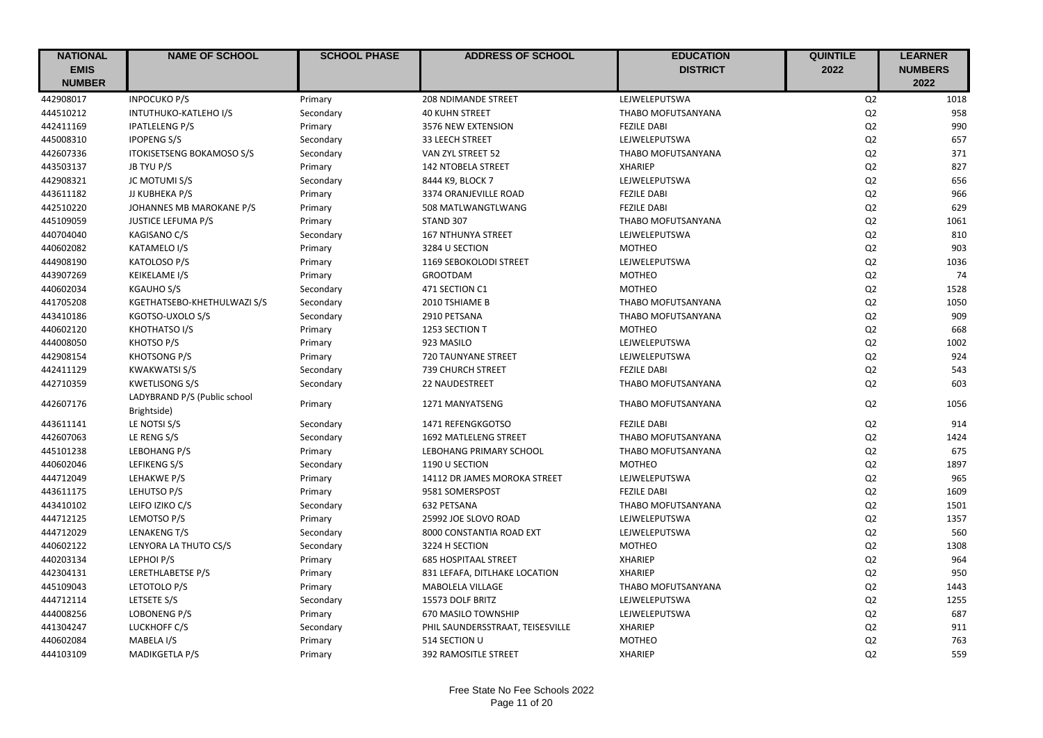| <b>NATIONAL</b> | <b>NAME OF SCHOOL</b>            | <b>SCHOOL PHASE</b> | <b>ADDRESS OF SCHOOL</b>         | <b>EDUCATION</b>   | <b>QUINTILE</b> | <b>LEARNER</b> |
|-----------------|----------------------------------|---------------------|----------------------------------|--------------------|-----------------|----------------|
| <b>EMIS</b>     |                                  |                     |                                  | <b>DISTRICT</b>    | 2022            | <b>NUMBERS</b> |
| <b>NUMBER</b>   |                                  |                     |                                  |                    |                 | 2022           |
| 442908017       | <b>INPOCUKO P/S</b>              | Primary             | <b>208 NDIMANDE STREET</b>       | LEJWELEPUTSWA      | Q2              | 1018           |
| 444510212       | INTUTHUKO-KATLEHO I/S            | Secondary           | <b>40 KUHN STREET</b>            | THABO MOFUTSANYANA | Q2              | 958            |
| 442411169       | <b>IPATLELENG P/S</b>            | Primary             | 3576 NEW EXTENSION               | <b>FEZILE DABI</b> | Q2              | 990            |
| 445008310       | <b>IPOPENG S/S</b>               | Secondary           | 33 LEECH STREET                  | LEJWELEPUTSWA      | Q2              | 657            |
| 442607336       | <b>ITOKISETSENG BOKAMOSO S/S</b> | Secondary           | VAN ZYL STREET 52                | THABO MOFUTSANYANA | Q2              | 371            |
| 443503137       | JB TYU P/S                       | Primary             | <b>142 NTOBELA STREET</b>        | <b>XHARIEP</b>     | Q2              | 827            |
| 442908321       | JC MOTUMI S/S                    | Secondary           | 8444 K9, BLOCK 7                 | LEJWELEPUTSWA      | Q2              | 656            |
| 443611182       | JJ KUBHEKA P/S                   | Primary             | 3374 ORANJEVILLE ROAD            | <b>FEZILE DABI</b> | Q <sub>2</sub>  | 966            |
| 442510220       | JOHANNES MB MAROKANE P/S         | Primary             | 508 MATLWANGTLWANG               | <b>FEZILE DABI</b> | Q2              | 629            |
| 445109059       | <b>JUSTICE LEFUMA P/S</b>        | Primary             | STAND 307                        | THABO MOFUTSANYANA | Q2              | 1061           |
| 440704040       | KAGISANO C/S                     | Secondary           | <b>167 NTHUNYA STREET</b>        | LEJWELEPUTSWA      | Q2              | 810            |
| 440602082       | KATAMELO I/S                     | Primary             | 3284 U SECTION                   | <b>MOTHEO</b>      | Q2              | 903            |
| 444908190       | <b>KATOLOSO P/S</b>              | Primary             | 1169 SEBOKOLODI STREET           | LEJWELEPUTSWA      | Q2              | 1036           |
| 443907269       | <b>KEIKELAME I/S</b>             | Primary             | <b>GROOTDAM</b>                  | <b>MOTHEO</b>      | Q2              | 74             |
| 440602034       | KGAUHO S/S                       | Secondary           | 471 SECTION C1                   | <b>MOTHEO</b>      | Q2              | 1528           |
| 441705208       | KGETHATSEBO-KHETHULWAZI S/S      | Secondary           | 2010 TSHIAME B                   | THABO MOFUTSANYANA | Q2              | 1050           |
| 443410186       | KGOTSO-UXOLO S/S                 | Secondary           | 2910 PETSANA                     | THABO MOFUTSANYANA | Q2              | 909            |
| 440602120       | KHOTHATSO I/S                    | Primary             | 1253 SECTION T                   | <b>MOTHEO</b>      | Q2              | 668            |
| 444008050       | KHOTSO P/S                       | Primary             | 923 MASILO                       | LEJWELEPUTSWA      | Q2              | 1002           |
| 442908154       | KHOTSONG P/S                     | Primary             | <b>720 TAUNYANE STREET</b>       | LEJWELEPUTSWA      | Q2              | 924            |
| 442411129       | <b>KWAKWATSI S/S</b>             | Secondary           | <b>739 CHURCH STREET</b>         | <b>FEZILE DABI</b> | Q2              | 543            |
| 442710359       | <b>KWETLISONG S/S</b>            | Secondary           | 22 NAUDESTREET                   | THABO MOFUTSANYANA | Q2              | 603            |
|                 | LADYBRAND P/S (Public school     |                     |                                  |                    |                 |                |
| 442607176       | Brightside)                      | Primary             | 1271 MANYATSENG                  | THABO MOFUTSANYANA | Q <sub>2</sub>  | 1056           |
| 443611141       | LE NOTSI S/S                     | Secondary           | 1471 REFENGKGOTSO                | <b>FEZILE DABI</b> | Q <sub>2</sub>  | 914            |
| 442607063       | LE RENG S/S                      | Secondary           | 1692 MATLELENG STREET            | THABO MOFUTSANYANA | Q2              | 1424           |
| 445101238       | LEBOHANG P/S                     | Primary             | LEBOHANG PRIMARY SCHOOL          | THABO MOFUTSANYANA | Q <sub>2</sub>  | 675            |
| 440602046       | LEFIKENG S/S                     | Secondary           | 1190 U SECTION                   | <b>MOTHEO</b>      | Q2              | 1897           |
| 444712049       | LEHAKWE P/S                      | Primary             | 14112 DR JAMES MOROKA STREET     | LEJWELEPUTSWA      | Q2              | 965            |
| 443611175       | LEHUTSO P/S                      | Primary             | 9581 SOMERSPOST                  | <b>FEZILE DABI</b> | Q <sub>2</sub>  | 1609           |
| 443410102       | LEIFO IZIKO C/S                  | Secondary           | 632 PETSANA                      | THABO MOFUTSANYANA | Q2              | 1501           |
| 444712125       | LEMOTSO P/S                      | Primary             | 25992 JOE SLOVO ROAD             | LEJWELEPUTSWA      | Q2              | 1357           |
| 444712029       | LENAKENG T/S                     | Secondary           | 8000 CONSTANTIA ROAD EXT         | LEJWELEPUTSWA      | Q2              | 560            |
| 440602122       | LENYORA LA THUTO CS/S            | Secondary           | 3224 H SECTION                   | <b>MOTHEO</b>      | Q2              | 1308           |
| 440203134       | LEPHOI P/S                       | Primary             | <b>685 HOSPITAAL STREET</b>      | <b>XHARIEP</b>     | Q2              | 964            |
| 442304131       | LERETHLABETSE P/S                | Primary             | 831 LEFAFA, DITLHAKE LOCATION    | <b>XHARIEP</b>     | Q2              | 950            |
| 445109043       | LETOTOLO P/S                     | Primary             | <b>MABOLELA VILLAGE</b>          | THABO MOFUTSANYANA | Q2              | 1443           |
| 444712114       | LETSETE S/S                      | Secondary           | 15573 DOLF BRITZ                 | LEJWELEPUTSWA      | Q2              | 1255           |
| 444008256       | <b>LOBONENG P/S</b>              | Primary             | 670 MASILO TOWNSHIP              | LEJWELEPUTSWA      | Q2              | 687            |
| 441304247       | LUCKHOFF C/S                     | Secondary           | PHIL SAUNDERSSTRAAT, TEISESVILLE | <b>XHARIEP</b>     | Q2              | 911            |
| 440602084       | MABELA I/S                       | Primary             | 514 SECTION U                    | <b>MOTHEO</b>      | Q2              | 763            |
| 444103109       | <b>MADIKGETLA P/S</b>            | Primary             | <b>392 RAMOSITLE STREET</b>      | <b>XHARIEP</b>     | Q2              | 559            |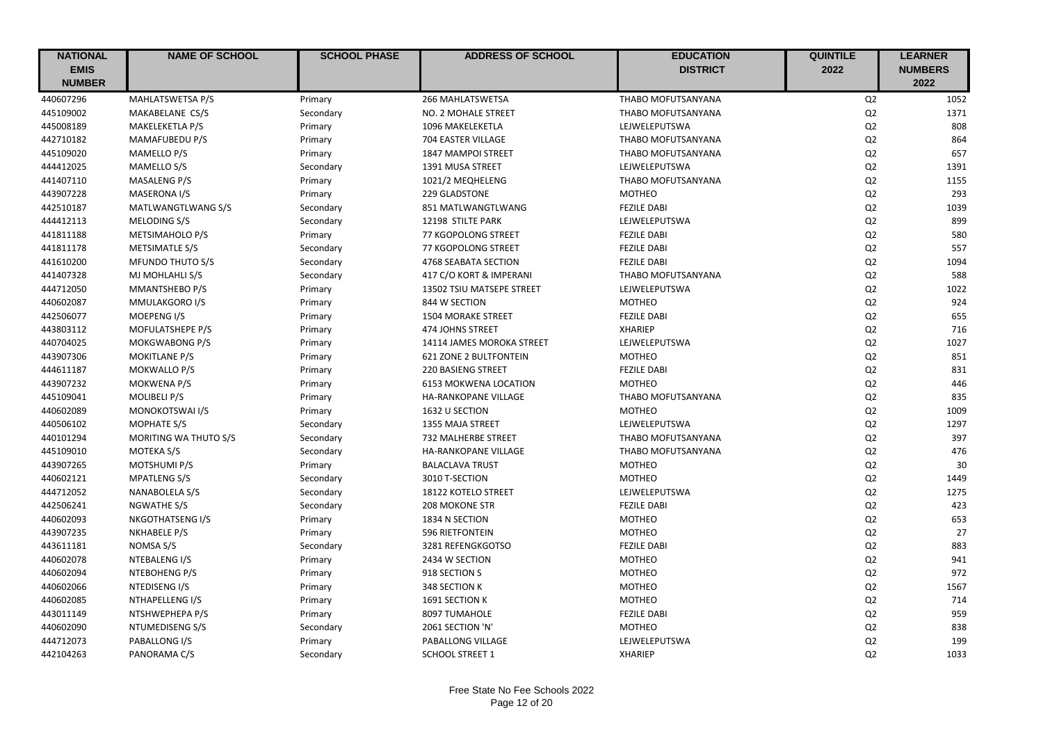| <b>NATIONAL</b> | <b>NAME OF SCHOOL</b>   | <b>SCHOOL PHASE</b> | <b>ADDRESS OF SCHOOL</b>  | <b>EDUCATION</b>          | <b>QUINTILE</b> | <b>LEARNER</b> |
|-----------------|-------------------------|---------------------|---------------------------|---------------------------|-----------------|----------------|
| <b>EMIS</b>     |                         |                     |                           | <b>DISTRICT</b>           | 2022            | <b>NUMBERS</b> |
| <b>NUMBER</b>   |                         |                     |                           |                           |                 | 2022           |
| 440607296       | MAHLATSWETSA P/S        | Primary             | 266 MAHLATSWETSA          | THABO MOFUTSANYANA        | Q2              | 1052           |
| 445109002       | MAKABELANE CS/S         | Secondary           | NO. 2 MOHALE STREET       | THABO MOFUTSANYANA        | Q2              | 1371           |
| 445008189       | MAKELEKETLA P/S         | Primary             | 1096 MAKELEKETLA          | LEJWELEPUTSWA             | Q2              | 808            |
| 442710182       | MAMAFUBEDU P/S          | Primary             | 704 EASTER VILLAGE        | THABO MOFUTSANYANA        | Q2              | 864            |
| 445109020       | MAMELLO P/S             | Primary             | <b>1847 MAMPOI STREET</b> | <b>THABO MOFUTSANYANA</b> | Q2              | 657            |
| 444412025       | MAMELLO S/S             | Secondary           | 1391 MUSA STREET          | LEJWELEPUTSWA             | Q2              | 1391           |
| 441407110       | MASALENG P/S            | Primary             | 1021/2 MEQHELENG          | THABO MOFUTSANYANA        | Q2              | 1155           |
| 443907228       | MASERONA I/S            | Primary             | 229 GLADSTONE             | <b>MOTHEO</b>             | Q <sub>2</sub>  | 293            |
| 442510187       | MATLWANGTLWANG S/S      | Secondary           | 851 MATLWANGTLWANG        | <b>FEZILE DABI</b>        | Q2              | 1039           |
| 444412113       | MELODING S/S            | Secondary           | 12198 STILTE PARK         | LEJWELEPUTSWA             | Q2              | 899            |
| 441811188       | <b>METSIMAHOLO P/S</b>  | Primary             | 77 KGOPOLONG STREET       | <b>FEZILE DABI</b>        | Q2              | 580            |
| 441811178       | METSIMATLE S/S          | Secondary           | 77 KGOPOLONG STREET       | <b>FEZILE DABI</b>        | Q2              | 557            |
| 441610200       | <b>MFUNDO THUTO S/S</b> | Secondary           | 4768 SEABATA SECTION      | <b>FEZILE DABI</b>        | Q2              | 1094           |
| 441407328       | MJ MOHLAHLI S/S         | Secondary           | 417 C/O KORT & IMPERANI   | THABO MOFUTSANYANA        | Q2              | 588            |
| 444712050       | MMANTSHEBO P/S          | Primary             | 13502 TSIU MATSEPE STREET | LEJWELEPUTSWA             | Q2              | 1022           |
| 440602087       | MMULAKGORO I/S          | Primary             | 844 W SECTION             | <b>MOTHEO</b>             | Q2              | 924            |
| 442506077       | MOEPENG I/S             | Primary             | <b>1504 MORAKE STREET</b> | <b>FEZILE DABI</b>        | Q2              | 655            |
| 443803112       | MOFULATSHEPE P/S        | Primary             | 474 JOHNS STREET          | <b>XHARIEP</b>            | Q2              | 716            |
| 440704025       | MOKGWABONG P/S          | Primary             | 14114 JAMES MOROKA STREET | LEJWELEPUTSWA             | Q2              | 1027           |
| 443907306       | <b>MOKITLANE P/S</b>    | Primary             | 621 ZONE 2 BULTFONTEIN    | <b>MOTHEO</b>             | Q2              | 851            |
| 444611187       | MOKWALLO P/S            | Primary             | <b>220 BASIENG STREET</b> | <b>FEZILE DABI</b>        | Q2              | 831            |
| 443907232       | <b>MOKWENA P/S</b>      | Primary             | 6153 MOKWENA LOCATION     | <b>MOTHEO</b>             | Q2              | 446            |
| 445109041       | MOLIBELI P/S            | Primary             | HA-RANKOPANE VILLAGE      | THABO MOFUTSANYANA        | Q2              | 835            |
| 440602089       | MONOKOTSWAI I/S         | Primary             | 1632 U SECTION            | <b>MOTHEO</b>             | Q2              | 1009           |
| 440506102       | <b>MOPHATE S/S</b>      | Secondary           | 1355 MAJA STREET          | LEJWELEPUTSWA             | Q2              | 1297           |
| 440101294       | MORITING WA THUTO S/S   | Secondary           | 732 MALHERBE STREET       | THABO MOFUTSANYANA        | Q2              | 397            |
| 445109010       | MOTEKA S/S              | Secondary           | HA-RANKOPANE VILLAGE      | THABO MOFUTSANYANA        | Q2              | 476            |
| 443907265       | MOTSHUMI P/S            | Primary             | <b>BALACLAVA TRUST</b>    | <b>MOTHEO</b>             | Q <sub>2</sub>  | 30             |
| 440602121       | <b>MPATLENG S/S</b>     | Secondary           | 3010 T-SECTION            | <b>MOTHEO</b>             | Q2              | 1449           |
| 444712052       | NANABOLELA S/S          | Secondary           | 18122 KOTELO STREET       | LEJWELEPUTSWA             | Q2              | 1275           |
| 442506241       | NGWATHE S/S             | Secondary           | 208 MOKONE STR            | <b>FEZILE DABI</b>        | Q2              | 423            |
| 440602093       | NKGOTHATSENG I/S        | Primary             | 1834 N SECTION            | <b>MOTHEO</b>             | Q2              | 653            |
| 443907235       | NKHABELE P/S            | Primary             | 596 RIETFONTEIN           | <b>MOTHEO</b>             | Q2              | 27             |
| 443611181       | NOMSA S/S               | Secondary           | 3281 REFENGKGOTSO         | <b>FEZILE DABI</b>        | Q2              | 883            |
| 440602078       | NTEBALENG I/S           | Primary             | 2434 W SECTION            | <b>MOTHEO</b>             | Q2              | 941            |
| 440602094       | NTEBOHENG P/S           | Primary             | 918 SECTION S             | <b>MOTHEO</b>             | Q2              | 972            |
| 440602066       | NTEDISENG I/S           | Primary             | 348 SECTION K             | <b>MOTHEO</b>             | Q2              | 1567           |
| 440602085       | NTHAPELLENG I/S         | Primary             | 1691 SECTION K            | <b>MOTHEO</b>             | Q2              | 714            |
| 443011149       | NTSHWEPHEPA P/S         | Primary             | 8097 TUMAHOLE             | <b>FEZILE DABI</b>        | Q2              | 959            |
| 440602090       | NTUMEDISENG S/S         | Secondary           | 2061 SECTION 'N'          | <b>MOTHEO</b>             | Q2              | 838            |
| 444712073       | PABALLONG I/S           | Primary             | PABALLONG VILLAGE         | LEJWELEPUTSWA             | Q2              | 199            |
| 442104263       | PANORAMA C/S            | Secondary           | <b>SCHOOL STREET 1</b>    | <b>XHARIEP</b>            | Q2              | 1033           |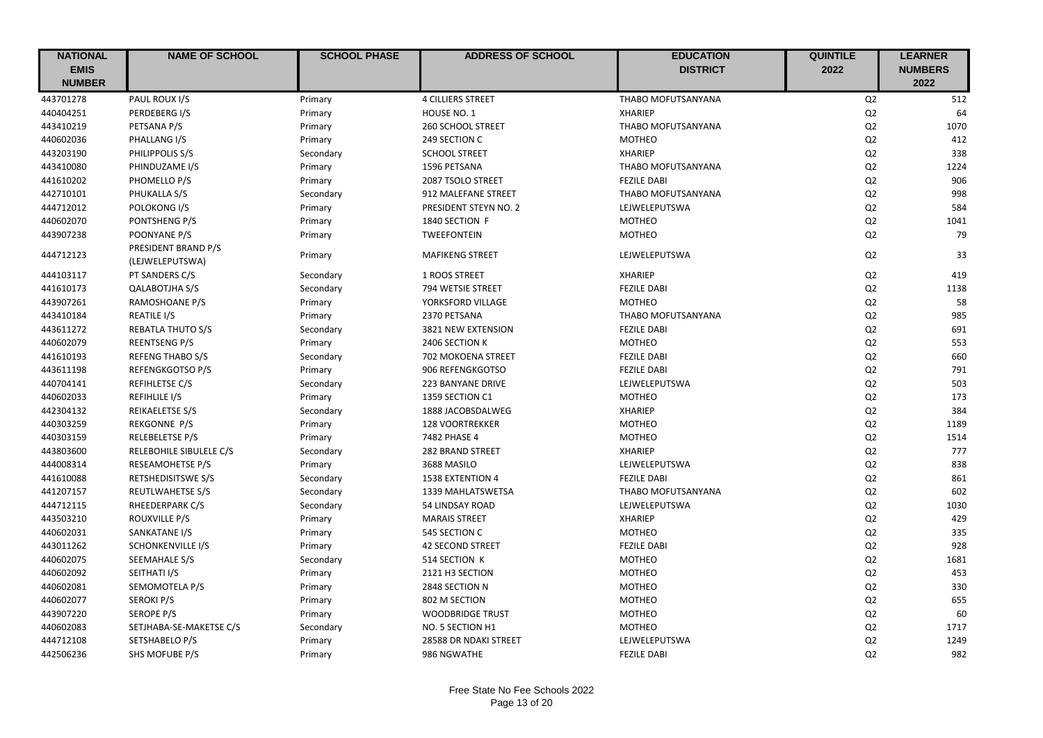| <b>NATIONAL</b> | <b>NAME OF SCHOOL</b>                  | <b>SCHOOL PHASE</b> | <b>ADDRESS OF SCHOOL</b> | <b>EDUCATION</b>          | <b>QUINTILE</b> | <b>LEARNER</b> |
|-----------------|----------------------------------------|---------------------|--------------------------|---------------------------|-----------------|----------------|
| <b>EMIS</b>     |                                        |                     |                          | <b>DISTRICT</b>           | 2022            | <b>NUMBERS</b> |
| <b>NUMBER</b>   |                                        |                     |                          |                           |                 | 2022           |
| 443701278       | PAUL ROUX I/S                          | Primary             | <b>4 CILLIERS STREET</b> | <b>THABO MOFUTSANYANA</b> | Q <sub>2</sub>  | 512            |
| 440404251       | PERDEBERG I/S                          | Primary             | HOUSE NO. 1              | <b>XHARIEP</b>            | Q2              | 64             |
| 443410219       | PETSANA P/S                            | Primary             | 260 SCHOOL STREET        | THABO MOFUTSANYANA        | Q2              | 1070           |
| 440602036       | PHALLANG I/S                           | Primary             | 249 SECTION C            | <b>MOTHEO</b>             | Q2              | 412            |
| 443203190       | PHILIPPOLIS S/S                        | Secondary           | <b>SCHOOL STREET</b>     | <b>XHARIEP</b>            | Q2              | 338            |
| 443410080       | PHINDUZAME I/S                         | Primary             | 1596 PETSANA             | THABO MOFUTSANYANA        | Q2              | 1224           |
| 441610202       | PHOMELLO P/S                           | Primary             | 2087 TSOLO STREET        | <b>FEZILE DABI</b>        | Q2              | 906            |
| 442710101       | PHUKALLA S/S                           | Secondary           | 912 MALEFANE STREET      | THABO MOFUTSANYANA        | Q2              | 998            |
| 444712012       | POLOKONG I/S                           | Primary             | PRESIDENT STEYN NO. 2    | LEJWELEPUTSWA             | Q2              | 584            |
| 440602070       | PONTSHENG P/S                          | Primary             | 1840 SECTION F           | <b>MOTHEO</b>             | Q2              | 1041           |
| 443907238       | POONYANE P/S                           | Primary             | TWEEFONTEIN              | <b>MOTHEO</b>             | Q2              | 79             |
| 444712123       | PRESIDENT BRAND P/S<br>(LEJWELEPUTSWA) | Primary             | <b>MAFIKENG STREET</b>   | LEJWELEPUTSWA             | Q2              | 33             |
| 444103117       | PT SANDERS C/S                         | Secondary           | 1 ROOS STREET            | <b>XHARIEP</b>            | Q2              | 419            |
| 441610173       | <b>QALABOTJHA S/S</b>                  | Secondary           | 794 WETSIE STREET        | <b>FEZILE DABI</b>        | Q2              | 1138           |
| 443907261       | RAMOSHOANE P/S                         | Primary             | YORKSFORD VILLAGE        | <b>MOTHEO</b>             | Q2              | 58             |
| 443410184       | <b>REATILE I/S</b>                     | Primary             | 2370 PETSANA             | THABO MOFUTSANYANA        | Q2              | 985            |
| 443611272       | <b>REBATLA THUTO S/S</b>               | Secondary           | 3821 NEW EXTENSION       | <b>FEZILE DABI</b>        | Q2              | 691            |
| 440602079       | <b>REENTSENG P/S</b>                   | Primary             | 2406 SECTION K           | <b>MOTHEO</b>             | Q <sub>2</sub>  | 553            |
| 441610193       | <b>REFENG THABO S/S</b>                | Secondary           | 702 MOKOENA STREET       | <b>FEZILE DABI</b>        | Q2              | 660            |
| 443611198       | <b>REFENGKGOTSO P/S</b>                | Primary             | 906 REFENGKGOTSO         | <b>FEZILE DABI</b>        | Q2              | 791            |
| 440704141       | REFIHLETSE C/S                         | Secondary           | 223 BANYANE DRIVE        | LEJWELEPUTSWA             | Q2              | 503            |
| 440602033       | <b>REFIHLILE I/S</b>                   | Primary             | 1359 SECTION C1          | <b>MOTHEO</b>             | Q2              | 173            |
| 442304132       | REIKAELETSE S/S                        | Secondary           | 1888 JACOBSDALWEG        | <b>XHARIEP</b>            | Q2              | 384            |
| 440303259       | <b>REKGONNE P/S</b>                    | Primary             | 128 VOORTREKKER          | <b>MOTHEO</b>             | Q2              | 1189           |
| 440303159       | <b>RELEBELETSE P/S</b>                 | Primary             | 7482 PHASE 4             | <b>MOTHEO</b>             | Q2              | 1514           |
| 443803600       | RELEBOHILE SIBULELE C/S                | Secondary           | 282 BRAND STREET         | <b>XHARIEP</b>            | Q2              | 777            |
| 444008314       | RESEAMOHETSE P/S                       | Primary             | 3688 MASILO              | LEJWELEPUTSWA             | Q2              | 838            |
| 441610088       | <b>RETSHEDISITSWE S/S</b>              | Secondary           | 1538 EXTENTION 4         | <b>FEZILE DABI</b>        | Q2              | 861            |
| 441207157       | <b>REUTLWAHETSE S/S</b>                | Secondary           | 1339 MAHLATSWETSA        | THABO MOFUTSANYANA        | Q2              | 602            |
| 444712115       | RHEEDERPARK C/S                        | Secondary           | 54 LINDSAY ROAD          | LEJWELEPUTSWA             | Q2              | 1030           |
| 443503210       | ROUXVILLE P/S                          | Primary             | <b>MARAIS STREET</b>     | <b>XHARIEP</b>            | Q2              | 429            |
| 440602031       | SANKATANE I/S                          | Primary             | 545 SECTION C            | <b>MOTHEO</b>             | Q2              | 335            |
| 443011262       | <b>SCHONKENVILLE I/S</b>               | Primary             | <b>42 SECOND STREET</b>  | <b>FEZILE DABI</b>        | Q2              | 928            |
| 440602075       | SEEMAHALE S/S                          | Secondary           | 514 SECTION K            | <b>MOTHEO</b>             | Q2              | 1681           |
| 440602092       | SEITHATI I/S                           | Primary             | 2121 H3 SECTION          | <b>MOTHEO</b>             | Q2              | 453            |
| 440602081       | SEMOMOTELA P/S                         | Primary             | 2848 SECTION N           | <b>MOTHEO</b>             | Q2              | 330            |
| 440602077       | <b>SEROKI P/S</b>                      | Primary             | 802 M SECTION            | <b>MOTHEO</b>             | Q2              | 655            |
| 443907220       | SEROPE P/S                             | Primary             | <b>WOODBRIDGE TRUST</b>  | <b>MOTHEO</b>             | Q2              | 60             |
| 440602083       | SETJHABA-SE-MAKETSE C/S                | Secondary           | NO. 5 SECTION H1         | <b>MOTHEO</b>             | Q2              | 1717           |
| 444712108       | SETSHABELO P/S                         | Primary             | 28588 DR NDAKI STREET    | LEJWELEPUTSWA             | Q2              | 1249           |
| 442506236       | SHS MOFUBE P/S                         | Primary             | 986 NGWATHE              | <b>FEZILE DABI</b>        | Q2              | 982            |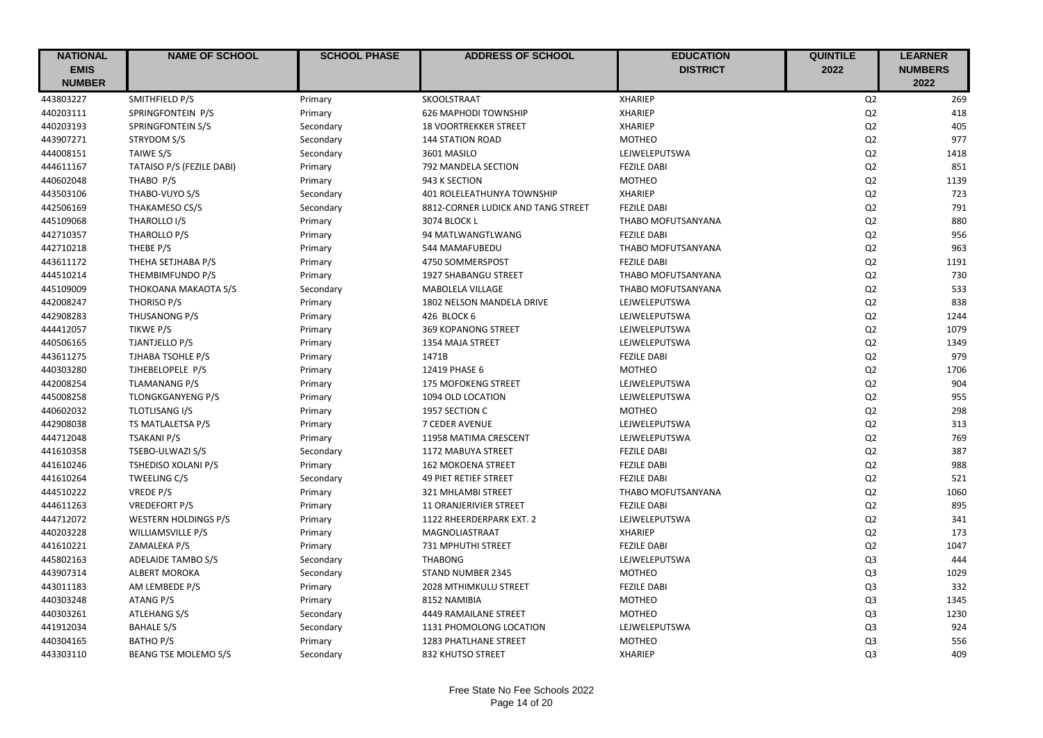| <b>NATIONAL</b> | <b>NAME OF SCHOOL</b>       | <b>SCHOOL PHASE</b> | <b>ADDRESS OF SCHOOL</b>           | <b>EDUCATION</b>   | <b>QUINTILE</b> | <b>LEARNER</b> |
|-----------------|-----------------------------|---------------------|------------------------------------|--------------------|-----------------|----------------|
| <b>EMIS</b>     |                             |                     |                                    | <b>DISTRICT</b>    | 2022            | <b>NUMBERS</b> |
| <b>NUMBER</b>   |                             |                     |                                    |                    |                 | 2022           |
| 443803227       | SMITHFIELD P/S              | Primary             | SKOOLSTRAAT                        | <b>XHARIEP</b>     | Q2              | 269            |
| 440203111       | SPRINGFONTEIN P/S           | Primary             | <b>626 MAPHODI TOWNSHIP</b>        | <b>XHARIEP</b>     | Q2              | 418            |
| 440203193       | SPRINGFONTEIN S/S           | Secondary           | <b>18 VOORTREKKER STREET</b>       | <b>XHARIEP</b>     | Q2              | 405            |
| 443907271       | STRYDOM S/S                 | Secondary           | <b>144 STATION ROAD</b>            | <b>MOTHEO</b>      | Q2              | 977            |
| 444008151       | TAIWE S/S                   | Secondary           | 3601 MASILO                        | LEJWELEPUTSWA      | Q2              | 1418           |
| 444611167       | TATAISO P/S (FEZILE DABI)   | Primary             | 792 MANDELA SECTION                | <b>FEZILE DABI</b> | Q2              | 851            |
| 440602048       | THABO P/S                   | Primary             | 943 K SECTION                      | <b>MOTHEO</b>      | Q2              | 1139           |
| 443503106       | THABO-VUYO S/S              | Secondary           | 401 ROLELEATHUNYA TOWNSHIP         | <b>XHARIEP</b>     | Q2              | 723            |
| 442506169       | THAKAMESO CS/S              | Secondary           | 8812-CORNER LUDICK AND TANG STREET | <b>FEZILE DABI</b> | Q2              | 791            |
| 445109068       | THAROLLO I/S                | Primary             | 3074 BLOCK L                       | THABO MOFUTSANYANA | Q2              | 880            |
| 442710357       | THAROLLO P/S                | Primary             | 94 MATLWANGTLWANG                  | <b>FEZILE DABI</b> | Q2              | 956            |
| 442710218       | THEBE P/S                   | Primary             | 544 MAMAFUBEDU                     | THABO MOFUTSANYANA | Q2              | 963            |
| 443611172       | THEHA SETJHABA P/S          | Primary             | 4750 SOMMERSPOST                   | <b>FEZILE DABI</b> | Q2              | 1191           |
| 444510214       | THEMBIMFUNDO P/S            | Primary             | 1927 SHABANGU STREET               | THABO MOFUTSANYANA | Q2              | 730            |
| 445109009       | THOKOANA MAKAOTA S/S        | Secondary           | <b>MABOLELA VILLAGE</b>            | THABO MOFUTSANYANA | Q2              | 533            |
| 442008247       | THORISO P/S                 | Primary             | 1802 NELSON MANDELA DRIVE          | LEJWELEPUTSWA      | Q2              | 838            |
| 442908283       | THUSANONG P/S               | Primary             | 426 BLOCK 6                        | LEJWELEPUTSWA      | Q2              | 1244           |
| 444412057       | TIKWE P/S                   | Primary             | <b>369 KOPANONG STREET</b>         | LEJWELEPUTSWA      | Q2              | 1079           |
| 440506165       | <b>TJANTJELLO P/S</b>       | Primary             | 1354 MAJA STREET                   | LEJWELEPUTSWA      | Q2              | 1349           |
| 443611275       | TJHABA TSOHLE P/S           | Primary             | 1471B                              | <b>FEZILE DABI</b> | Q2              | 979            |
| 440303280       | TJHEBELOPELE P/S            | Primary             | 12419 PHASE 6                      | <b>MOTHEO</b>      | Q2              | 1706           |
| 442008254       | <b>TLAMANANG P/S</b>        | Primary             | <b>175 MOFOKENG STREET</b>         | LEJWELEPUTSWA      | Q2              | 904            |
| 445008258       | <b>TLONGKGANYENG P/S</b>    | Primary             | 1094 OLD LOCATION                  | LEJWELEPUTSWA      | Q2              | 955            |
| 440602032       | TLOTLISANG I/S              | Primary             | 1957 SECTION C                     | <b>MOTHEO</b>      | Q2              | 298            |
| 442908038       | TS MATLALETSA P/S           | Primary             | <b>7 CEDER AVENUE</b>              | LEJWELEPUTSWA      | Q2              | 313            |
| 444712048       | <b>TSAKANI P/S</b>          | Primary             | 11958 MATIMA CRESCENT              | LEJWELEPUTSWA      | Q2              | 769            |
| 441610358       | TSEBO-ULWAZI S/S            | Secondary           | 1172 MABUYA STREET                 | <b>FEZILE DABI</b> | Q2              | 387            |
| 441610246       | TSHEDISO XOLANI P/S         | Primary             | <b>162 MOKOENA STREET</b>          | <b>FEZILE DABI</b> | Q2              | 988            |
| 441610264       | <b>TWEELING C/S</b>         | Secondary           | <b>49 PIET RETIEF STREET</b>       | <b>FEZILE DABI</b> | Q2              | 521            |
| 444510222       | VREDE P/S                   | Primary             | 321 MHLAMBI STREET                 | THABO MOFUTSANYANA | Q <sub>2</sub>  | 1060           |
| 444611263       | <b>VREDEFORT P/S</b>        | Primary             | 11 ORANJERIVIER STREET             | <b>FEZILE DABI</b> | Q2              | 895            |
| 444712072       | <b>WESTERN HOLDINGS P/S</b> | Primary             | 1122 RHEERDERPARK EXT. 2           | LEJWELEPUTSWA      | Q2              | 341            |
| 440203228       | <b>WILLIAMSVILLE P/S</b>    | Primary             | MAGNOLIASTRAAT                     | <b>XHARIEP</b>     | Q2              | 173            |
| 441610221       | ZAMALEKA P/S                | Primary             | 731 MPHUTHI STREET                 | <b>FEZILE DABI</b> | Q2              | 1047           |
| 445802163       | <b>ADELAIDE TAMBO S/S</b>   | Secondary           | <b>THABONG</b>                     | LEJWELEPUTSWA      | Q <sub>3</sub>  | 444            |
| 443907314       | <b>ALBERT MOROKA</b>        | Secondary           | STAND NUMBER 2345                  | <b>MOTHEO</b>      | Q <sub>3</sub>  | 1029           |
| 443011183       | AM LEMBEDE P/S              | Primary             | 2028 MTHIMKULU STREET              | <b>FEZILE DABI</b> | Q <sub>3</sub>  | 332            |
| 440303248       | ATANG P/S                   | Primary             | 8152 NAMIBIA                       | <b>MOTHEO</b>      | Q <sub>3</sub>  | 1345           |
| 440303261       | ATLEHANG S/S                | Secondary           | 4449 RAMAILANE STREET              | <b>MOTHEO</b>      | Q <sub>3</sub>  | 1230           |
| 441912034       | <b>BAHALE S/S</b>           | Secondary           | 1131 PHOMOLONG LOCATION            | LEJWELEPUTSWA      | Q <sub>3</sub>  | 924            |
| 440304165       | <b>BATHO P/S</b>            | Primary             | 1283 PHATLHANE STREET              | <b>MOTHEO</b>      | Q <sub>3</sub>  | 556            |
| 443303110       | <b>BEANG TSE MOLEMO S/S</b> | Secondary           | 832 KHUTSO STREET                  | <b>XHARIEP</b>     | Q <sub>3</sub>  | 409            |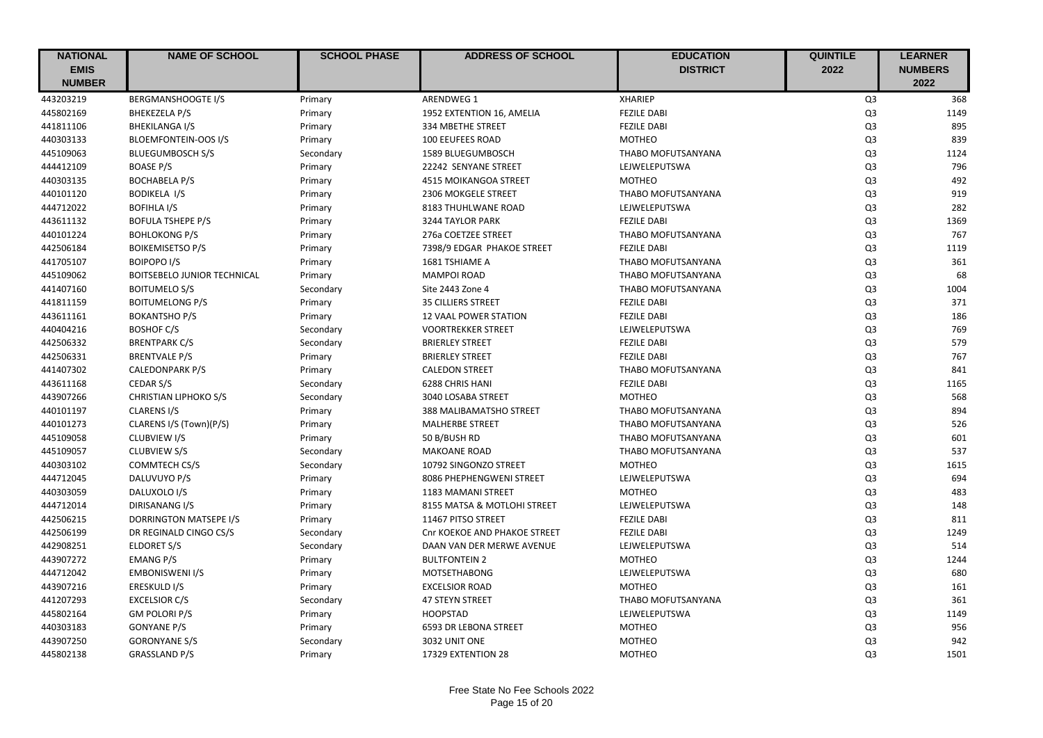| <b>NATIONAL</b> | <b>NAME OF SCHOOL</b>         | <b>SCHOOL PHASE</b> | <b>ADDRESS OF SCHOOL</b>     | <b>EDUCATION</b>   | <b>QUINTILE</b> | <b>LEARNER</b> |
|-----------------|-------------------------------|---------------------|------------------------------|--------------------|-----------------|----------------|
| <b>EMIS</b>     |                               |                     |                              | <b>DISTRICT</b>    | 2022            | <b>NUMBERS</b> |
| <b>NUMBER</b>   |                               |                     |                              |                    |                 | 2022           |
| 443203219       | <b>BERGMANSHOOGTE I/S</b>     | Primary             | <b>ARENDWEG 1</b>            | <b>XHARIEP</b>     | Q <sub>3</sub>  | 368            |
| 445802169       | <b>BHEKEZELA P/S</b>          | Primary             | 1952 EXTENTION 16, AMELIA    | <b>FEZILE DABI</b> | Q <sub>3</sub>  | 1149           |
| 441811106       | BHEKILANGA I/S                | Primary             | 334 MBETHE STREET            | <b>FEZILE DABI</b> | Q <sub>3</sub>  | 895            |
| 440303133       | <b>BLOEMFONTEIN-OOS I/S</b>   | Primary             | <b>100 EEUFEES ROAD</b>      | <b>MOTHEO</b>      | Q <sub>3</sub>  | 839            |
| 445109063       | <b>BLUEGUMBOSCH S/S</b>       | Secondary           | 1589 BLUEGUMBOSCH            | THABO MOFUTSANYANA | Q <sub>3</sub>  | 1124           |
| 444412109       | <b>BOASE P/S</b>              | Primary             | 22242 SENYANE STREET         | LEJWELEPUTSWA      | Q <sub>3</sub>  | 796            |
| 440303135       | <b>BOCHABELA P/S</b>          | Primary             | <b>4515 MOIKANGOA STREET</b> | <b>MOTHEO</b>      | Q <sub>3</sub>  | 492            |
| 440101120       | <b>BODIKELA I/S</b>           | Primary             | 2306 MOKGELE STREET          | THABO MOFUTSANYANA | Q <sub>3</sub>  | 919            |
| 444712022       | <b>BOFIHLA I/S</b>            | Primary             | 8183 THUHLWANE ROAD          | LEJWELEPUTSWA      | Q <sub>3</sub>  | 282            |
| 443611132       | <b>BOFULA TSHEPE P/S</b>      | Primary             | 3244 TAYLOR PARK             | <b>FEZILE DABI</b> | Q <sub>3</sub>  | 1369           |
| 440101224       | <b>BOHLOKONG P/S</b>          | Primary             | 276a COETZEE STREET          | THABO MOFUTSANYANA | Q <sub>3</sub>  | 767            |
| 442506184       | <b>BOIKEMISETSO P/S</b>       | Primary             | 7398/9 EDGAR PHAKOE STREET   | <b>FEZILE DABI</b> | Q <sub>3</sub>  | 1119           |
| 441705107       | <b>BOIPOPO I/S</b>            | Primary             | 1681 TSHIAME A               | THABO MOFUTSANYANA | Q <sub>3</sub>  | 361            |
| 445109062       | BOITSEBELO JUNIOR TECHNICAL   | Primary             | <b>MAMPOI ROAD</b>           | THABO MOFUTSANYANA | Q <sub>3</sub>  | 68             |
| 441407160       | <b>BOITUMELO S/S</b>          | Secondary           | Site 2443 Zone 4             | THABO MOFUTSANYANA | Q <sub>3</sub>  | 1004           |
| 441811159       | <b>BOITUMELONG P/S</b>        | Primary             | <b>35 CILLIERS STREET</b>    | <b>FEZILE DABI</b> | Q <sub>3</sub>  | 371            |
| 443611161       | <b>BOKANTSHO P/S</b>          | Primary             | <b>12 VAAL POWER STATION</b> | <b>FEZILE DABI</b> | Q <sub>3</sub>  | 186            |
| 440404216       | <b>BOSHOF C/S</b>             | Secondary           | <b>VOORTREKKER STREET</b>    | LEJWELEPUTSWA      | Q <sub>3</sub>  | 769            |
| 442506332       | <b>BRENTPARK C/S</b>          | Secondary           | <b>BRIERLEY STREET</b>       | <b>FEZILE DABI</b> | Q <sub>3</sub>  | 579            |
| 442506331       | <b>BRENTVALE P/S</b>          | Primary             | <b>BRIERLEY STREET</b>       | <b>FEZILE DABI</b> | Q <sub>3</sub>  | 767            |
| 441407302       | CALEDONPARK P/S               | Primary             | <b>CALEDON STREET</b>        | THABO MOFUTSANYANA | Q <sub>3</sub>  | 841            |
| 443611168       | CEDAR S/S                     | Secondary           | 6288 CHRIS HANI              | <b>FEZILE DABI</b> | Q <sub>3</sub>  | 1165           |
| 443907266       | <b>CHRISTIAN LIPHOKO S/S</b>  | Secondary           | 3040 LOSABA STREET           | <b>MOTHEO</b>      | Q <sub>3</sub>  | 568            |
| 440101197       | <b>CLARENS I/S</b>            | Primary             | 388 MALIBAMATSHO STREET      | THABO MOFUTSANYANA | Q <sub>3</sub>  | 894            |
| 440101273       | CLARENS I/S (Town)(P/S)       | Primary             | <b>MALHERBE STREET</b>       | THABO MOFUTSANYANA | Q <sub>3</sub>  | 526            |
| 445109058       | CLUBVIEW I/S                  | Primary             | 50 B/BUSH RD                 | THABO MOFUTSANYANA | Q <sub>3</sub>  | 601            |
| 445109057       | <b>CLUBVIEW S/S</b>           | Secondary           | <b>MAKOANE ROAD</b>          | THABO MOFUTSANYANA | Q <sub>3</sub>  | 537            |
| 440303102       | COMMTECH CS/S                 | Secondary           | 10792 SINGONZO STREET        | <b>MOTHEO</b>      | Q <sub>3</sub>  | 1615           |
| 444712045       | DALUVUYO P/S                  | Primary             | 8086 PHEPHENGWENI STREET     | LEJWELEPUTSWA      | Q <sub>3</sub>  | 694            |
| 440303059       | DALUXOLO I/S                  | Primary             | 1183 MAMANI STREET           | <b>MOTHEO</b>      | Q <sub>3</sub>  | 483            |
| 444712014       | DIRISANANG I/S                | Primary             | 8155 MATSA & MOTLOHI STREET  | LEJWELEPUTSWA      | Q <sub>3</sub>  | 148            |
| 442506215       | <b>DORRINGTON MATSEPE I/S</b> | Primary             | 11467 PITSO STREET           | <b>FEZILE DABI</b> | Q <sub>3</sub>  | 811            |
| 442506199       | DR REGINALD CINGO CS/S        | Secondary           | Cnr KOEKOE AND PHAKOE STREET | <b>FEZILE DABI</b> | Q <sub>3</sub>  | 1249           |
| 442908251       | ELDORET S/S                   | Secondary           | DAAN VAN DER MERWE AVENUE    | LEJWELEPUTSWA      | Q <sub>3</sub>  | 514            |
| 443907272       | <b>EMANG P/S</b>              | Primary             | <b>BULTFONTEIN 2</b>         | <b>MOTHEO</b>      | Q <sub>3</sub>  | 1244           |
| 444712042       | <b>EMBONISWENI I/S</b>        | Primary             | <b>MOTSETHABONG</b>          | LEJWELEPUTSWA      | Q <sub>3</sub>  | 680            |
| 443907216       | ERESKULD I/S                  | Primary             | <b>EXCELSIOR ROAD</b>        | <b>MOTHEO</b>      | Q <sub>3</sub>  | 161            |
| 441207293       | <b>EXCELSIOR C/S</b>          | Secondary           | <b>47 STEYN STREET</b>       | THABO MOFUTSANYANA | Q <sub>3</sub>  | 361            |
| 445802164       | <b>GM POLORI P/S</b>          | Primary             | <b>HOOPSTAD</b>              | LEJWELEPUTSWA      | Q <sub>3</sub>  | 1149           |
| 440303183       | <b>GONYANE P/S</b>            | Primary             | 6593 DR LEBONA STREET        | <b>MOTHEO</b>      | Q <sub>3</sub>  | 956            |
| 443907250       | <b>GORONYANE S/S</b>          | Secondary           | 3032 UNIT ONE                | <b>MOTHEO</b>      | Q <sub>3</sub>  | 942            |
| 445802138       | <b>GRASSLAND P/S</b>          | Primary             | 17329 EXTENTION 28           | <b>MOTHEO</b>      | Q <sub>3</sub>  | 1501           |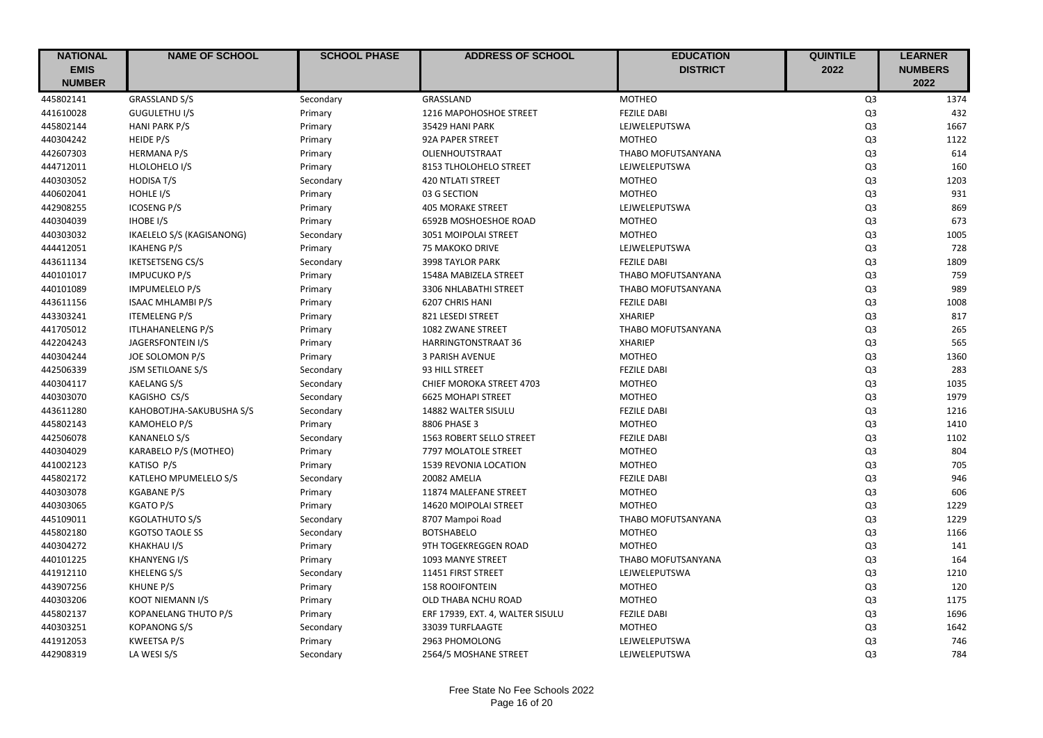| <b>NATIONAL</b> | <b>NAME OF SCHOOL</b>     | <b>SCHOOL PHASE</b> | <b>ADDRESS OF SCHOOL</b>         | <b>EDUCATION</b>   | <b>QUINTILE</b> | <b>LEARNER</b> |
|-----------------|---------------------------|---------------------|----------------------------------|--------------------|-----------------|----------------|
| <b>EMIS</b>     |                           |                     |                                  | <b>DISTRICT</b>    | 2022            | <b>NUMBERS</b> |
| <b>NUMBER</b>   |                           |                     |                                  |                    |                 | 2022           |
| 445802141       | <b>GRASSLAND S/S</b>      | Secondary           | GRASSLAND                        | <b>MOTHEO</b>      | Q <sub>3</sub>  | 1374           |
| 441610028       | <b>GUGULETHU I/S</b>      | Primary             | 1216 MAPOHOSHOE STREET           | <b>FEZILE DABI</b> | Q <sub>3</sub>  | 432            |
| 445802144       | <b>HANI PARK P/S</b>      | Primary             | 35429 HANI PARK                  | LEJWELEPUTSWA      | Q <sub>3</sub>  | 1667           |
| 440304242       | HEIDE P/S                 | Primary             | 92A PAPER STREET                 | <b>MOTHEO</b>      | Q <sub>3</sub>  | 1122           |
| 442607303       | <b>HERMANA P/S</b>        | Primary             | OLIENHOUTSTRAAT                  | THABO MOFUTSANYANA | Q <sub>3</sub>  | 614            |
| 444712011       | HLOLOHELO I/S             | Primary             | 8153 TLHOLOHELO STREET           | LEJWELEPUTSWA      | Q <sub>3</sub>  | 160            |
| 440303052       | <b>HODISA T/S</b>         | Secondary           | <b>420 NTLATI STREET</b>         | <b>MOTHEO</b>      | Q <sub>3</sub>  | 1203           |
| 440602041       | HOHLE I/S                 | Primary             | 03 G SECTION                     | <b>MOTHEO</b>      | Q <sub>3</sub>  | 931            |
| 442908255       | <b>ICOSENG P/S</b>        | Primary             | <b>405 MORAKE STREET</b>         | LEJWELEPUTSWA      | Q <sub>3</sub>  | 869            |
| 440304039       | <b>IHOBE I/S</b>          | Primary             | 6592B MOSHOESHOE ROAD            | <b>MOTHEO</b>      | Q <sub>3</sub>  | 673            |
| 440303032       | IKAELELO S/S (KAGISANONG) | Secondary           | 3051 MOIPOLAI STREET             | <b>MOTHEO</b>      | Q <sub>3</sub>  | 1005           |
| 444412051       | <b>IKAHENG P/S</b>        | Primary             | <b>75 MAKOKO DRIVE</b>           | LEJWELEPUTSWA      | Q <sub>3</sub>  | 728            |
| 443611134       | <b>IKETSETSENG CS/S</b>   | Secondary           | <b>3998 TAYLOR PARK</b>          | <b>FEZILE DABI</b> | Q <sub>3</sub>  | 1809           |
| 440101017       | <b>IMPUCUKO P/S</b>       | Primary             | 1548A MABIZELA STREET            | THABO MOFUTSANYANA | Q <sub>3</sub>  | 759            |
| 440101089       | <b>IMPUMELELO P/S</b>     | Primary             | 3306 NHLABATHI STREET            | THABO MOFUTSANYANA | Q <sub>3</sub>  | 989            |
| 443611156       | <b>ISAAC MHLAMBI P/S</b>  | Primary             | 6207 CHRIS HANI                  | <b>FEZILE DABI</b> | Q <sub>3</sub>  | 1008           |
| 443303241       | <b>ITEMELENG P/S</b>      | Primary             | 821 LESEDI STREET                | <b>XHARIEP</b>     | Q3              | 817            |
| 441705012       | <b>ITLHAHANELENG P/S</b>  | Primary             | 1082 ZWANE STREET                | THABO MOFUTSANYANA | Q <sub>3</sub>  | 265            |
| 442204243       | JAGERSFONTEIN I/S         | Primary             | HARRINGTONSTRAAT 36              | <b>XHARIEP</b>     | Q <sub>3</sub>  | 565            |
| 440304244       | JOE SOLOMON P/S           | Primary             | <b>3 PARISH AVENUE</b>           | <b>MOTHEO</b>      | Q <sub>3</sub>  | 1360           |
| 442506339       | <b>JSM SETILOANE S/S</b>  | Secondary           | 93 HILL STREET                   | <b>FEZILE DABI</b> | Q <sub>3</sub>  | 283            |
| 440304117       | <b>KAELANG S/S</b>        | Secondary           | CHIEF MOROKA STREET 4703         | <b>MOTHEO</b>      | Q <sub>3</sub>  | 1035           |
| 440303070       | KAGISHO CS/S              | Secondary           | <b>6625 MOHAPI STREET</b>        | <b>MOTHEO</b>      | Q <sub>3</sub>  | 1979           |
| 443611280       | KAHOBOTJHA-SAKUBUSHA S/S  | Secondary           | 14882 WALTER SISULU              | <b>FEZILE DABI</b> | Q <sub>3</sub>  | 1216           |
| 445802143       | KAMOHELO P/S              | Primary             | 8806 PHASE 3                     | <b>MOTHEO</b>      | Q <sub>3</sub>  | 1410           |
| 442506078       | <b>KANANELO S/S</b>       | Secondary           | 1563 ROBERT SELLO STREET         | <b>FEZILE DABI</b> | Q <sub>3</sub>  | 1102           |
| 440304029       | KARABELO P/S (MOTHEO)     | Primary             | 7797 MOLATOLE STREET             | <b>MOTHEO</b>      | Q <sub>3</sub>  | 804            |
| 441002123       | KATISO P/S                | Primary             | 1539 REVONIA LOCATION            | <b>MOTHEO</b>      | Q <sub>3</sub>  | 705            |
| 445802172       | KATLEHO MPUMELELO S/S     | Secondary           | 20082 AMELIA                     | <b>FEZILE DABI</b> | Q <sub>3</sub>  | 946            |
| 440303078       | <b>KGABANE P/S</b>        | Primary             | 11874 MALEFANE STREET            | <b>MOTHEO</b>      | Q <sub>3</sub>  | 606            |
| 440303065       | <b>KGATO P/S</b>          | Primary             | 14620 MOIPOLAI STREET            | <b>MOTHEO</b>      | Q <sub>3</sub>  | 1229           |
| 445109011       | <b>KGOLATHUTO S/S</b>     | Secondary           | 8707 Mampoi Road                 | THABO MOFUTSANYANA | Q <sub>3</sub>  | 1229           |
| 445802180       | <b>KGOTSO TAOLE SS</b>    | Secondary           | <b>BOTSHABELO</b>                | <b>MOTHEO</b>      | Q <sub>3</sub>  | 1166           |
| 440304272       | KHAKHAU I/S               | Primary             | 9TH TOGEKREGGEN ROAD             | <b>MOTHEO</b>      | Q <sub>3</sub>  | 141            |
| 440101225       | <b>KHANYENG I/S</b>       | Primary             | 1093 MANYE STREET                | THABO MOFUTSANYANA | Q <sub>3</sub>  | 164            |
| 441912110       | KHELENG S/S               | Secondary           | 11451 FIRST STREET               | LEJWELEPUTSWA      | Q <sub>3</sub>  | 1210           |
| 443907256       | KHUNE P/S                 | Primary             | <b>158 ROOIFONTEIN</b>           | <b>MOTHEO</b>      | Q <sub>3</sub>  | 120            |
| 440303206       | KOOT NIEMANN I/S          | Primary             | OLD THABA NCHU ROAD              | <b>MOTHEO</b>      | Q <sub>3</sub>  | 1175           |
| 445802137       | KOPANELANG THUTO P/S      | Primary             | ERF 17939, EXT. 4, WALTER SISULU | <b>FEZILE DABI</b> | Q3              | 1696           |
| 440303251       | <b>KOPANONG S/S</b>       | Secondary           | 33039 TURFLAAGTE                 | <b>MOTHEO</b>      | Q <sub>3</sub>  | 1642           |
| 441912053       | <b>KWEETSA P/S</b>        | Primary             | 2963 PHOMOLONG                   | LEJWELEPUTSWA      | Q <sub>3</sub>  | 746            |
| 442908319       | LA WESI S/S               | Secondary           | 2564/5 MOSHANE STREET            | LEJWELEPUTSWA      | Q <sub>3</sub>  | 784            |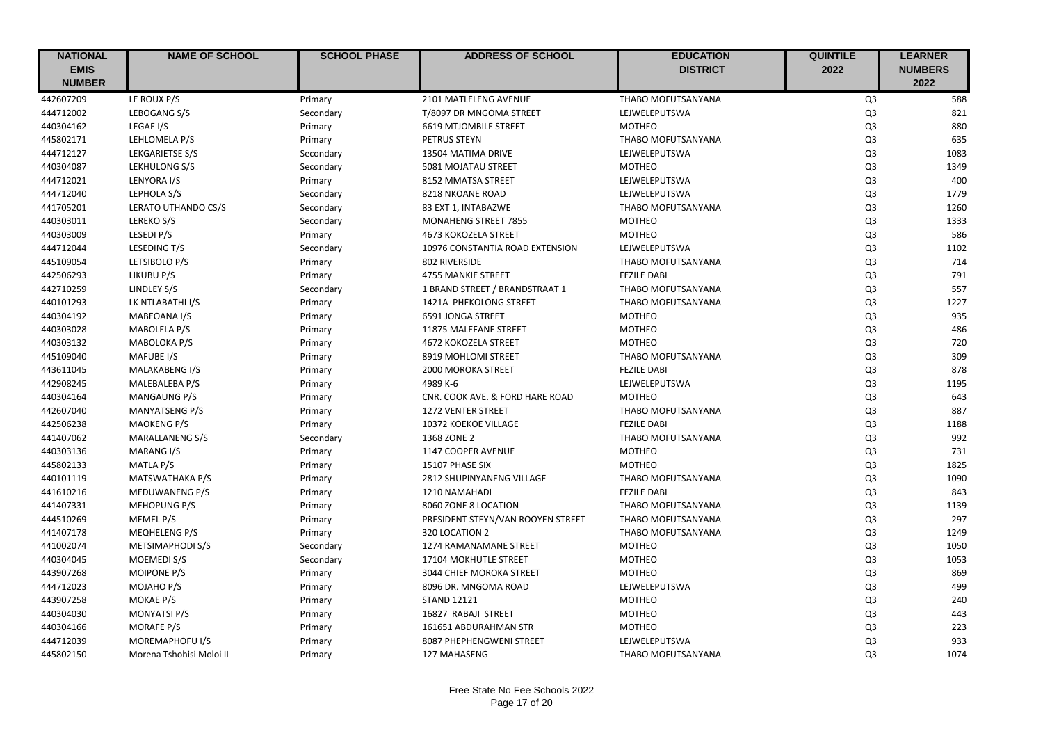| <b>NATIONAL</b> | <b>NAME OF SCHOOL</b>    | <b>SCHOOL PHASE</b> | <b>ADDRESS OF SCHOOL</b>          | <b>EDUCATION</b>   | <b>QUINTILE</b> | <b>LEARNER</b> |
|-----------------|--------------------------|---------------------|-----------------------------------|--------------------|-----------------|----------------|
| <b>EMIS</b>     |                          |                     |                                   | <b>DISTRICT</b>    | 2022            | <b>NUMBERS</b> |
| <b>NUMBER</b>   |                          |                     |                                   |                    |                 | 2022           |
| 442607209       | LE ROUX P/S              | Primary             | 2101 MATLELENG AVENUE             | THABO MOFUTSANYANA | Q <sub>3</sub>  | 588            |
| 444712002       | LEBOGANG S/S             | Secondary           | T/8097 DR MNGOMA STREET           | LEJWELEPUTSWA      | Q <sub>3</sub>  | 821            |
| 440304162       | LEGAE I/S                | Primary             | 6619 MTJOMBILE STREET             | <b>MOTHEO</b>      | Q <sub>3</sub>  | 880            |
| 445802171       | LEHLOMELA P/S            | Primary             | PETRUS STEYN                      | THABO MOFUTSANYANA | Q <sub>3</sub>  | 635            |
| 444712127       | LEKGARIETSE S/S          | Secondary           | 13504 MATIMA DRIVE                | LEJWELEPUTSWA      | Q <sub>3</sub>  | 1083           |
| 440304087       | LEKHULONG S/S            | Secondary           | 5081 MOJATAU STREET               | <b>MOTHEO</b>      | Q <sub>3</sub>  | 1349           |
| 444712021       | LENYORA I/S              | Primary             | 8152 MMATSA STREET                | LEJWELEPUTSWA      | Q <sub>3</sub>  | 400            |
| 444712040       | LEPHOLA S/S              | Secondary           | 8218 NKOANE ROAD                  | LEJWELEPUTSWA      | Q <sub>3</sub>  | 1779           |
| 441705201       | LERATO UTHANDO CS/S      | Secondary           | 83 EXT 1, INTABAZWE               | THABO MOFUTSANYANA | Q <sub>3</sub>  | 1260           |
| 440303011       | LEREKO S/S               | Secondary           | MONAHENG STREET 7855              | <b>MOTHEO</b>      | Q <sub>3</sub>  | 1333           |
| 440303009       | LESEDI P/S               | Primary             | 4673 KOKOZELA STREET              | <b>MOTHEO</b>      | Q <sub>3</sub>  | 586            |
| 444712044       | LESEDING T/S             | Secondary           | 10976 CONSTANTIA ROAD EXTENSION   | LEJWELEPUTSWA      | Q <sub>3</sub>  | 1102           |
| 445109054       | LETSIBOLO P/S            | Primary             | 802 RIVERSIDE                     | THABO MOFUTSANYANA | Q <sub>3</sub>  | 714            |
| 442506293       | LIKUBU P/S               | Primary             | 4755 MANKIE STREET                | <b>FEZILE DABI</b> | Q <sub>3</sub>  | 791            |
| 442710259       | LINDLEY S/S              | Secondary           | 1 BRAND STREET / BRANDSTRAAT 1    | THABO MOFUTSANYANA | Q <sub>3</sub>  | 557            |
| 440101293       | LK NTLABATHI I/S         | Primary             | 1421A PHEKOLONG STREET            | THABO MOFUTSANYANA | Q <sub>3</sub>  | 1227           |
| 440304192       | MABEOANA I/S             | Primary             | 6591 JONGA STREET                 | <b>MOTHEO</b>      | Q <sub>3</sub>  | 935            |
| 440303028       | MABOLELA P/S             | Primary             | 11875 MALEFANE STREET             | <b>MOTHEO</b>      | Q <sub>3</sub>  | 486            |
| 440303132       | <b>MABOLOKA P/S</b>      | Primary             | 4672 KOKOZELA STREET              | <b>MOTHEO</b>      | Q <sub>3</sub>  | 720            |
| 445109040       | MAFUBE I/S               | Primary             | 8919 MOHLOMI STREET               | THABO MOFUTSANYANA | Q <sub>3</sub>  | 309            |
| 443611045       | MALAKABENG I/S           | Primary             | 2000 MOROKA STREET                | <b>FEZILE DABI</b> | Q <sub>3</sub>  | 878            |
| 442908245       | MALEBALEBA P/S           | Primary             | 4989 K-6                          | LEJWELEPUTSWA      | Q <sub>3</sub>  | 1195           |
| 440304164       | <b>MANGAUNG P/S</b>      | Primary             | CNR. COOK AVE. & FORD HARE ROAD   | <b>MOTHEO</b>      | Q <sub>3</sub>  | 643            |
| 442607040       | <b>MANYATSENG P/S</b>    | Primary             | 1272 VENTER STREET                | THABO MOFUTSANYANA | Q <sub>3</sub>  | 887            |
| 442506238       | <b>MAOKENG P/S</b>       | Primary             | 10372 KOEKOE VILLAGE              | <b>FEZILE DABI</b> | Q <sub>3</sub>  | 1188           |
| 441407062       | <b>MARALLANENG S/S</b>   | Secondary           | 1368 ZONE 2                       | THABO MOFUTSANYANA | Q <sub>3</sub>  | 992            |
| 440303136       | MARANG I/S               | Primary             | 1147 COOPER AVENUE                | <b>MOTHEO</b>      | Q <sub>3</sub>  | 731            |
| 445802133       | MATLA P/S                | Primary             | 15107 PHASE SIX                   | <b>MOTHEO</b>      | Q <sub>3</sub>  | 1825           |
| 440101119       | MATSWATHAKA P/S          | Primary             | 2812 SHUPINYANENG VILLAGE         | THABO MOFUTSANYANA | Q <sub>3</sub>  | 1090           |
| 441610216       | MEDUWANENG P/S           | Primary             | 1210 NAMAHADI                     | <b>FEZILE DABI</b> | Q <sub>3</sub>  | 843            |
| 441407331       | <b>MEHOPUNG P/S</b>      | Primary             | 8060 ZONE 8 LOCATION              | THABO MOFUTSANYANA | Q <sub>3</sub>  | 1139           |
| 444510269       | MEMEL P/S                | Primary             | PRESIDENT STEYN/VAN ROOYEN STREET | THABO MOFUTSANYANA | Q <sub>3</sub>  | 297            |
| 441407178       | MEQHELENG P/S            | Primary             | 320 LOCATION 2                    | THABO MOFUTSANYANA | Q <sub>3</sub>  | 1249           |
| 441002074       | METSIMAPHODI S/S         | Secondary           | 1274 RAMANAMANE STREET            | <b>MOTHEO</b>      | Q <sub>3</sub>  | 1050           |
| 440304045       | MOEMEDI S/S              | Secondary           | 17104 MOKHUTLE STREET             | <b>MOTHEO</b>      | Q <sub>3</sub>  | 1053           |
| 443907268       | MOIPONE P/S              | Primary             | 3044 CHIEF MOROKA STREET          | <b>MOTHEO</b>      | Q <sub>3</sub>  | 869            |
| 444712023       | MOJAHO P/S               | Primary             | 8096 DR. MNGOMA ROAD              | LEJWELEPUTSWA      | Q <sub>3</sub>  | 499            |
| 443907258       | MOKAE P/S                | Primary             | <b>STAND 12121</b>                | <b>MOTHEO</b>      | Q <sub>3</sub>  | 240            |
| 440304030       | <b>MONYATSI P/S</b>      | Primary             | 16827 RABAJI STREET               | <b>MOTHEO</b>      | Q <sub>3</sub>  | 443            |
| 440304166       | MORAFE P/S               | Primary             | 161651 ABDURAHMAN STR             | <b>MOTHEO</b>      | Q <sub>3</sub>  | 223            |
| 444712039       | MOREMAPHOFU I/S          | Primary             | 8087 PHEPHENGWENI STREET          | LEJWELEPUTSWA      | Q <sub>3</sub>  | 933            |
| 445802150       | Morena Tshohisi Moloi II | Primary             | 127 MAHASENG                      | THABO MOFUTSANYANA | Q <sub>3</sub>  | 1074           |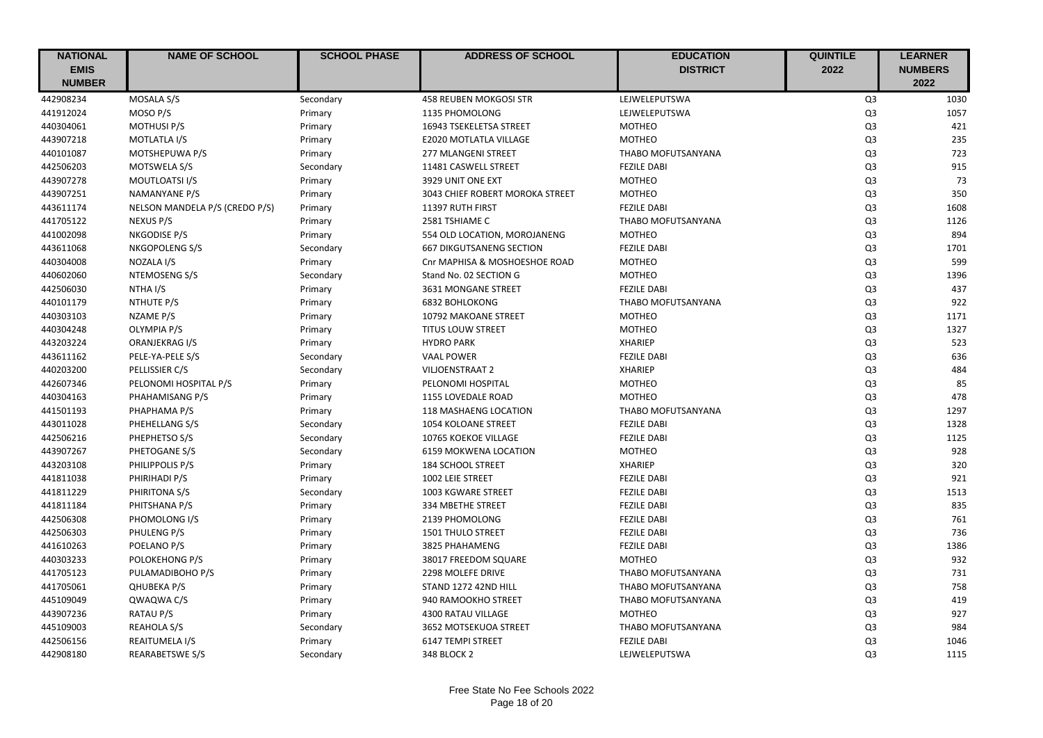| <b>NATIONAL</b> | <b>NAME OF SCHOOL</b>          | <b>SCHOOL PHASE</b> | <b>ADDRESS OF SCHOOL</b>        | <b>EDUCATION</b>   | <b>QUINTILE</b> | <b>LEARNER</b> |
|-----------------|--------------------------------|---------------------|---------------------------------|--------------------|-----------------|----------------|
| <b>EMIS</b>     |                                |                     |                                 | <b>DISTRICT</b>    | 2022            | <b>NUMBERS</b> |
| <b>NUMBER</b>   |                                |                     |                                 |                    |                 | 2022           |
| 442908234       | MOSALA S/S                     | Secondary           | <b>458 REUBEN MOKGOSI STR</b>   | LEJWELEPUTSWA      | Q <sub>3</sub>  | 1030           |
| 441912024       | MOSO P/S                       | Primary             | 1135 PHOMOLONG                  | LEJWELEPUTSWA      | Q <sub>3</sub>  | 1057           |
| 440304061       | <b>MOTHUSI P/S</b>             | Primary             | 16943 TSEKELETSA STREET         | <b>MOTHEO</b>      | Q <sub>3</sub>  | 421            |
| 443907218       | MOTLATLA I/S                   | Primary             | E2020 MOTLATLA VILLAGE          | <b>MOTHEO</b>      | Q <sub>3</sub>  | 235            |
| 440101087       | MOTSHEPUWA P/S                 | Primary             | 277 MLANGENI STREET             | THABO MOFUTSANYANA | Q <sub>3</sub>  | 723            |
| 442506203       | <b>MOTSWELA S/S</b>            | Secondary           | 11481 CASWELL STREET            | <b>FEZILE DABI</b> | Q <sub>3</sub>  | 915            |
| 443907278       | MOUTLOATSI I/S                 | Primary             | 3929 UNIT ONE EXT               | <b>MOTHEO</b>      | Q <sub>3</sub>  | 73             |
| 443907251       | <b>NAMANYANE P/S</b>           | Primary             | 3043 CHIEF ROBERT MOROKA STREET | <b>MOTHEO</b>      | Q <sub>3</sub>  | 350            |
| 443611174       | NELSON MANDELA P/S (CREDO P/S) | Primary             | 11397 RUTH FIRST                | <b>FEZILE DABI</b> | Q <sub>3</sub>  | 1608           |
| 441705122       | NEXUS P/S                      | Primary             | 2581 TSHIAME C                  | THABO MOFUTSANYANA | Q <sub>3</sub>  | 1126           |
| 441002098       | NKGODISE P/S                   | Primary             | 554 OLD LOCATION, MOROJANENG    | <b>MOTHEO</b>      | Q <sub>3</sub>  | 894            |
| 443611068       | NKGOPOLENG S/S                 | Secondary           | <b>667 DIKGUTSANENG SECTION</b> | <b>FEZILE DABI</b> | Q <sub>3</sub>  | 1701           |
| 440304008       | NOZALA I/S                     | Primary             | Cnr MAPHISA & MOSHOESHOE ROAD   | <b>MOTHEO</b>      | Q <sub>3</sub>  | 599            |
| 440602060       | NTEMOSENG S/S                  | Secondary           | Stand No. 02 SECTION G          | <b>MOTHEO</b>      | Q <sub>3</sub>  | 1396           |
| 442506030       | NTHA I/S                       | Primary             | 3631 MONGANE STREET             | <b>FEZILE DABI</b> | Q <sub>3</sub>  | 437            |
| 440101179       | NTHUTE P/S                     | Primary             | <b>6832 BOHLOKONG</b>           | THABO MOFUTSANYANA | Q <sub>3</sub>  | 922            |
| 440303103       | NZAME P/S                      | Primary             | 10792 MAKOANE STREET            | <b>MOTHEO</b>      | Q <sub>3</sub>  | 1171           |
| 440304248       | OLYMPIA P/S                    | Primary             | <b>TITUS LOUW STREET</b>        | <b>MOTHEO</b>      | Q <sub>3</sub>  | 1327           |
| 443203224       | ORANJEKRAG I/S                 | Primary             | <b>HYDRO PARK</b>               | <b>XHARIEP</b>     | Q <sub>3</sub>  | 523            |
| 443611162       | PELE-YA-PELE S/S               | Secondary           | <b>VAAL POWER</b>               | <b>FEZILE DABI</b> | Q <sub>3</sub>  | 636            |
| 440203200       | PELLISSIER C/S                 | Secondary           | <b>VILJOENSTRAAT 2</b>          | <b>XHARIEP</b>     | Q <sub>3</sub>  | 484            |
| 442607346       | PELONOMI HOSPITAL P/S          | Primary             | PELONOMI HOSPITAL               | <b>MOTHEO</b>      | Q <sub>3</sub>  | 85             |
| 440304163       | PHAHAMISANG P/S                | Primary             | 1155 LOVEDALE ROAD              | <b>MOTHEO</b>      | Q <sub>3</sub>  | 478            |
| 441501193       | PHAPHAMA P/S                   | Primary             | 118 MASHAENG LOCATION           | THABO MOFUTSANYANA | Q <sub>3</sub>  | 1297           |
| 443011028       | PHEHELLANG S/S                 | Secondary           | 1054 KOLOANE STREET             | <b>FEZILE DABI</b> | Q <sub>3</sub>  | 1328           |
| 442506216       | PHEPHETSO S/S                  | Secondary           | 10765 KOEKOE VILLAGE            | <b>FEZILE DABI</b> | Q <sub>3</sub>  | 1125           |
| 443907267       | PHETOGANE S/S                  | Secondary           | <b>6159 MOKWENA LOCATION</b>    | <b>MOTHEO</b>      | Q <sub>3</sub>  | 928            |
| 443203108       | PHILIPPOLIS P/S                | Primary             | 184 SCHOOL STREET               | <b>XHARIEP</b>     | Q <sub>3</sub>  | 320            |
| 441811038       | PHIRIHADI P/S                  | Primary             | 1002 LEIE STREET                | <b>FEZILE DABI</b> | Q <sub>3</sub>  | 921            |
| 441811229       | PHIRITONA S/S                  | Secondary           | 1003 KGWARE STREET              | <b>FEZILE DABI</b> | Q <sub>3</sub>  | 1513           |
| 441811184       | PHITSHANA P/S                  | Primary             | 334 MBETHE STREET               | <b>FEZILE DABI</b> | Q <sub>3</sub>  | 835            |
| 442506308       | PHOMOLONG I/S                  | Primary             | 2139 PHOMOLONG                  | <b>FEZILE DABI</b> | Q <sub>3</sub>  | 761            |
| 442506303       | PHULENG P/S                    | Primary             | 1501 THULO STREET               | <b>FEZILE DABI</b> | Q <sub>3</sub>  | 736            |
| 441610263       | POELANO P/S                    | Primary             | 3825 PHAHAMENG                  | <b>FEZILE DABI</b> | Q <sub>3</sub>  | 1386           |
| 440303233       | POLOKEHONG P/S                 | Primary             | 38017 FREEDOM SQUARE            | <b>MOTHEO</b>      | Q <sub>3</sub>  | 932            |
| 441705123       | PULAMADIBOHO P/S               | Primary             | 2298 MOLEFE DRIVE               | THABO MOFUTSANYANA | Q <sub>3</sub>  | 731            |
| 441705061       | <b>QHUBEKA P/S</b>             | Primary             | STAND 1272 42ND HILL            | THABO MOFUTSANYANA | Q <sub>3</sub>  | 758            |
| 445109049       | QWAQWA C/S                     | Primary             | 940 RAMOOKHO STREET             | THABO MOFUTSANYANA | Q <sub>3</sub>  | 419            |
| 443907236       | <b>RATAU P/S</b>               | Primary             | 4300 RATAU VILLAGE              | <b>MOTHEO</b>      | Q <sub>3</sub>  | 927            |
| 445109003       | <b>REAHOLA S/S</b>             | Secondary           | 3652 MOTSEKUOA STREET           | THABO MOFUTSANYANA | Q <sub>3</sub>  | 984            |
| 442506156       | REAITUMELA I/S                 | Primary             | <b>6147 TEMPI STREET</b>        | <b>FEZILE DABI</b> | Q <sub>3</sub>  | 1046           |
| 442908180       | <b>REARABETSWE S/S</b>         | Secondary           | 348 BLOCK 2                     | LEJWELEPUTSWA      | Q <sub>3</sub>  | 1115           |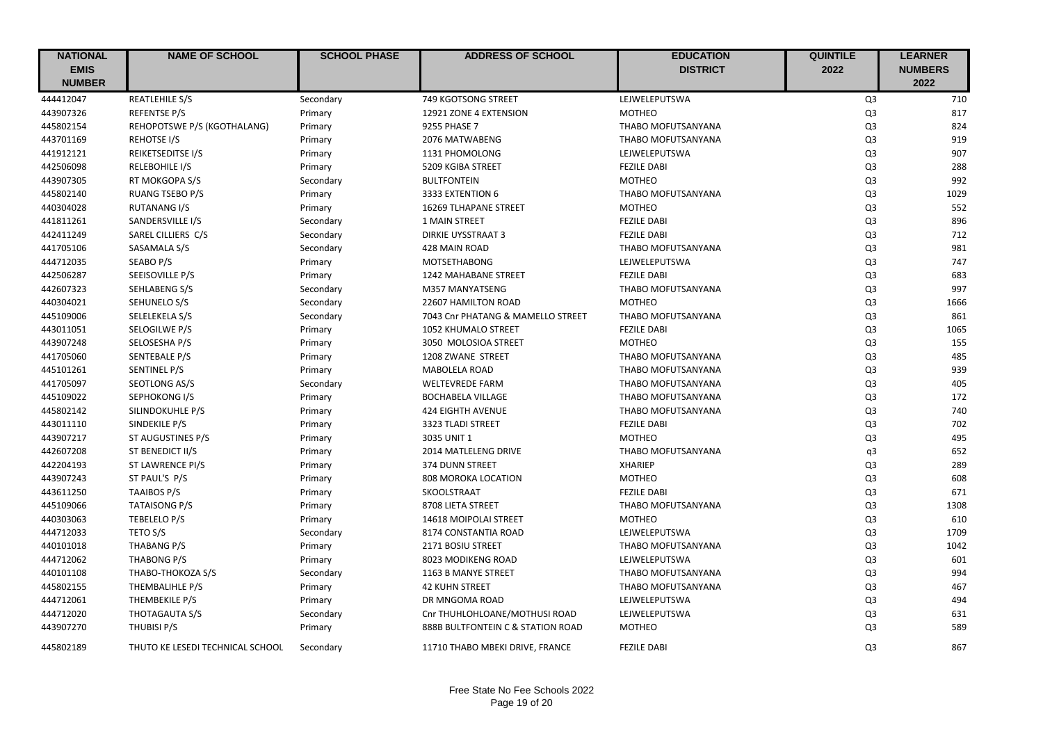| <b>NATIONAL</b><br><b>EMIS</b> | <b>NAME OF SCHOOL</b>            | <b>SCHOOL PHASE</b> | <b>ADDRESS OF SCHOOL</b>          | <b>EDUCATION</b><br><b>DISTRICT</b> | <b>QUINTILE</b><br>2022 | <b>LEARNER</b><br><b>NUMBERS</b> |
|--------------------------------|----------------------------------|---------------------|-----------------------------------|-------------------------------------|-------------------------|----------------------------------|
| <b>NUMBER</b>                  |                                  |                     |                                   |                                     |                         | 2022                             |
| 444412047                      | REATLEHILE S/S                   | Secondary           | 749 KGOTSONG STREET               | LEJWELEPUTSWA                       | Q <sub>3</sub>          | 710                              |
| 443907326                      | <b>REFENTSE P/S</b>              | Primary             | 12921 ZONE 4 EXTENSION            | <b>MOTHEO</b>                       | Q <sub>3</sub>          | 817                              |
| 445802154                      | REHOPOTSWE P/S (KGOTHALANG)      | Primary             | 9255 PHASE 7                      | THABO MOFUTSANYANA                  | Q <sub>3</sub>          | 824                              |
| 443701169                      | REHOTSE I/S                      | Primary             | 2076 MATWABENG                    | THABO MOFUTSANYANA                  | Q <sub>3</sub>          | 919                              |
| 441912121                      | REIKETSEDITSE I/S                | Primary             | 1131 PHOMOLONG                    | LEJWELEPUTSWA                       | Q <sub>3</sub>          | 907                              |
| 442506098                      | RELEBOHILE I/S                   | Primary             | 5209 KGIBA STREET                 | <b>FEZILE DABI</b>                  | Q <sub>3</sub>          | 288                              |
| 443907305                      | RT MOKGOPA S/S                   | Secondary           | <b>BULTFONTEIN</b>                | <b>MOTHEO</b>                       | Q <sub>3</sub>          | 992                              |
| 445802140                      | <b>RUANG TSEBO P/S</b>           | Primary             | 3333 EXTENTION 6                  | THABO MOFUTSANYANA                  | Q <sub>3</sub>          | 1029                             |
| 440304028                      | <b>RUTANANG I/S</b>              | Primary             | 16269 TLHAPANE STREET             | <b>MOTHEO</b>                       | Q <sub>3</sub>          | 552                              |
| 441811261                      | SANDERSVILLE I/S                 | Secondary           | 1 MAIN STREET                     | <b>FEZILE DABI</b>                  | Q <sub>3</sub>          | 896                              |
| 442411249                      | SAREL CILLIERS C/S               | Secondary           | <b>DIRKIE UYSSTRAAT 3</b>         | <b>FEZILE DABI</b>                  | Q <sub>3</sub>          | 712                              |
| 441705106                      | SASAMALA S/S                     | Secondary           | 428 MAIN ROAD                     | THABO MOFUTSANYANA                  | Q <sub>3</sub>          | 981                              |
| 444712035                      | SEABO P/S                        | Primary             | <b>MOTSETHABONG</b>               | LEJWELEPUTSWA                       | Q <sub>3</sub>          | 747                              |
| 442506287                      | SEEISOVILLE P/S                  | Primary             | 1242 MAHABANE STREET              | <b>FEZILE DABI</b>                  | Q <sub>3</sub>          | 683                              |
| 442607323                      | SEHLABENG S/S                    | Secondary           | M357 MANYATSENG                   | THABO MOFUTSANYANA                  | Q <sub>3</sub>          | 997                              |
| 440304021                      | SEHUNELO S/S                     | Secondary           | 22607 HAMILTON ROAD               | <b>MOTHEO</b>                       | Q <sub>3</sub>          | 1666                             |
| 445109006                      | SELELEKELA S/S                   | Secondary           | 7043 Cnr PHATANG & MAMELLO STREET | THABO MOFUTSANYANA                  | Q <sub>3</sub>          | 861                              |
| 443011051                      | SELOGILWE P/S                    | Primary             | 1052 KHUMALO STREET               | <b>FEZILE DABI</b>                  | Q <sub>3</sub>          | 1065                             |
| 443907248                      | SELOSESHA P/S                    | Primary             | 3050 MOLOSIOA STREET              | <b>MOTHEO</b>                       | Q <sub>3</sub>          | 155                              |
| 441705060                      | SENTEBALE P/S                    | Primary             | 1208 ZWANE STREET                 | THABO MOFUTSANYANA                  | Q <sub>3</sub>          | 485                              |
| 445101261                      | SENTINEL P/S                     | Primary             | <b>MABOLELA ROAD</b>              | THABO MOFUTSANYANA                  | Q <sub>3</sub>          | 939                              |
| 441705097                      | SEOTLONG AS/S                    | Secondary           | <b>WELTEVREDE FARM</b>            | THABO MOFUTSANYANA                  | Q <sub>3</sub>          | 405                              |
| 445109022                      | SEPHOKONG I/S                    | Primary             | <b>BOCHABELA VILLAGE</b>          | THABO MOFUTSANYANA                  | Q <sub>3</sub>          | 172                              |
| 445802142                      | SILINDOKUHLE P/S                 | Primary             | <b>424 EIGHTH AVENUE</b>          | THABO MOFUTSANYANA                  | Q <sub>3</sub>          | 740                              |
| 443011110                      | SINDEKILE P/S                    | Primary             | 3323 TLADI STREET                 | <b>FEZILE DABI</b>                  | Q <sub>3</sub>          | 702                              |
| 443907217                      | ST AUGUSTINES P/S                | Primary             | 3035 UNIT 1                       | <b>MOTHEO</b>                       | Q <sub>3</sub>          | 495                              |
| 442607208                      | ST BENEDICT II/S                 | Primary             | 2014 MATLELENG DRIVE              | THABO MOFUTSANYANA                  | q3                      | 652                              |
| 442204193                      | ST LAWRENCE PI/S                 | Primary             | 374 DUNN STREET                   | <b>XHARIEP</b>                      | Q <sub>3</sub>          | 289                              |
| 443907243                      | ST PAUL'S P/S                    | Primary             | 808 MOROKA LOCATION               | <b>MOTHEO</b>                       | Q <sub>3</sub>          | 608                              |
| 443611250                      | <b>TAAIBOS P/S</b>               | Primary             | SKOOLSTRAAT                       | <b>FEZILE DABI</b>                  | Q <sub>3</sub>          | 671                              |
| 445109066                      | <b>TATAISONG P/S</b>             | Primary             | 8708 LIETA STREET                 | THABO MOFUTSANYANA                  | Q <sub>3</sub>          | 1308                             |
| 440303063                      | TEBELELO P/S                     | Primary             | 14618 MOIPOLAI STREET             | <b>MOTHEO</b>                       | Q <sub>3</sub>          | 610                              |
| 444712033                      | TETO S/S                         | Secondary           | 8174 CONSTANTIA ROAD              | LEJWELEPUTSWA                       | Q <sub>3</sub>          | 1709                             |
| 440101018                      | THABANG P/S                      | Primary             | 2171 BOSIU STREET                 | THABO MOFUTSANYANA                  | Q <sub>3</sub>          | 1042                             |
| 444712062                      | THABONG P/S                      | Primary             | 8023 MODIKENG ROAD                | LEJWELEPUTSWA                       | Q <sub>3</sub>          | 601                              |
| 440101108                      | THABO-THOKOZA S/S                | Secondary           | 1163 B MANYE STREET               | THABO MOFUTSANYANA                  | Q <sub>3</sub>          | 994                              |
| 445802155                      | THEMBALIHLE P/S                  | Primary             | <b>42 KUHN STREET</b>             | THABO MOFUTSANYANA                  | Q <sub>3</sub>          | 467                              |
| 444712061                      | THEMBEKILE P/S                   | Primary             | DR MNGOMA ROAD                    | LEJWELEPUTSWA                       | Q <sub>3</sub>          | 494                              |
| 444712020                      | THOTAGAUTA S/S                   | Secondary           | Cnr THUHLOHLOANE/MOTHUSI ROAD     | LEJWELEPUTSWA                       | Q <sub>3</sub>          | 631                              |
| 443907270                      | THUBISI P/S                      | Primary             | 888B BULTFONTEIN C & STATION ROAD | <b>MOTHEO</b>                       | Q <sub>3</sub>          | 589                              |
| 445802189                      | THUTO KE LESEDI TECHNICAL SCHOOL | Secondary           | 11710 THABO MBEKI DRIVE, FRANCE   | <b>FEZILE DABI</b>                  | Q <sub>3</sub>          | 867                              |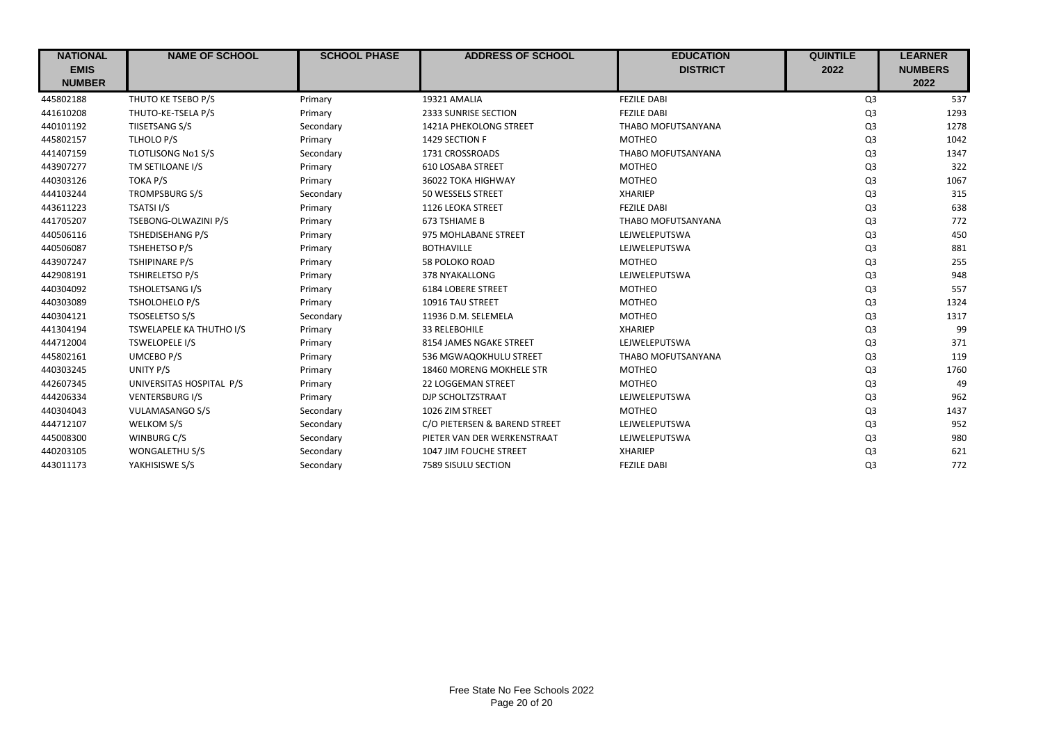| <b>NATIONAL</b> | <b>NAME OF SCHOOL</b>     | <b>SCHOOL PHASE</b> | <b>ADDRESS OF SCHOOL</b>      | <b>EDUCATION</b>   | <b>QUINTILE</b> | <b>LEARNER</b> |
|-----------------|---------------------------|---------------------|-------------------------------|--------------------|-----------------|----------------|
| <b>EMIS</b>     |                           |                     |                               | <b>DISTRICT</b>    | 2022            | <b>NUMBERS</b> |
| <b>NUMBER</b>   |                           |                     |                               |                    |                 | 2022           |
| 445802188       | THUTO KE TSEBO P/S        | Primary             | 19321 AMALIA                  | <b>FEZILE DABI</b> | Q3              | 537            |
| 441610208       | THUTO-KE-TSELA P/S        | Primary             | 2333 SUNRISE SECTION          | <b>FEZILE DABI</b> | Q <sub>3</sub>  | 1293           |
| 440101192       | TIISETSANG S/S            | Secondary           | <b>1421A PHEKOLONG STREET</b> | THABO MOFUTSANYANA | Q <sub>3</sub>  | 1278           |
| 445802157       | TLHOLO P/S                | Primary             | 1429 SECTION F                | <b>MOTHEO</b>      | Q <sub>3</sub>  | 1042           |
| 441407159       | <b>TLOTLISONG No1 S/S</b> | Secondary           | 1731 CROSSROADS               | THABO MOFUTSANYANA | Q <sub>3</sub>  | 1347           |
| 443907277       | TM SETILOANE I/S          | Primary             | <b>610 LOSABA STREET</b>      | <b>MOTHEO</b>      | Q <sub>3</sub>  | 322            |
| 440303126       | TOKA P/S                  | Primary             | 36022 TOKA HIGHWAY            | <b>MOTHEO</b>      | Q <sub>3</sub>  | 1067           |
| 444103244       | <b>TROMPSBURG S/S</b>     | Secondary           | 50 WESSELS STREET             | <b>XHARIEP</b>     | Q <sub>3</sub>  | 315            |
| 443611223       | TSATSI I/S                | Primary             | 1126 LEOKA STREET             | <b>FEZILE DABI</b> | Q <sub>3</sub>  | 638            |
| 441705207       | TSEBONG-OLWAZINI P/S      | Primary             | 673 TSHIAME B                 | THABO MOFUTSANYANA | Q <sub>3</sub>  | 772            |
| 440506116       | <b>TSHEDISEHANG P/S</b>   | Primary             | 975 MOHLABANE STREET          | LEJWELEPUTSWA      | Q <sub>3</sub>  | 450            |
| 440506087       | <b>TSHEHETSO P/S</b>      | Primary             | <b>BOTHAVILLE</b>             | LEJWELEPUTSWA      | Q <sub>3</sub>  | 881            |
| 443907247       | <b>TSHIPINARE P/S</b>     | Primary             | <b>58 POLOKO ROAD</b>         | <b>MOTHEO</b>      | Q <sub>3</sub>  | 255            |
| 442908191       | <b>TSHIRELETSO P/S</b>    | Primary             | 378 NYAKALLONG                | LEJWELEPUTSWA      | Q <sub>3</sub>  | 948            |
| 440304092       | TSHOLETSANG I/S           | Primary             | <b>6184 LOBERE STREET</b>     | <b>MOTHEO</b>      | Q <sub>3</sub>  | 557            |
| 440303089       | <b>TSHOLOHELO P/S</b>     | Primary             | 10916 TAU STREET              | <b>MOTHEO</b>      | Q <sub>3</sub>  | 1324           |
| 440304121       | <b>TSOSELETSO S/S</b>     | Secondary           | 11936 D.M. SELEMELA           | <b>MOTHEO</b>      | Q <sub>3</sub>  | 1317           |
| 441304194       | TSWELAPELE KA THUTHO I/S  | Primary             | 33 RELEBOHILE                 | <b>XHARIEP</b>     | Q <sub>3</sub>  | 99             |
| 444712004       | <b>TSWELOPELE I/S</b>     | Primary             | 8154 JAMES NGAKE STREET       | LEJWELEPUTSWA      | Q <sub>3</sub>  | 371            |
| 445802161       | <b>UMCEBO P/S</b>         | Primary             | 536 MGWAQOKHULU STREET        | THABO MOFUTSANYANA | Q <sub>3</sub>  | 119            |
| 440303245       | UNITY P/S                 | Primary             | 18460 MORENG MOKHELE STR      | <b>MOTHEO</b>      | Q <sub>3</sub>  | 1760           |
| 442607345       | UNIVERSITAS HOSPITAL P/S  | Primary             | 22 LOGGEMAN STREET            | <b>MOTHEO</b>      | Q <sub>3</sub>  | 49             |
| 444206334       | <b>VENTERSBURG I/S</b>    | Primary             | DJP SCHOLTZSTRAAT             | LEJWELEPUTSWA      | Q <sub>3</sub>  | 962            |
| 440304043       | VULAMASANGO S/S           | Secondary           | 1026 ZIM STREET               | <b>MOTHEO</b>      | Q <sub>3</sub>  | 1437           |
| 444712107       | WELKOM S/S                | Secondary           | C/O PIETERSEN & BAREND STREET | LEJWELEPUTSWA      | Q <sub>3</sub>  | 952            |
| 445008300       | WINBURG C/S               | Secondary           | PIETER VAN DER WERKENSTRAAT   | LEJWELEPUTSWA      | Q <sub>3</sub>  | 980            |
| 440203105       | WONGALETHU S/S            | Secondary           | 1047 JIM FOUCHE STREET        | <b>XHARIEP</b>     | Q <sub>3</sub>  | 621            |
| 443011173       | YAKHISISWE S/S            | Secondary           | 7589 SISULU SECTION           | <b>FEZILE DABI</b> | Q <sub>3</sub>  | 772            |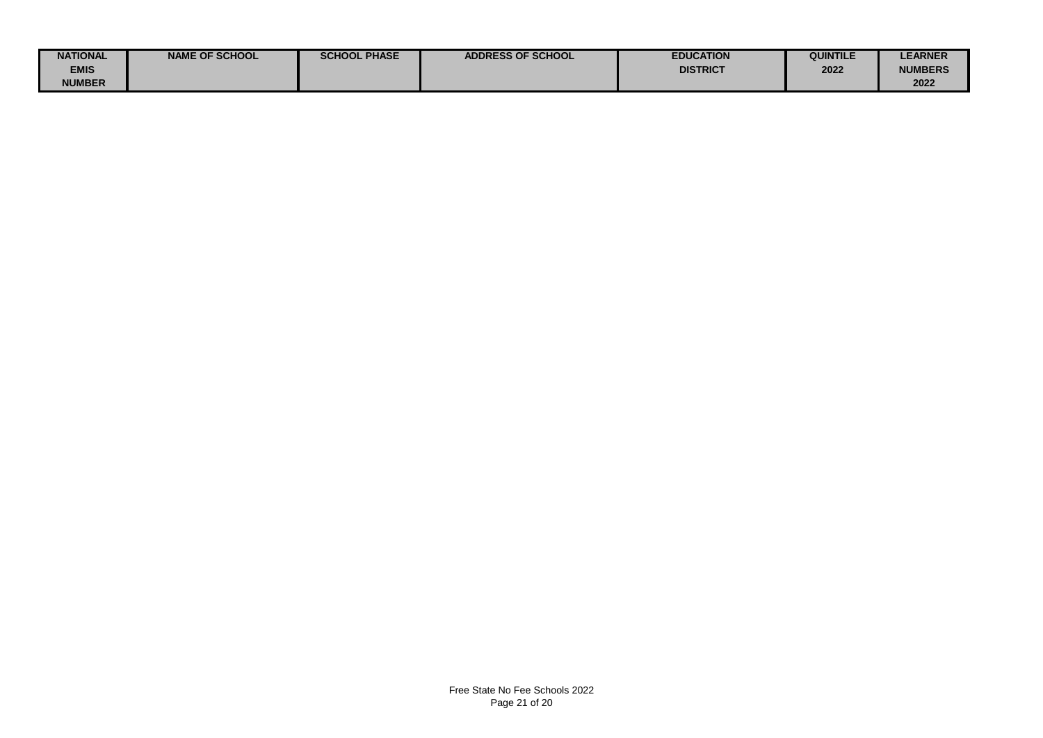| <b>NATIONAL</b> | <b>NAME OF SCHOOL</b> | <b>SCHOOL PHASE</b> | <b>ADDRESS OF SCHOOL</b> | <b>EDUCATION</b> | QUINTILE | <b>LEARNER</b> |
|-----------------|-----------------------|---------------------|--------------------------|------------------|----------|----------------|
| <b>EMIS</b>     |                       |                     |                          | <b>DISTRICT</b>  | 2022     | <b>NUMBERS</b> |
| <b>NUMBER</b>   |                       |                     |                          |                  |          | 2022           |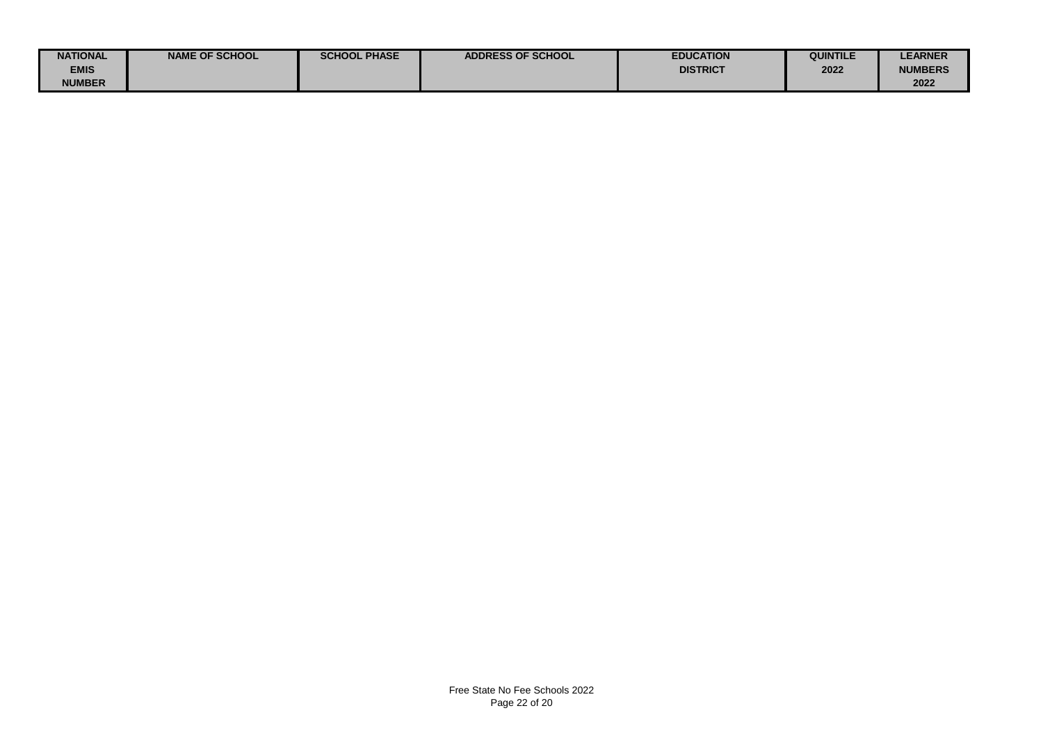| <b>NATIONAL</b> | <b>NAME OF SCHOOL</b> | <b>SCHOOL PHASE</b> | <b>ADDRESS OF SCHOOL</b> | <b>EDUCATION</b> | QUINTILE | <b>LEARNER</b> |
|-----------------|-----------------------|---------------------|--------------------------|------------------|----------|----------------|
| <b>EMIS</b>     |                       |                     |                          | <b>DISTRICT</b>  | 2022     | <b>NUMBERS</b> |
| <b>NUMBER</b>   |                       |                     |                          |                  |          | 2022           |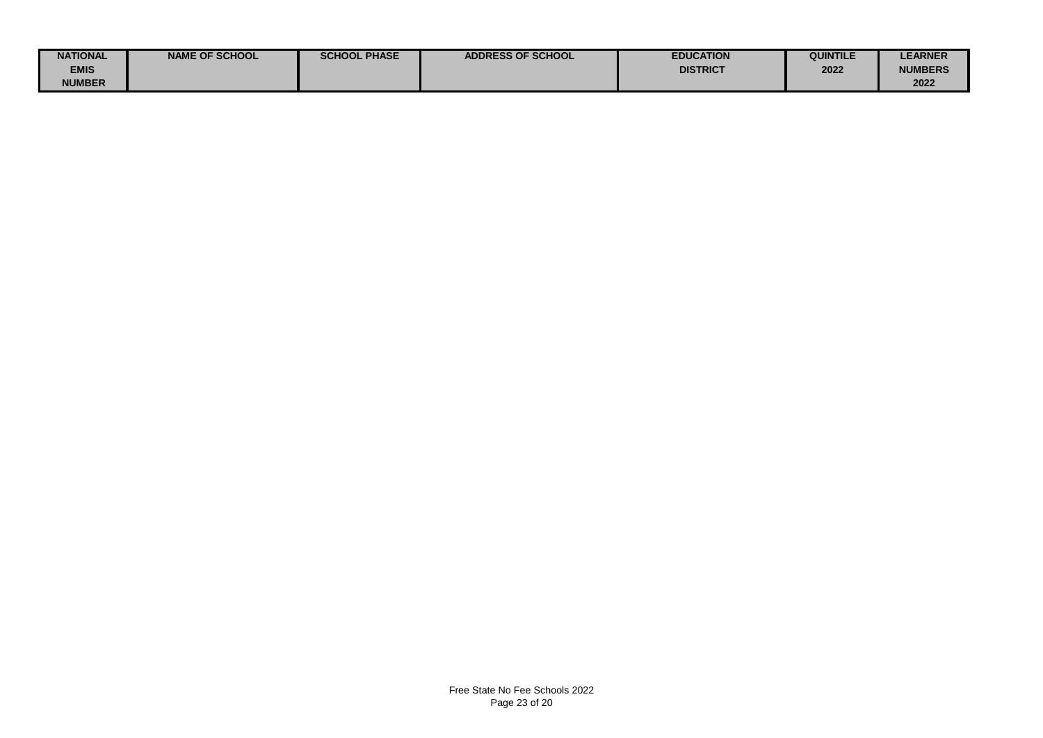| <b>NATIONAL</b> | <b>NAME OF SCHOOL</b> | <b>SCHOOL PHASE</b> | <b>ADDRESS OF SCHOOL</b> | <b>EDUCATION</b> | QUINTILE | <b>LEARNER</b> |
|-----------------|-----------------------|---------------------|--------------------------|------------------|----------|----------------|
| <b>EMIS</b>     |                       |                     |                          | <b>DISTRICT</b>  | 2022     | <b>NUMBERS</b> |
| <b>NUMBER</b>   |                       |                     |                          |                  |          | 2022           |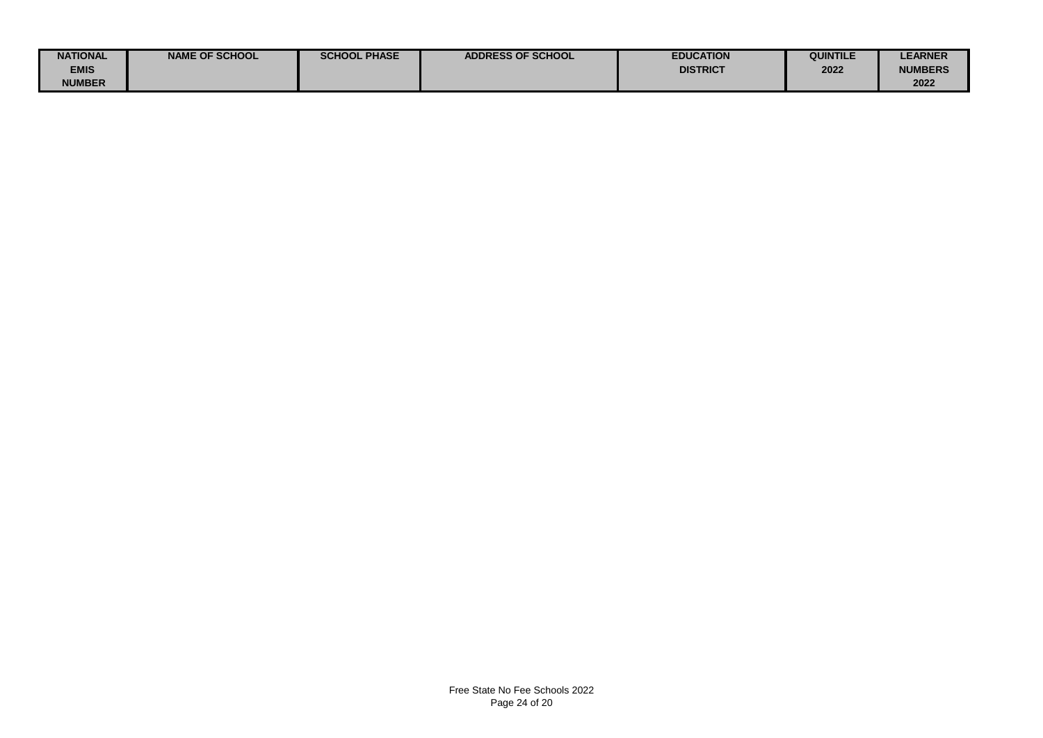| <b>NATIONAL</b> | <b>NAME OF SCHOOL</b> | <b>SCHOOL PHASE</b> | <b>ADDRESS OF SCHOOL</b> | <b>EDUCATION</b> | QUINTILE | <b>LEARNER</b> |
|-----------------|-----------------------|---------------------|--------------------------|------------------|----------|----------------|
| <b>EMIS</b>     |                       |                     |                          | <b>DISTRICT</b>  | 2022     | <b>NUMBERS</b> |
| <b>NUMBER</b>   |                       |                     |                          |                  |          | 2022           |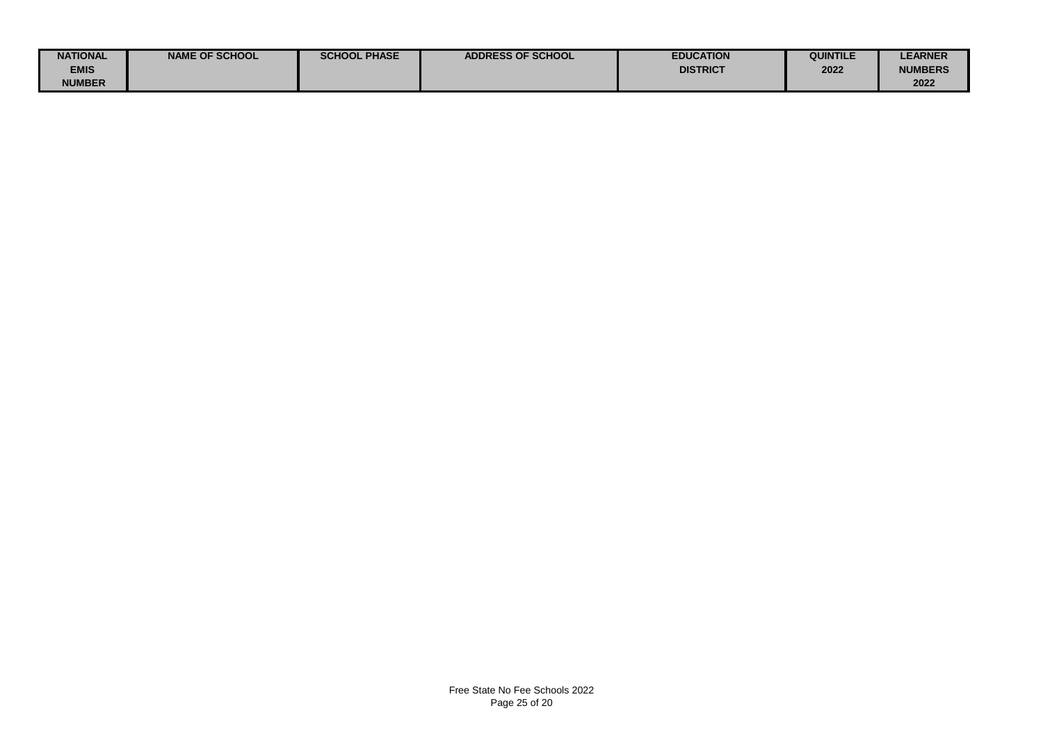| <b>NATIONAL</b> | <b>NAME OF SCHOOL</b> | <b>SCHOOL PHASE</b> | <b>ADDRESS OF SCHOOL</b> | <b>EDUCATION</b> | QUINTILE | <b>LEARNER</b> |
|-----------------|-----------------------|---------------------|--------------------------|------------------|----------|----------------|
| <b>EMIS</b>     |                       |                     |                          | <b>DISTRICT</b>  | 2022     | <b>NUMBERS</b> |
| <b>NUMBER</b>   |                       |                     |                          |                  |          | 2022           |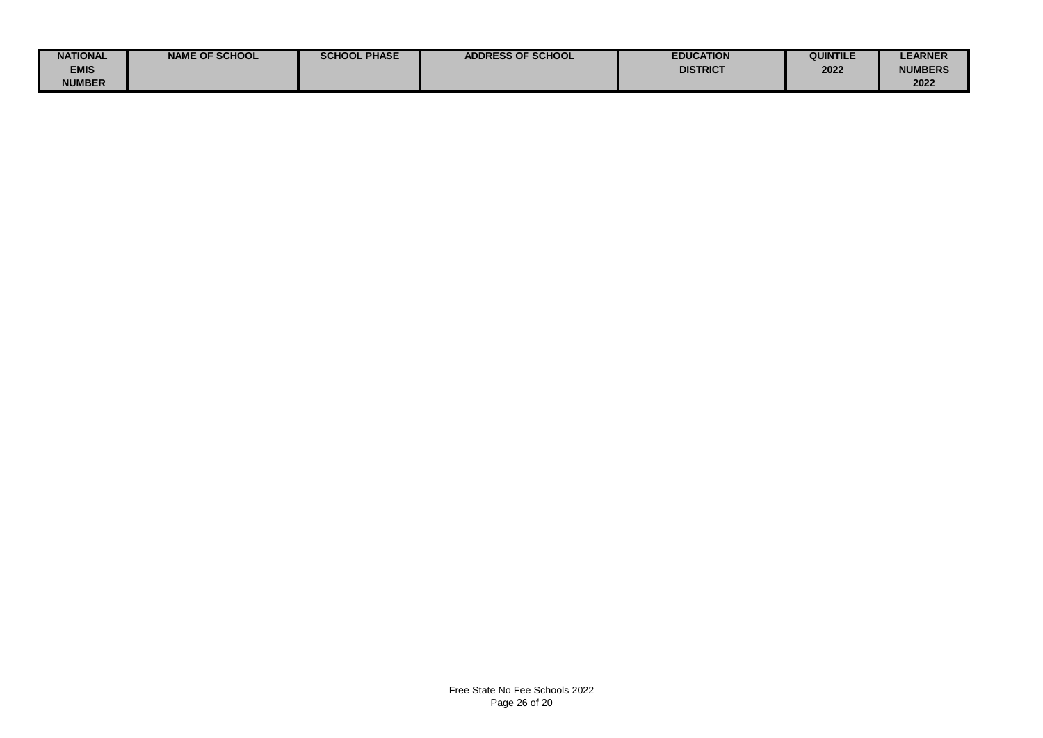| <b>NATIONAL</b> | <b>NAME OF SCHOOL</b> | <b>SCHOOL PHASE</b> | <b>ADDRESS OF SCHOOL</b> | <b>EDUCATION</b> | QUINTILE | <b>LEARNER</b> |
|-----------------|-----------------------|---------------------|--------------------------|------------------|----------|----------------|
| <b>EMIS</b>     |                       |                     |                          | <b>DISTRICT</b>  | 2022     | <b>NUMBERS</b> |
| <b>NUMBER</b>   |                       |                     |                          |                  |          | 2022           |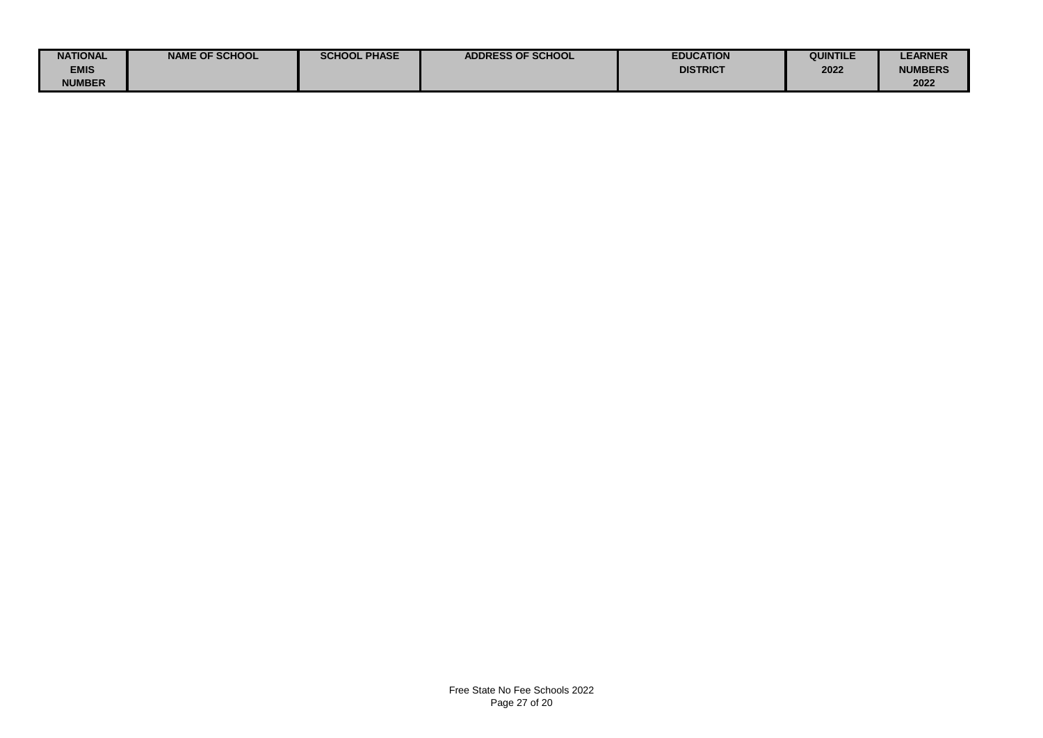| <b>NATIONAL</b> | <b>NAME OF SCHOOL</b> | <b>SCHOOL PHASE</b> | <b>ADDRESS OF SCHOOL</b> | <b>EDUCATION</b> | QUINTILE | <b>LEARNER</b> |
|-----------------|-----------------------|---------------------|--------------------------|------------------|----------|----------------|
| <b>EMIS</b>     |                       |                     |                          | <b>DISTRICT</b>  | 2022     | <b>NUMBERS</b> |
| <b>NUMBER</b>   |                       |                     |                          |                  |          | 2022           |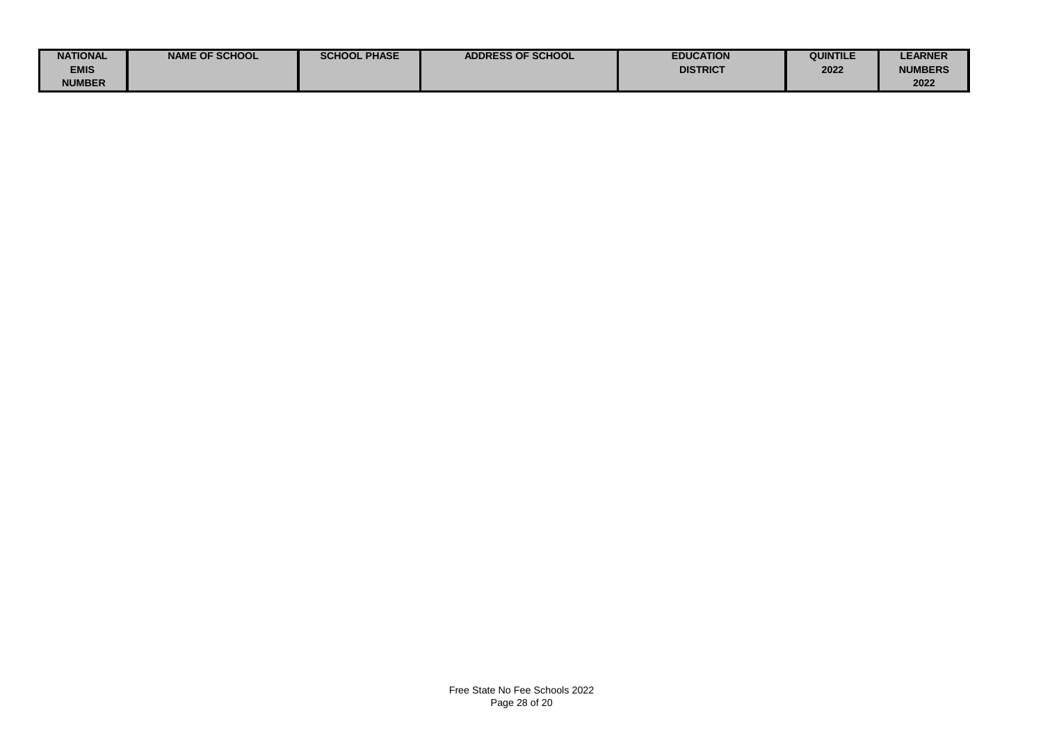| <b>NATIONAL</b> | <b>NAME OF SCHOOL</b> | <b>SCHOOL PHASE</b> | <b>ADDRESS OF SCHOOL</b> | <b>EDUCATION</b> | QUINTILE | <b>LEARNER</b> |
|-----------------|-----------------------|---------------------|--------------------------|------------------|----------|----------------|
| <b>EMIS</b>     |                       |                     |                          | <b>DISTRICT</b>  | 2022     | <b>NUMBERS</b> |
| <b>NUMBER</b>   |                       |                     |                          |                  |          | 2022           |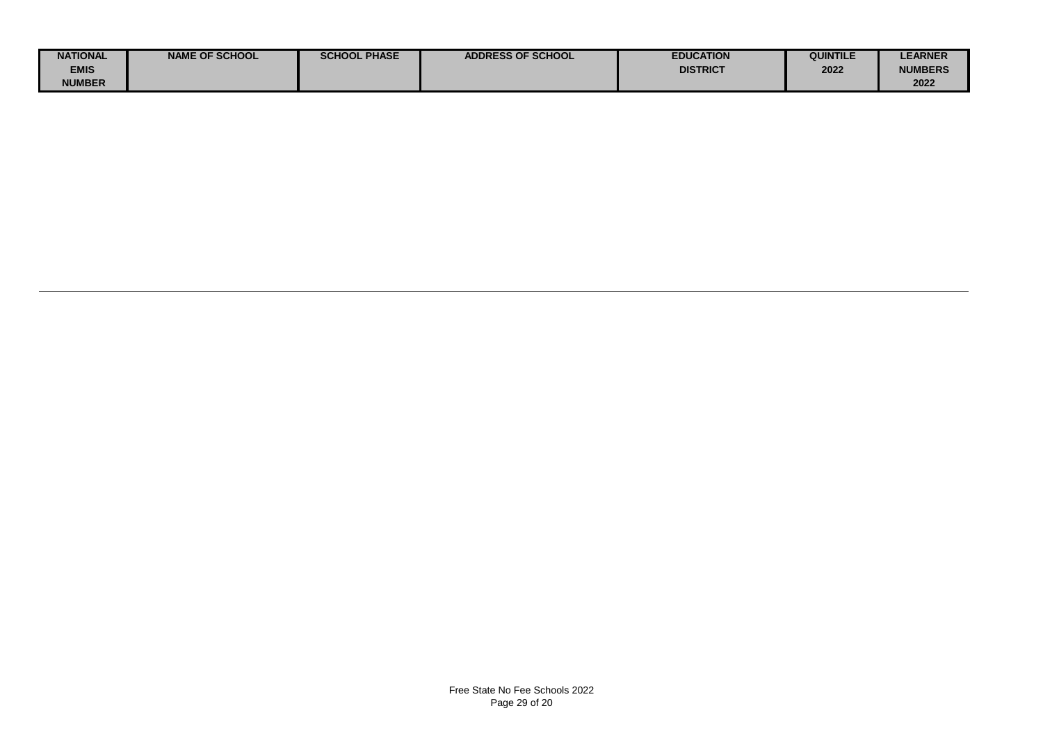| <b>NATIONAL</b> | <b>NAME OF SCHOOL</b> | <b>SCHOOL PHASE</b> | <b>ADDRESS OF SCHOOL</b> | <b>EDUCATION</b> | <b>QUINTILE</b> | <b>LEARNER</b> |
|-----------------|-----------------------|---------------------|--------------------------|------------------|-----------------|----------------|
| <b>EMIS</b>     |                       |                     |                          | <b>DISTRICT</b>  | 2022            | <b>NUMBERS</b> |
| <b>NUMBER</b>   |                       |                     |                          |                  |                 | 2022           |